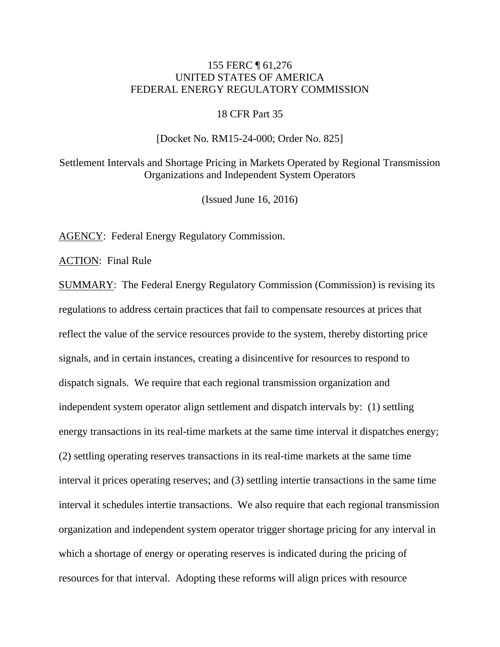### 155 FERC ¶ 61,276 UNITED STATES OF AMERICA FEDERAL ENERGY REGULATORY COMMISSION

#### 18 CFR Part 35

#### [Docket No. RM15-24-000; Order No. 825]

Settlement Intervals and Shortage Pricing in Markets Operated by Regional Transmission Organizations and Independent System Operators

(Issued June 16, 2016)

AGENCY: Federal Energy Regulatory Commission.

ACTION: Final Rule

SUMMARY: The Federal Energy Regulatory Commission (Commission) is revising its regulations to address certain practices that fail to compensate resources at prices that reflect the value of the service resources provide to the system, thereby distorting price signals, and in certain instances, creating a disincentive for resources to respond to dispatch signals. We require that each regional transmission organization and independent system operator align settlement and dispatch intervals by: (1) settling energy transactions in its real-time markets at the same time interval it dispatches energy; (2) settling operating reserves transactions in its real-time markets at the same time interval it prices operating reserves; and (3) settling intertie transactions in the same time interval it schedules intertie transactions. We also require that each regional transmission organization and independent system operator trigger shortage pricing for any interval in which a shortage of energy or operating reserves is indicated during the pricing of resources for that interval. Adopting these reforms will align prices with resource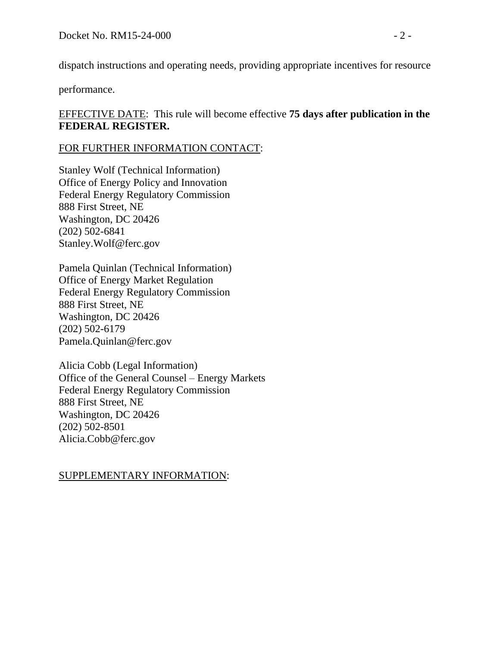dispatch instructions and operating needs, providing appropriate incentives for resource

performance.

# EFFECTIVE DATE: This rule will become effective **75 days after publication in the FEDERAL REGISTER.**

## FOR FURTHER INFORMATION CONTACT:

Stanley Wolf (Technical Information) Office of Energy Policy and Innovation Federal Energy Regulatory Commission 888 First Street, NE Washington, DC 20426 (202) 502-6841 Stanley.Wolf@ferc.gov

Pamela Quinlan (Technical Information) Office of Energy Market Regulation Federal Energy Regulatory Commission 888 First Street, NE Washington, DC 20426 (202) 502-6179 Pamela.Quinlan@ferc.gov

Alicia Cobb (Legal Information) Office of the General Counsel – Energy Markets Federal Energy Regulatory Commission 888 First Street, NE Washington, DC 20426 (202) 502-8501 Alicia.Cobb@ferc.gov

# SUPPLEMENTARY INFORMATION: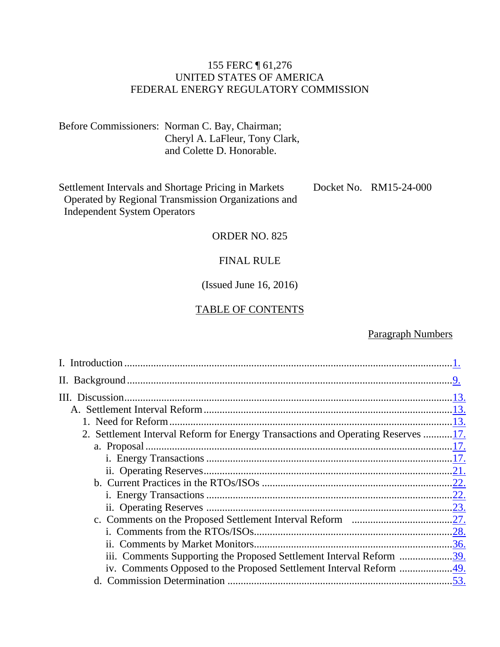## 155 FERC ¶ 61,276 UNITED STATES OF AMERICA FEDERAL ENERGY REGULATORY COMMISSION

Before Commissioners: Norman C. Bay, Chairman; Cheryl A. LaFleur, Tony Clark, and Colette D. Honorable.

Settlement Intervals and Shortage Pricing in Markets Operated by Regional Transmission Organizations and Independent System Operators Docket No. RM15-24-000

#### ORDER NO. 825

#### FINAL RULE

## (Issued June 16, 2016)

#### TABLE OF CONTENTS

### Paragraph Numbers

| 2. Settlement Interval Reform for Energy Transactions and Operating Reserves 17. |  |
|----------------------------------------------------------------------------------|--|
|                                                                                  |  |
|                                                                                  |  |
|                                                                                  |  |
|                                                                                  |  |
|                                                                                  |  |
|                                                                                  |  |
|                                                                                  |  |
|                                                                                  |  |
|                                                                                  |  |
| iii. Comments Supporting the Proposed Settlement Interval Reform 39.             |  |
|                                                                                  |  |
|                                                                                  |  |
|                                                                                  |  |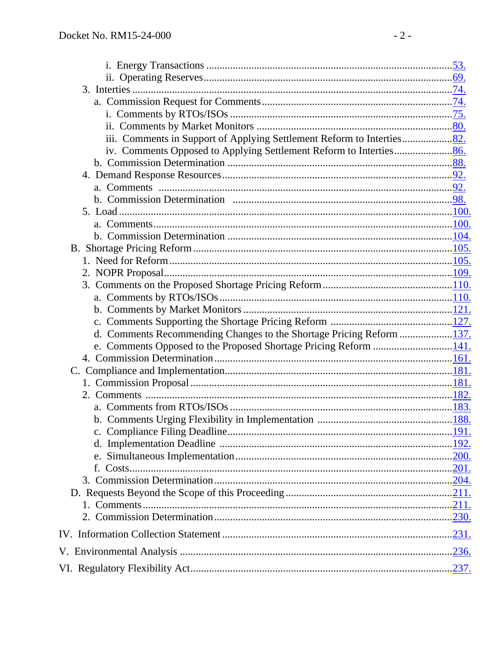| d. Comments Recommending Changes to the Shortage Pricing Reform 137. |  |
|----------------------------------------------------------------------|--|
|                                                                      |  |
|                                                                      |  |
|                                                                      |  |
|                                                                      |  |
|                                                                      |  |
|                                                                      |  |
|                                                                      |  |
|                                                                      |  |
|                                                                      |  |
|                                                                      |  |
|                                                                      |  |
|                                                                      |  |
|                                                                      |  |
|                                                                      |  |
|                                                                      |  |
|                                                                      |  |
|                                                                      |  |
|                                                                      |  |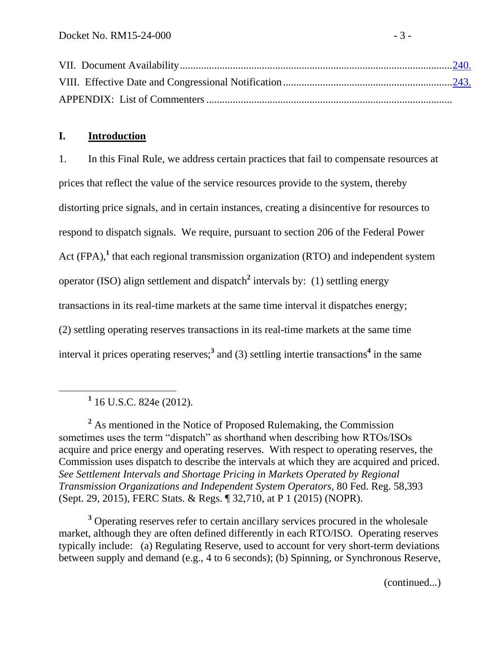## <span id="page-4-0"></span>**I. Introduction**

1. In this Final Rule, we address certain practices that fail to compensate resources at prices that reflect the value of the service resources provide to the system, thereby distorting price signals, and in certain instances, creating a disincentive for resources to respond to dispatch signals. We require, pursuant to section 206 of the Federal Power Act (FPA),<sup>1</sup> that each regional transmission organization (RTO) and independent system operator (ISO) align settlement and dispatch**<sup>2</sup>** intervals by: (1) settling energy transactions in its real-time markets at the same time interval it dispatches energy; (2) settling operating reserves transactions in its real-time markets at the same time interval it prices operating reserves;<sup>3</sup> and (3) settling intertie transactions<sup>4</sup> in the same

 $\overline{a}$ 

<sup>2</sup> As mentioned in the Notice of Proposed Rulemaking, the Commission sometimes uses the term "dispatch" as shorthand when describing how RTOs/ISOs acquire and price energy and operating reserves. With respect to operating reserves, the Commission uses dispatch to describe the intervals at which they are acquired and priced. *See Settlement Intervals and Shortage Pricing in Markets Operated by Regional Transmission Organizations and Independent System Operators,* 80 Fed. Reg. 58,393 (Sept. 29, 2015), FERC Stats. & Regs. ¶ 32,710, at P 1 (2015) (NOPR).

**<sup>3</sup>** Operating reserves refer to certain ancillary services procured in the wholesale market, although they are often defined differently in each RTO/ISO. Operating reserves typically include: (a) Regulating Reserve, used to account for very short-term deviations between supply and demand (e.g., 4 to 6 seconds); (b) Spinning, or Synchronous Reserve,

(continued...)

**<sup>1</sup>** 16 U.S.C. 824e (2012).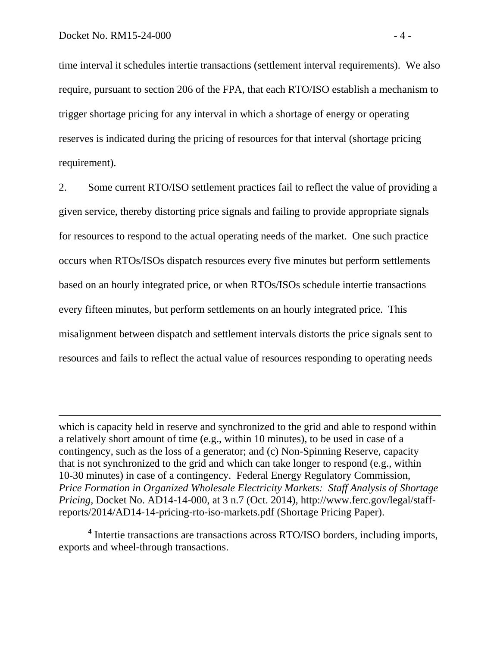$\overline{a}$ 

time interval it schedules intertie transactions (settlement interval requirements). We also require, pursuant to section 206 of the FPA, that each RTO/ISO establish a mechanism to trigger shortage pricing for any interval in which a shortage of energy or operating reserves is indicated during the pricing of resources for that interval (shortage pricing requirement).

2. Some current RTO/ISO settlement practices fail to reflect the value of providing a given service, thereby distorting price signals and failing to provide appropriate signals for resources to respond to the actual operating needs of the market. One such practice occurs when RTOs/ISOs dispatch resources every five minutes but perform settlements based on an hourly integrated price, or when RTOs/ISOs schedule intertie transactions every fifteen minutes, but perform settlements on an hourly integrated price. This misalignment between dispatch and settlement intervals distorts the price signals sent to resources and fails to reflect the actual value of resources responding to operating needs

**4** Intertie transactions are transactions across RTO/ISO borders, including imports, exports and wheel-through transactions.

which is capacity held in reserve and synchronized to the grid and able to respond within a relatively short amount of time (e.g., within 10 minutes), to be used in case of a contingency, such as the loss of a generator; and (c) Non-Spinning Reserve, capacity that is not synchronized to the grid and which can take longer to respond (e.g., within 10-30 minutes) in case of a contingency. Federal Energy Regulatory Commission, *Price Formation in Organized Wholesale Electricity Markets: Staff Analysis of Shortage Pricing*, Docket No. AD14-14-000, at 3 n.7 (Oct. 2014), http://www.ferc.gov/legal/staffreports/2014/AD14-14-pricing-rto-iso-markets.pdf (Shortage Pricing Paper).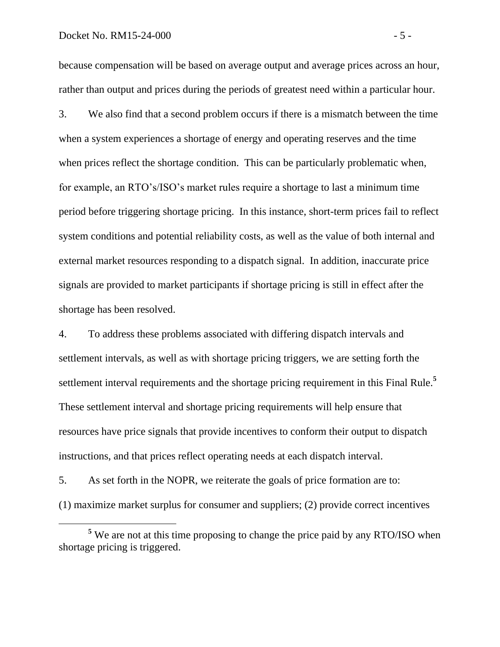#### Docket No. RM15-24-000 - 5 -

 $\overline{a}$ 

because compensation will be based on average output and average prices across an hour, rather than output and prices during the periods of greatest need within a particular hour.

3. We also find that a second problem occurs if there is a mismatch between the time when a system experiences a shortage of energy and operating reserves and the time when prices reflect the shortage condition. This can be particularly problematic when, for example, an RTO's/ISO's market rules require a shortage to last a minimum time period before triggering shortage pricing. In this instance, short-term prices fail to reflect system conditions and potential reliability costs, as well as the value of both internal and external market resources responding to a dispatch signal. In addition, inaccurate price signals are provided to market participants if shortage pricing is still in effect after the shortage has been resolved.

4. To address these problems associated with differing dispatch intervals and settlement intervals, as well as with shortage pricing triggers, we are setting forth the settlement interval requirements and the shortage pricing requirement in this Final Rule.**<sup>5</sup>** These settlement interval and shortage pricing requirements will help ensure that resources have price signals that provide incentives to conform their output to dispatch instructions, and that prices reflect operating needs at each dispatch interval.

5. As set forth in the NOPR, we reiterate the goals of price formation are to: (1) maximize market surplus for consumer and suppliers; (2) provide correct incentives

**<sup>5</sup>** We are not at this time proposing to change the price paid by any RTO/ISO when shortage pricing is triggered.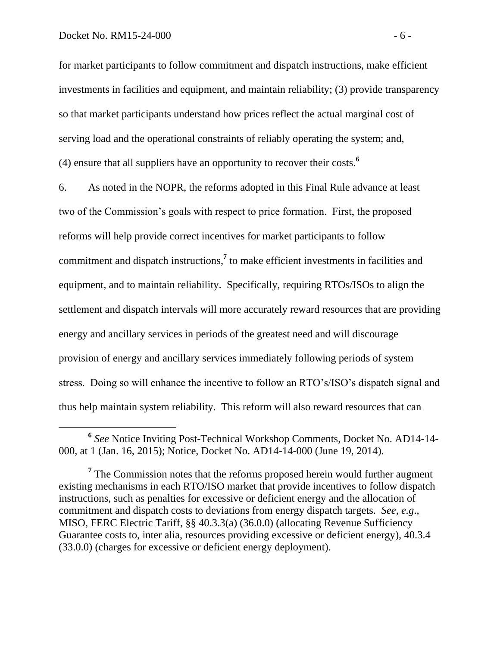for market participants to follow commitment and dispatch instructions, make efficient investments in facilities and equipment, and maintain reliability; (3) provide transparency so that market participants understand how prices reflect the actual marginal cost of serving load and the operational constraints of reliably operating the system; and, (4) ensure that all suppliers have an opportunity to recover their costs.**<sup>6</sup>**

6. As noted in the NOPR, the reforms adopted in this Final Rule advance at least two of the Commission's goals with respect to price formation. First, the proposed reforms will help provide correct incentives for market participants to follow commitment and dispatch instructions,**<sup>7</sup>** to make efficient investments in facilities and equipment, and to maintain reliability. Specifically, requiring RTOs/ISOs to align the settlement and dispatch intervals will more accurately reward resources that are providing energy and ancillary services in periods of the greatest need and will discourage provision of energy and ancillary services immediately following periods of system stress. Doing so will enhance the incentive to follow an RTO's/ISO's dispatch signal and thus help maintain system reliability. This reform will also reward resources that can

**<sup>6</sup>** *See* Notice Inviting Post-Technical Workshop Comments, Docket No. AD14-14- 000, at 1 (Jan. 16, 2015); Notice, Docket No. AD14-14-000 (June 19, 2014).

<sup>&</sup>lt;sup>7</sup> The Commission notes that the reforms proposed herein would further augment existing mechanisms in each RTO/ISO market that provide incentives to follow dispatch instructions, such as penalties for excessive or deficient energy and the allocation of commitment and dispatch costs to deviations from energy dispatch targets. *See, e.g*., MISO, FERC Electric Tariff, §§ 40.3.3(a) (36.0.0) (allocating Revenue Sufficiency Guarantee costs to, inter alia, resources providing excessive or deficient energy), 40.3.4 (33.0.0) (charges for excessive or deficient energy deployment).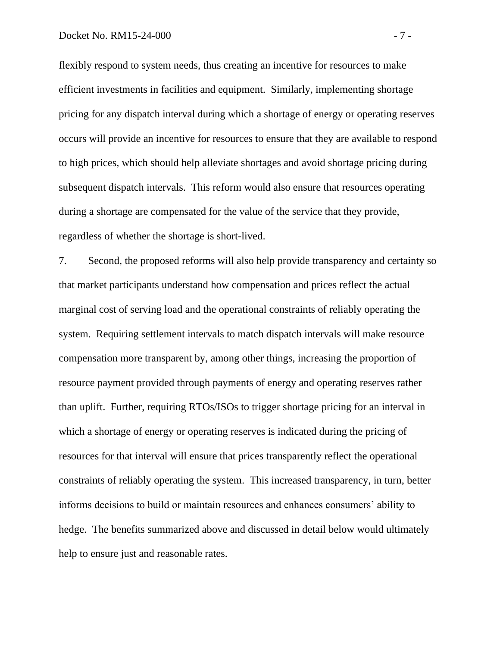#### Docket No. RM15-24-000 - 7 -

flexibly respond to system needs, thus creating an incentive for resources to make efficient investments in facilities and equipment. Similarly, implementing shortage pricing for any dispatch interval during which a shortage of energy or operating reserves occurs will provide an incentive for resources to ensure that they are available to respond to high prices, which should help alleviate shortages and avoid shortage pricing during subsequent dispatch intervals. This reform would also ensure that resources operating during a shortage are compensated for the value of the service that they provide, regardless of whether the shortage is short-lived.

7. Second, the proposed reforms will also help provide transparency and certainty so that market participants understand how compensation and prices reflect the actual marginal cost of serving load and the operational constraints of reliably operating the system. Requiring settlement intervals to match dispatch intervals will make resource compensation more transparent by, among other things, increasing the proportion of resource payment provided through payments of energy and operating reserves rather than uplift. Further, requiring RTOs/ISOs to trigger shortage pricing for an interval in which a shortage of energy or operating reserves is indicated during the pricing of resources for that interval will ensure that prices transparently reflect the operational constraints of reliably operating the system. This increased transparency, in turn, better informs decisions to build or maintain resources and enhances consumers' ability to hedge. The benefits summarized above and discussed in detail below would ultimately help to ensure just and reasonable rates.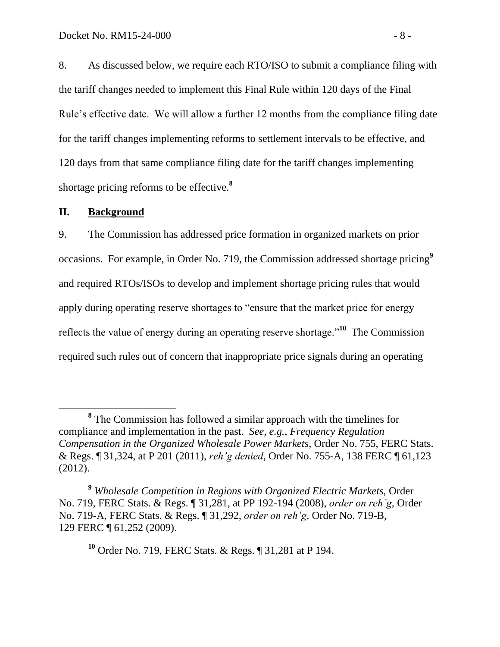8. As discussed below, we require each RTO/ISO to submit a compliance filing with the tariff changes needed to implement this Final Rule within 120 days of the Final Rule's effective date. We will allow a further 12 months from the compliance filing date for the tariff changes implementing reforms to settlement intervals to be effective, and 120 days from that same compliance filing date for the tariff changes implementing shortage pricing reforms to be effective.**<sup>8</sup>**

#### <span id="page-9-0"></span>**II. Background**

9. The Commission has addressed price formation in organized markets on prior occasions. For example, in Order No. 719, the Commission addressed shortage pricing**<sup>9</sup>** and required RTOs/ISOs to develop and implement shortage pricing rules that would apply during operating reserve shortages to "ensure that the market price for energy reflects the value of energy during an operating reserve shortage."**<sup>10</sup>** The Commission required such rules out of concern that inappropriate price signals during an operating

**<sup>10</sup>** Order No. 719, FERC Stats. & Regs. ¶ 31,281 at P 194.

**<sup>8</sup>** The Commission has followed a similar approach with the timelines for compliance and implementation in the past. *See, e.g.*, *Frequency Regulation Compensation in the Organized Wholesale Power Markets*, Order No. 755, FERC Stats. & Regs. ¶ 31,324, at P 201 (2011), *reh'g denied*, Order No. 755-A, 138 FERC ¶ 61,123 (2012).

**<sup>9</sup>** *Wholesale Competition in Regions with Organized Electric Markets*, Order No. 719, FERC Stats. & Regs. ¶ 31,281, at PP 192-194 (2008), *order on reh'g*, Order No. 719-A, FERC Stats. & Regs. ¶ 31,292, *order on reh'g*, Order No. 719-B, 129 FERC ¶ 61,252 (2009).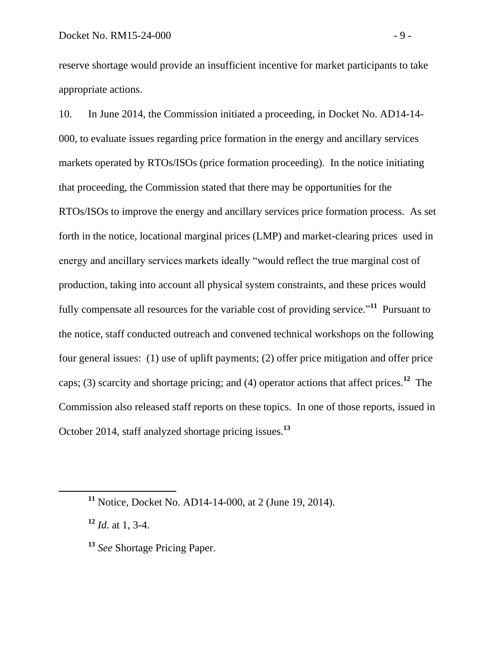reserve shortage would provide an insufficient incentive for market participants to take appropriate actions.

10. In June 2014, the Commission initiated a proceeding, in Docket No. AD14-14- 000, to evaluate issues regarding price formation in the energy and ancillary services markets operated by RTOs/ISOs (price formation proceeding). In the notice initiating that proceeding, the Commission stated that there may be opportunities for the RTOs/ISOs to improve the energy and ancillary services price formation process. As set forth in the notice, locational marginal prices (LMP) and market-clearing prices used in energy and ancillary services markets ideally "would reflect the true marginal cost of production, taking into account all physical system constraints, and these prices would fully compensate all resources for the variable cost of providing service."<sup>11</sup> Pursuant to the notice, staff conducted outreach and convened technical workshops on the following four general issues: (1) use of uplift payments; (2) offer price mitigation and offer price caps; (3) scarcity and shortage pricing; and (4) operator actions that affect prices.**<sup>12</sup>** The Commission also released staff reports on these topics. In one of those reports, issued in October 2014, staff analyzed shortage pricing issues. **13**

**<sup>11</sup>** Notice, Docket No. AD14-14-000, at 2 (June 19, 2014).

**<sup>12</sup>** *Id*. at 1, 3-4.

**<sup>13</sup>** *See* Shortage Pricing Paper.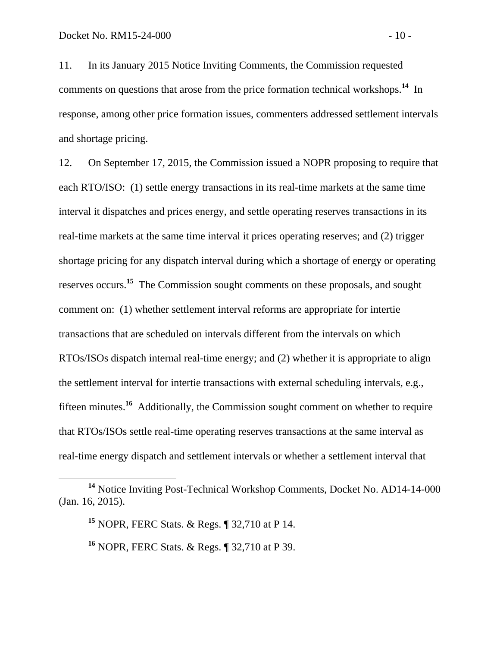11. In its January 2015 Notice Inviting Comments, the Commission requested comments on questions that arose from the price formation technical workshops.**<sup>14</sup>** In response, among other price formation issues, commenters addressed settlement intervals and shortage pricing.

12. On September 17, 2015, the Commission issued a NOPR proposing to require that each RTO/ISO: (1) settle energy transactions in its real-time markets at the same time interval it dispatches and prices energy, and settle operating reserves transactions in its real-time markets at the same time interval it prices operating reserves; and (2) trigger shortage pricing for any dispatch interval during which a shortage of energy or operating reserves occurs. **<sup>15</sup>** The Commission sought comments on these proposals, and sought comment on: (1) whether settlement interval reforms are appropriate for intertie transactions that are scheduled on intervals different from the intervals on which RTOs/ISOs dispatch internal real-time energy; and (2) whether it is appropriate to align the settlement interval for intertie transactions with external scheduling intervals, e.g., fifteen minutes.**<sup>16</sup>** Additionally, the Commission sought comment on whether to require that RTOs/ISOs settle real-time operating reserves transactions at the same interval as real-time energy dispatch and settlement intervals or whether a settlement interval that

**<sup>14</sup>** Notice Inviting Post-Technical Workshop Comments, Docket No. AD14-14-000 (Jan. 16, 2015).

**<sup>15</sup>** NOPR, FERC Stats. & Regs. ¶ 32,710 at P 14.

**<sup>16</sup>** NOPR, FERC Stats. & Regs. ¶ 32,710 at P 39.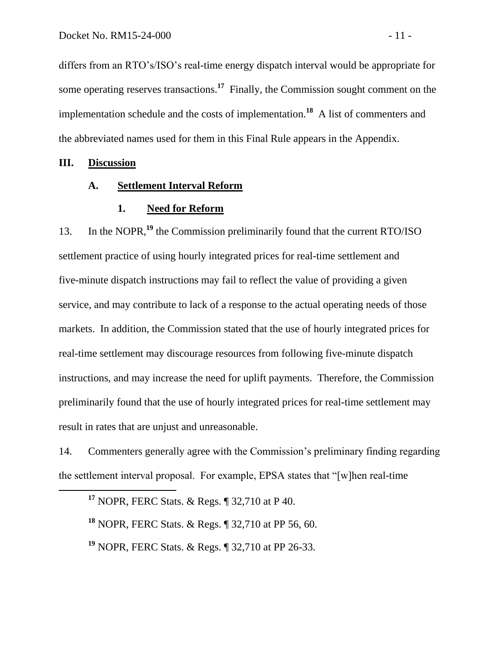differs from an RTO's/ISO's real-time energy dispatch interval would be appropriate for some operating reserves transactions.**<sup>17</sup>** Finally, the Commission sought comment on the implementation schedule and the costs of implementation.**<sup>18</sup>** A list of commenters and the abbreviated names used for them in this Final Rule appears in the Appendix.

**III. Discussion**

 $\overline{a}$ 

## **A. Settlement Interval Reform**

#### <span id="page-12-2"></span><span id="page-12-1"></span><span id="page-12-0"></span>**1. Need for Reform**

13. In the NOPR,**<sup>19</sup>** the Commission preliminarily found that the current RTO/ISO settlement practice of using hourly integrated prices for real-time settlement and five-minute dispatch instructions may fail to reflect the value of providing a given service, and may contribute to lack of a response to the actual operating needs of those markets. In addition, the Commission stated that the use of hourly integrated prices for real-time settlement may discourage resources from following five-minute dispatch instructions, and may increase the need for uplift payments. Therefore, the Commission preliminarily found that the use of hourly integrated prices for real-time settlement may result in rates that are unjust and unreasonable.

14. Commenters generally agree with the Commission's preliminary finding regarding the settlement interval proposal. For example, EPSA states that "[w]hen real-time

**<sup>17</sup>** NOPR, FERC Stats. & Regs. ¶ 32,710 at P 40.

**<sup>18</sup>** NOPR, FERC Stats. & Regs. ¶ 32,710 at PP 56, 60.

**<sup>19</sup>** NOPR, FERC Stats. & Regs. ¶ 32,710 at PP 26-33.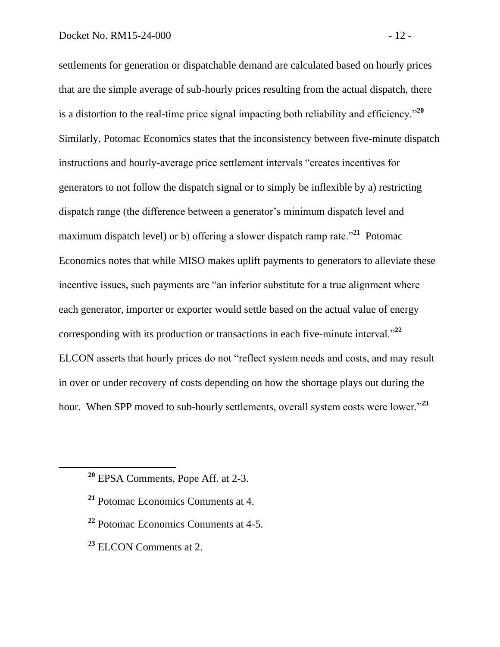settlements for generation or dispatchable demand are calculated based on hourly prices that are the simple average of sub-hourly prices resulting from the actual dispatch, there is a distortion to the real-time price signal impacting both reliability and efficiency."**<sup>20</sup>** Similarly, Potomac Economics states that the inconsistency between five-minute dispatch instructions and hourly-average price settlement intervals "creates incentives for generators to not follow the dispatch signal or to simply be inflexible by a) restricting dispatch range (the difference between a generator's minimum dispatch level and maximum dispatch level) or b) offering a slower dispatch ramp rate.<sup>"21</sup> Potomac Economics notes that while MISO makes uplift payments to generators to alleviate these incentive issues, such payments are "an inferior substitute for a true alignment where each generator, importer or exporter would settle based on the actual value of energy corresponding with its production or transactions in each five-minute interval."**<sup>22</sup>** ELCON asserts that hourly prices do not "reflect system needs and costs, and may result in over or under recovery of costs depending on how the shortage plays out during the hour. When SPP moved to sub-hourly settlements, overall system costs were lower."**<sup>23</sup>**

- **<sup>22</sup>** Potomac Economics Comments at 4-5.
- **<sup>23</sup>** ELCON Comments at 2.

**<sup>20</sup>** EPSA Comments, Pope Aff. at 2-3.

**<sup>21</sup>** Potomac Economics Comments at 4.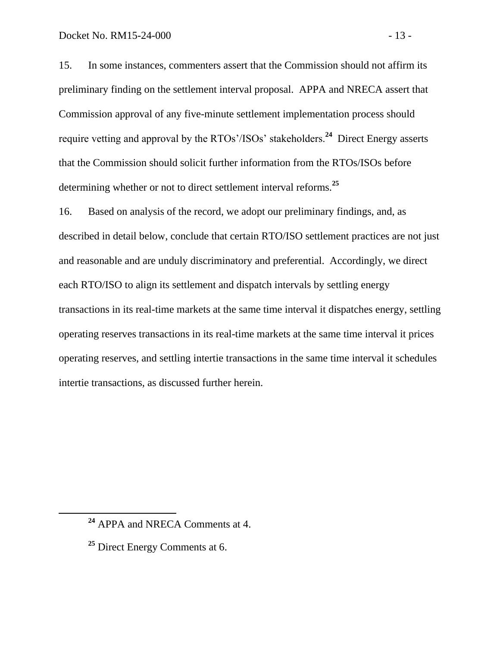15. In some instances, commenters assert that the Commission should not affirm its preliminary finding on the settlement interval proposal. APPA and NRECA assert that Commission approval of any five-minute settlement implementation process should require vetting and approval by the RTOs'/ISOs' stakeholders.**<sup>24</sup>** Direct Energy asserts that the Commission should solicit further information from the RTOs/ISOs before determining whether or not to direct settlement interval reforms.**<sup>25</sup>**

16. Based on analysis of the record, we adopt our preliminary findings, and, as described in detail below, conclude that certain RTO/ISO settlement practices are not just and reasonable and are unduly discriminatory and preferential. Accordingly, we direct each RTO/ISO to align its settlement and dispatch intervals by settling energy transactions in its real-time markets at the same time interval it dispatches energy, settling operating reserves transactions in its real-time markets at the same time interval it prices operating reserves, and settling intertie transactions in the same time interval it schedules intertie transactions, as discussed further herein.

**<sup>24</sup>** APPA and NRECA Comments at 4.

**<sup>25</sup>** Direct Energy Comments at 6.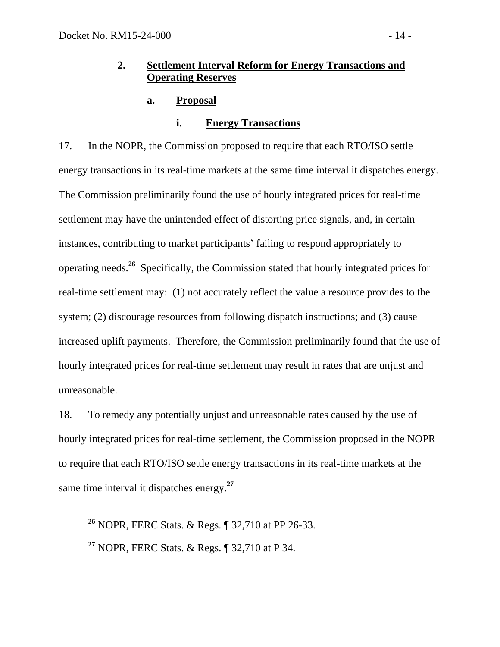## **2. Settlement Interval Reform for Energy Transactions and Operating Reserves**

## **a. Proposal**

### <span id="page-15-2"></span><span id="page-15-1"></span><span id="page-15-0"></span>**i. Energy Transactions**

17. In the NOPR, the Commission proposed to require that each RTO/ISO settle energy transactions in its real-time markets at the same time interval it dispatches energy. The Commission preliminarily found the use of hourly integrated prices for real-time settlement may have the unintended effect of distorting price signals, and, in certain instances, contributing to market participants' failing to respond appropriately to operating needs.**<sup>26</sup>** Specifically, the Commission stated that hourly integrated prices for real-time settlement may: (1) not accurately reflect the value a resource provides to the system; (2) discourage resources from following dispatch instructions; and (3) cause increased uplift payments. Therefore, the Commission preliminarily found that the use of hourly integrated prices for real-time settlement may result in rates that are unjust and unreasonable.

18. To remedy any potentially unjust and unreasonable rates caused by the use of hourly integrated prices for real-time settlement, the Commission proposed in the NOPR to require that each RTO/ISO settle energy transactions in its real-time markets at the same time interval it dispatches energy. **27**

**<sup>26</sup>** NOPR, FERC Stats. & Regs. ¶ 32,710 at PP 26-33.

**<sup>27</sup>** NOPR, FERC Stats. & Regs. ¶ 32,710 at P 34.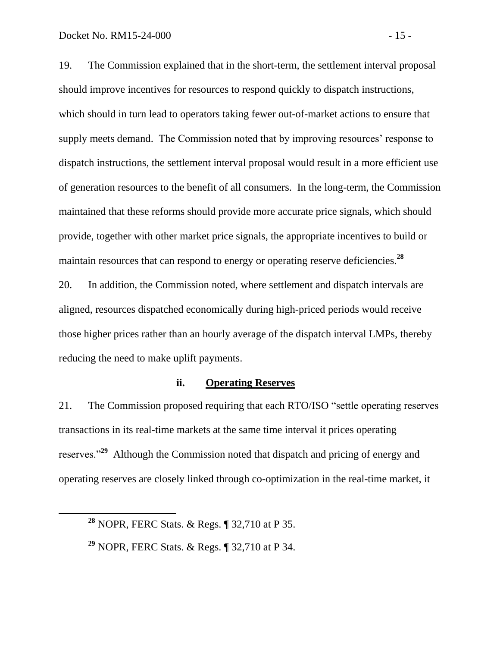19. The Commission explained that in the short-term, the settlement interval proposal should improve incentives for resources to respond quickly to dispatch instructions, which should in turn lead to operators taking fewer out-of-market actions to ensure that supply meets demand. The Commission noted that by improving resources' response to dispatch instructions, the settlement interval proposal would result in a more efficient use of generation resources to the benefit of all consumers. In the long-term, the Commission maintained that these reforms should provide more accurate price signals, which should provide, together with other market price signals, the appropriate incentives to build or maintain resources that can respond to energy or operating reserve deficiencies. **28**

20. In addition, the Commission noted, where settlement and dispatch intervals are aligned, resources dispatched economically during high-priced periods would receive those higher prices rather than an hourly average of the dispatch interval LMPs, thereby reducing the need to make uplift payments.

#### <span id="page-16-0"></span>**ii. Operating Reserves**

21. The Commission proposed requiring that each RTO/ISO "settle operating reserves transactions in its real-time markets at the same time interval it prices operating reserves."**<sup>29</sup>** Although the Commission noted that dispatch and pricing of energy and operating reserves are closely linked through co-optimization in the real-time market, it

**<sup>28</sup>** NOPR, FERC Stats. & Regs. ¶ 32,710 at P 35.

**<sup>29</sup>** NOPR, FERC Stats. & Regs. ¶ 32,710 at P 34.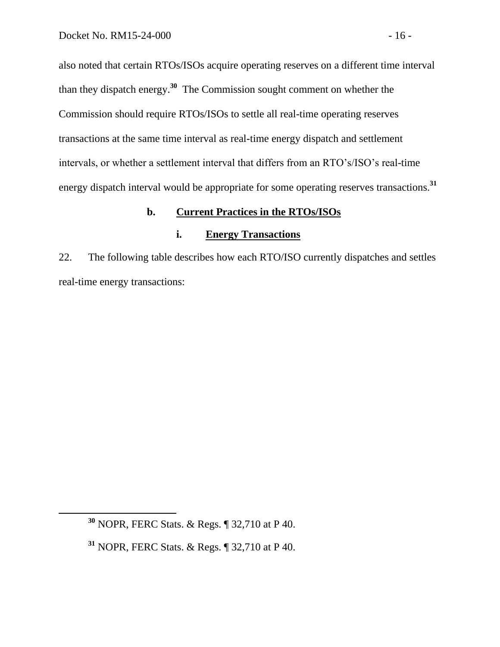also noted that certain RTOs/ISOs acquire operating reserves on a different time interval than they dispatch energy.**<sup>30</sup>** The Commission sought comment on whether the Commission should require RTOs/ISOs to settle all real-time operating reserves transactions at the same time interval as real-time energy dispatch and settlement intervals, or whether a settlement interval that differs from an RTO's/ISO's real-time energy dispatch interval would be appropriate for some operating reserves transactions.**<sup>31</sup>**

### **b. Current Practices in the RTOs/ISOs**

### <span id="page-17-1"></span><span id="page-17-0"></span>**i. Energy Transactions**

22. The following table describes how each RTO/ISO currently dispatches and settles real-time energy transactions:

**<sup>30</sup>** NOPR, FERC Stats. & Regs. ¶ 32,710 at P 40.

**<sup>31</sup>** NOPR, FERC Stats. & Regs. ¶ 32,710 at P 40.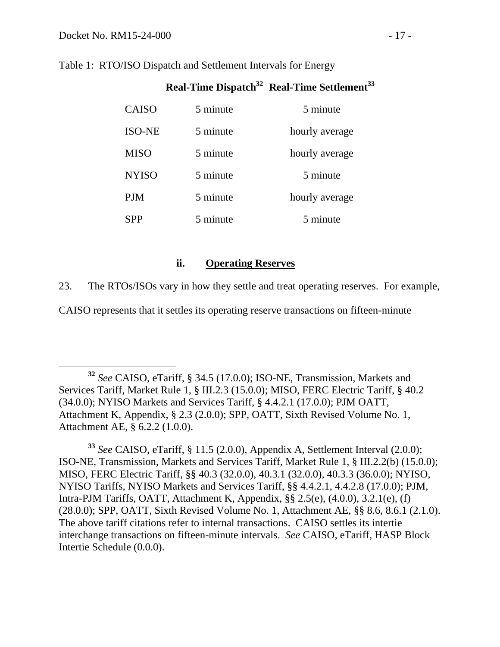$\overline{a}$ 

| <b>CAISO</b>  | 5 minute | 5 minute       |
|---------------|----------|----------------|
| <b>ISO-NE</b> | 5 minute | hourly average |
| <b>MISO</b>   | 5 minute | hourly average |
| <b>NYISO</b>  | 5 minute | 5 minute       |
| PJM           | 5 minute | hourly average |
| <b>SPP</b>    | 5 minute | 5 minute       |

**Real-Time Dispatch<sup>32</sup> Real-Time Settlement<sup>33</sup>**

## Table 1: RTO/ISO Dispatch and Settlement Intervals for Energy

# <span id="page-18-0"></span>**ii. Operating Reserves**

23. The RTOs/ISOs vary in how they settle and treat operating reserves. For example,

CAISO represents that it settles its operating reserve transactions on fifteen-minute

**<sup>32</sup>** *See* CAISO, eTariff, § 34.5 (17.0.0); ISO-NE, Transmission, Markets and Services Tariff, Market Rule 1, § III.2.3 (15.0.0); MISO, FERC Electric Tariff, § 40.2 (34.0.0); NYISO Markets and Services Tariff, § 4.4.2.1 (17.0.0); PJM OATT, Attachment K, Appendix, § 2.3 (2.0.0); SPP, OATT, Sixth Revised Volume No. 1, Attachment AE, § 6.2.2 (1.0.0).

**<sup>33</sup>** *See* CAISO, eTariff, § 11.5 (2.0.0), Appendix A, Settlement Interval (2.0.0); ISO-NE, Transmission, Markets and Services Tariff, Market Rule 1, § III.2.2(b) (15.0.0); MISO, FERC Electric Tariff, §§ 40.3 (32.0.0), 40.3.1 (32.0.0), 40.3.3 (36.0.0); NYISO, NYISO Tariffs, NYISO Markets and Services Tariff, §§ 4.4.2.1, 4.4.2.8 (17.0.0); PJM, Intra-PJM Tariffs, OATT, Attachment K, Appendix, §§ 2.5(e), (4.0.0), 3.2.1(e), (f) (28.0.0); SPP, OATT, Sixth Revised Volume No. 1, Attachment AE, §§ 8.6, 8.6.1 (2.1.0). The above tariff citations refer to internal transactions. CAISO settles its intertie interchange transactions on fifteen-minute intervals. *See* CAISO, eTariff, HASP Block Intertie Schedule (0.0.0).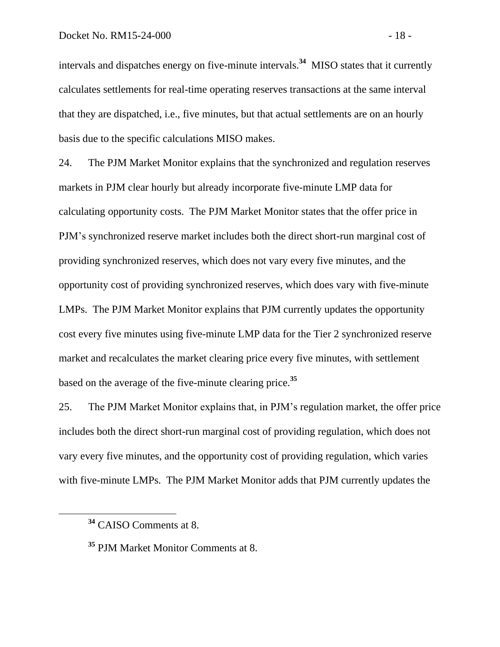intervals and dispatches energy on five-minute intervals.**<sup>34</sup>** MISO states that it currently calculates settlements for real-time operating reserves transactions at the same interval that they are dispatched, i.e., five minutes, but that actual settlements are on an hourly basis due to the specific calculations MISO makes.

24. The PJM Market Monitor explains that the synchronized and regulation reserves markets in PJM clear hourly but already incorporate five-minute LMP data for calculating opportunity costs. The PJM Market Monitor states that the offer price in PJM's synchronized reserve market includes both the direct short-run marginal cost of providing synchronized reserves, which does not vary every five minutes, and the opportunity cost of providing synchronized reserves, which does vary with five-minute LMPs. The PJM Market Monitor explains that PJM currently updates the opportunity cost every five minutes using five-minute LMP data for the Tier 2 synchronized reserve market and recalculates the market clearing price every five minutes, with settlement based on the average of the five-minute clearing price.**<sup>35</sup>**

25. The PJM Market Monitor explains that, in PJM's regulation market, the offer price includes both the direct short-run marginal cost of providing regulation, which does not vary every five minutes, and the opportunity cost of providing regulation, which varies with five-minute LMPs. The PJM Market Monitor adds that PJM currently updates the

**<sup>34</sup>** CAISO Comments at 8.

**<sup>35</sup>** PJM Market Monitor Comments at 8.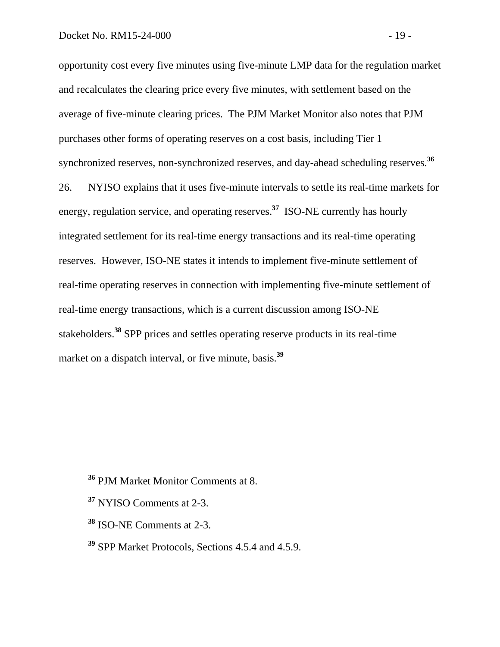opportunity cost every five minutes using five-minute LMP data for the regulation market and recalculates the clearing price every five minutes, with settlement based on the average of five-minute clearing prices. The PJM Market Monitor also notes that PJM purchases other forms of operating reserves on a cost basis, including Tier 1 synchronized reserves, non-synchronized reserves, and day-ahead scheduling reserves.**<sup>36</sup>**

26. NYISO explains that it uses five-minute intervals to settle its real-time markets for energy, regulation service, and operating reserves.**<sup>37</sup>** ISO-NE currently has hourly integrated settlement for its real-time energy transactions and its real-time operating reserves. However, ISO-NE states it intends to implement five-minute settlement of real-time operating reserves in connection with implementing five-minute settlement of real-time energy transactions, which is a current discussion among ISO-NE stakeholders.**<sup>38</sup>** SPP prices and settles operating reserve products in its real-time market on a dispatch interval, or five minute, basis.**<sup>39</sup>**

**<sup>37</sup>** NYISO Comments at 2-3.

- **<sup>38</sup>** ISO-NE Comments at 2-3.
- **<sup>39</sup>** SPP Market Protocols, Sections 4.5.4 and 4.5.9.

**<sup>36</sup>** PJM Market Monitor Comments at 8.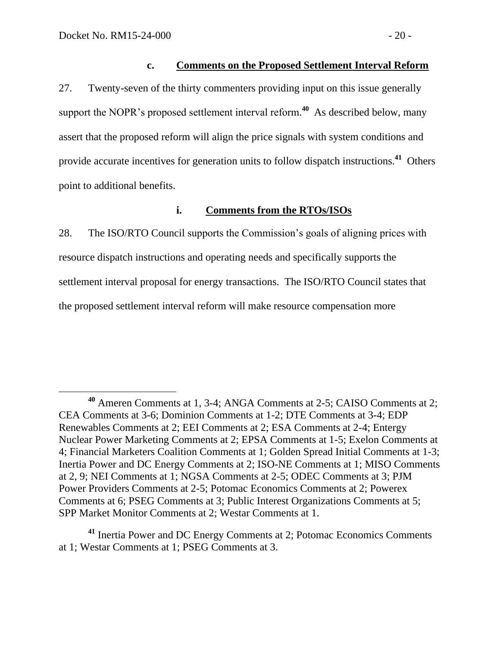#### <span id="page-21-0"></span>**c. Comments on the Proposed Settlement Interval Reform**

27. Twenty-seven of the thirty commenters providing input on this issue generally support the NOPR's proposed settlement interval reform.<sup>40</sup> As described below, many assert that the proposed reform will align the price signals with system conditions and provide accurate incentives for generation units to follow dispatch instructions.<sup>41</sup> Others point to additional benefits.

#### <span id="page-21-1"></span>**i. Comments from the RTOs/ISOs**

28. The ISO/RTO Council supports the Commission's goals of aligning prices with resource dispatch instructions and operating needs and specifically supports the settlement interval proposal for energy transactions. The ISO/RTO Council states that the proposed settlement interval reform will make resource compensation more

**<sup>40</sup>** Ameren Comments at 1, 3-4; ANGA Comments at 2-5; CAISO Comments at 2; CEA Comments at 3-6; Dominion Comments at 1-2; DTE Comments at 3-4; EDP Renewables Comments at 2; EEI Comments at 2; ESA Comments at 2-4; Entergy Nuclear Power Marketing Comments at 2; EPSA Comments at 1-5; Exelon Comments at 4; Financial Marketers Coalition Comments at 1; Golden Spread Initial Comments at 1-3; Inertia Power and DC Energy Comments at 2; ISO-NE Comments at 1; MISO Comments at 2, 9; NEI Comments at 1; NGSA Comments at 2-5; ODEC Comments at 3; PJM Power Providers Comments at 2-5; Potomac Economics Comments at 2; Powerex Comments at 6; PSEG Comments at 3; Public Interest Organizations Comments at 5; SPP Market Monitor Comments at 2; Westar Comments at 1.

**<sup>41</sup>** Inertia Power and DC Energy Comments at 2; Potomac Economics Comments at 1; Westar Comments at 1; PSEG Comments at 3.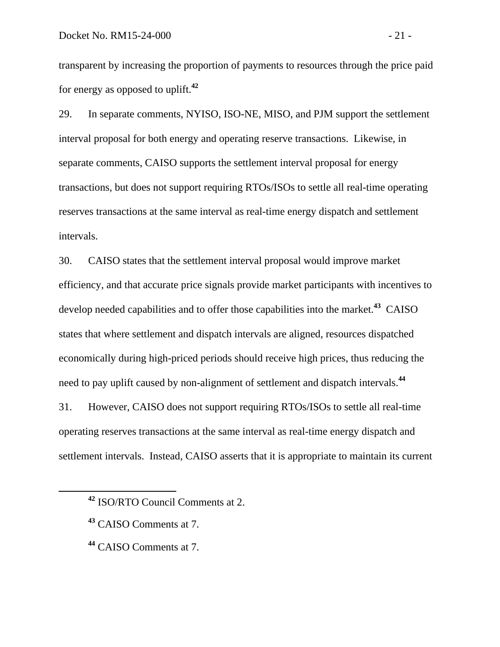transparent by increasing the proportion of payments to resources through the price paid for energy as opposed to uplift.**<sup>42</sup>**

29. In separate comments, NYISO, ISO-NE, MISO, and PJM support the settlement interval proposal for both energy and operating reserve transactions. Likewise, in separate comments, CAISO supports the settlement interval proposal for energy transactions, but does not support requiring RTOs/ISOs to settle all real-time operating reserves transactions at the same interval as real-time energy dispatch and settlement intervals.

30. CAISO states that the settlement interval proposal would improve market efficiency, and that accurate price signals provide market participants with incentives to develop needed capabilities and to offer those capabilities into the market.**<sup>43</sup>** CAISO states that where settlement and dispatch intervals are aligned, resources dispatched economically during high-priced periods should receive high prices, thus reducing the need to pay uplift caused by non-alignment of settlement and dispatch intervals.**<sup>44</sup>**

31. However, CAISO does not support requiring RTOs/ISOs to settle all real-time operating reserves transactions at the same interval as real-time energy dispatch and settlement intervals. Instead, CAISO asserts that it is appropriate to maintain its current

**<sup>42</sup>** ISO/RTO Council Comments at 2.

**<sup>43</sup>** CAISO Comments at 7.

**<sup>44</sup>** CAISO Comments at 7.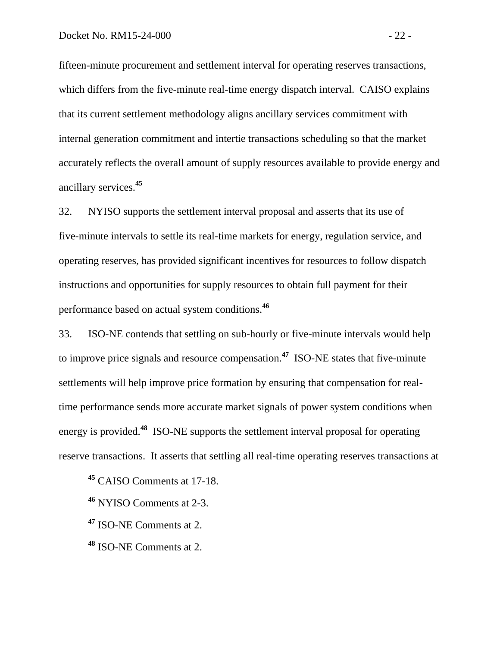fifteen-minute procurement and settlement interval for operating reserves transactions, which differs from the five-minute real-time energy dispatch interval. CAISO explains that its current settlement methodology aligns ancillary services commitment with internal generation commitment and intertie transactions scheduling so that the market accurately reflects the overall amount of supply resources available to provide energy and ancillary services.**<sup>45</sup>**

32. NYISO supports the settlement interval proposal and asserts that its use of five-minute intervals to settle its real-time markets for energy, regulation service, and operating reserves, has provided significant incentives for resources to follow dispatch instructions and opportunities for supply resources to obtain full payment for their performance based on actual system conditions.**<sup>46</sup>**

33. ISO-NE contends that settling on sub-hourly or five-minute intervals would help to improve price signals and resource compensation.**<sup>47</sup>** ISO-NE states that five-minute settlements will help improve price formation by ensuring that compensation for realtime performance sends more accurate market signals of power system conditions when energy is provided.**<sup>48</sup>** ISO-NE supports the settlement interval proposal for operating reserve transactions. It asserts that settling all real-time operating reserves transactions at

**<sup>45</sup>** CAISO Comments at 17-18.

**<sup>46</sup>** NYISO Comments at 2-3.

**<sup>47</sup>** ISO-NE Comments at 2.

**<sup>48</sup>** ISO-NE Comments at 2.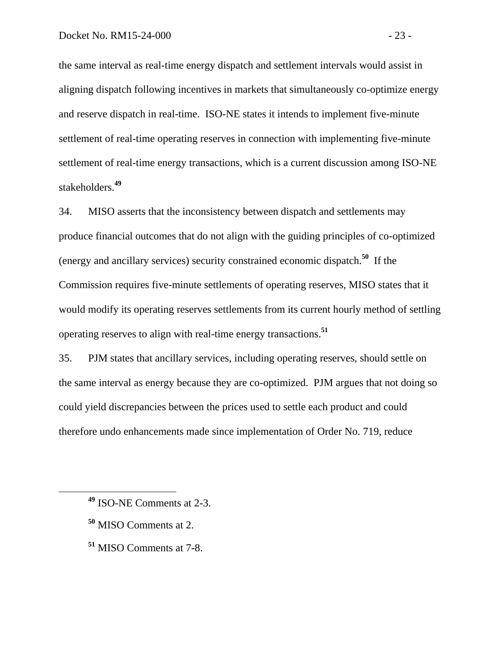the same interval as real-time energy dispatch and settlement intervals would assist in aligning dispatch following incentives in markets that simultaneously co-optimize energy and reserve dispatch in real-time. ISO-NE states it intends to implement five-minute settlement of real-time operating reserves in connection with implementing five-minute settlement of real-time energy transactions, which is a current discussion among ISO-NE stakeholders.**<sup>49</sup>**

34. MISO asserts that the inconsistency between dispatch and settlements may produce financial outcomes that do not align with the guiding principles of co-optimized (energy and ancillary services) security constrained economic dispatch.**<sup>50</sup>** If the Commission requires five-minute settlements of operating reserves, MISO states that it would modify its operating reserves settlements from its current hourly method of settling operating reserves to align with real-time energy transactions.**<sup>51</sup>**

35. PJM states that ancillary services, including operating reserves, should settle on the same interval as energy because they are co-optimized. PJM argues that not doing so could yield discrepancies between the prices used to settle each product and could therefore undo enhancements made since implementation of Order No. 719, reduce

**<sup>50</sup>** MISO Comments at 2.

 $\overline{a}$ 

**<sup>51</sup>** MISO Comments at 7-8.

**<sup>49</sup>** ISO-NE Comments at 2-3.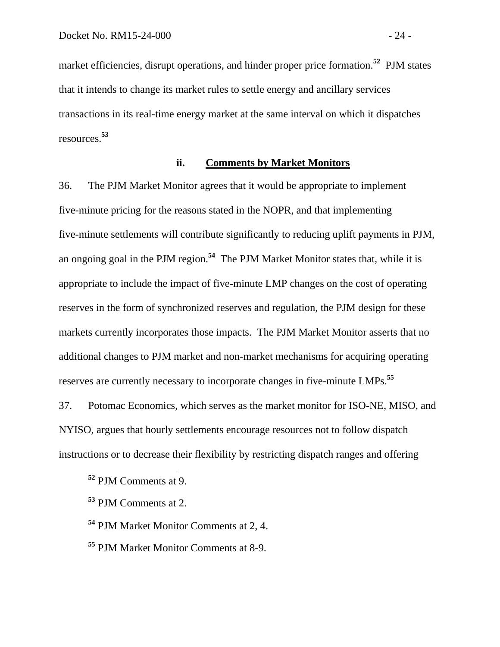market efficiencies, disrupt operations, and hinder proper price formation.**<sup>52</sup>** PJM states that it intends to change its market rules to settle energy and ancillary services transactions in its real-time energy market at the same interval on which it dispatches resources. **53**

## <span id="page-25-0"></span>**ii. Comments by Market Monitors**

36. The PJM Market Monitor agrees that it would be appropriate to implement five-minute pricing for the reasons stated in the NOPR, and that implementing five-minute settlements will contribute significantly to reducing uplift payments in PJM, an ongoing goal in the PJM region.**<sup>54</sup>** The PJM Market Monitor states that, while it is appropriate to include the impact of five-minute LMP changes on the cost of operating reserves in the form of synchronized reserves and regulation, the PJM design for these markets currently incorporates those impacts. The PJM Market Monitor asserts that no additional changes to PJM market and non-market mechanisms for acquiring operating reserves are currently necessary to incorporate changes in five-minute LMPs.**<sup>55</sup>**

37. Potomac Economics, which serves as the market monitor for ISO-NE, MISO, and NYISO, argues that hourly settlements encourage resources not to follow dispatch instructions or to decrease their flexibility by restricting dispatch ranges and offering

**<sup>54</sup>** PJM Market Monitor Comments at 2, 4.

**<sup>55</sup>** PJM Market Monitor Comments at 8-9.

**<sup>52</sup>** PJM Comments at 9.

**<sup>53</sup>** PJM Comments at 2.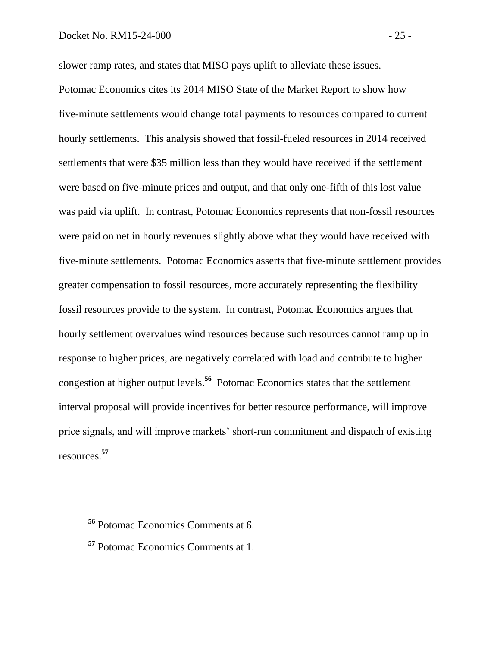slower ramp rates, and states that MISO pays uplift to alleviate these issues.

Potomac Economics cites its 2014 MISO State of the Market Report to show how five-minute settlements would change total payments to resources compared to current hourly settlements. This analysis showed that fossil-fueled resources in 2014 received settlements that were \$35 million less than they would have received if the settlement were based on five-minute prices and output, and that only one-fifth of this lost value was paid via uplift. In contrast, Potomac Economics represents that non-fossil resources were paid on net in hourly revenues slightly above what they would have received with five-minute settlements. Potomac Economics asserts that five-minute settlement provides greater compensation to fossil resources, more accurately representing the flexibility fossil resources provide to the system. In contrast, Potomac Economics argues that hourly settlement overvalues wind resources because such resources cannot ramp up in response to higher prices, are negatively correlated with load and contribute to higher congestion at higher output levels.**<sup>56</sup>** Potomac Economics states that the settlement interval proposal will provide incentives for better resource performance, will improve price signals, and will improve markets' short-run commitment and dispatch of existing resources. **57**

**<sup>56</sup>** Potomac Economics Comments at 6.

**<sup>57</sup>** Potomac Economics Comments at 1.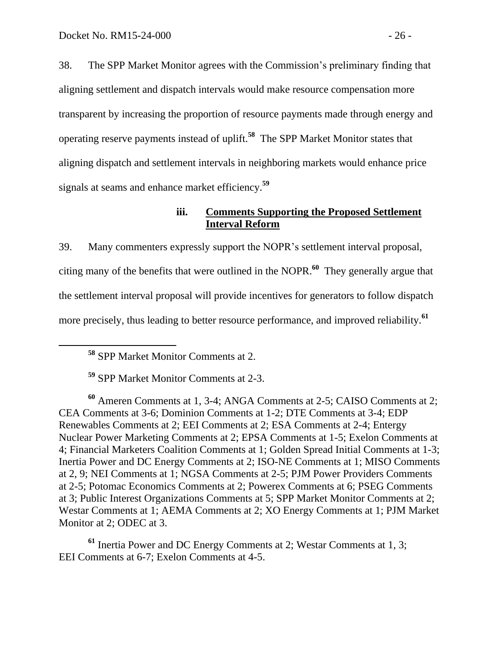38. The SPP Market Monitor agrees with the Commission's preliminary finding that aligning settlement and dispatch intervals would make resource compensation more transparent by increasing the proportion of resource payments made through energy and operating reserve payments instead of uplift.**<sup>58</sup>** The SPP Market Monitor states that aligning dispatch and settlement intervals in neighboring markets would enhance price signals at seams and enhance market efficiency.**<sup>59</sup>**

### <span id="page-27-0"></span>**iii. Comments Supporting the Proposed Settlement Interval Reform**

39. Many commenters expressly support the NOPR's settlement interval proposal, citing many of the benefits that were outlined in the NOPR. **60** They generally argue that the settlement interval proposal will provide incentives for generators to follow dispatch more precisely, thus leading to better resource performance, and improved reliability.**<sup>61</sup>**

**<sup>58</sup>** SPP Market Monitor Comments at 2.

 $\overline{a}$ 

**<sup>59</sup>** SPP Market Monitor Comments at 2-3.

**<sup>60</sup>** Ameren Comments at 1, 3-4; ANGA Comments at 2-5; CAISO Comments at 2; CEA Comments at 3-6; Dominion Comments at 1-2; DTE Comments at 3-4; EDP Renewables Comments at 2; EEI Comments at 2; ESA Comments at 2-4; Entergy Nuclear Power Marketing Comments at 2; EPSA Comments at 1-5; Exelon Comments at 4; Financial Marketers Coalition Comments at 1; Golden Spread Initial Comments at 1-3; Inertia Power and DC Energy Comments at 2; ISO-NE Comments at 1; MISO Comments at 2, 9; NEI Comments at 1; NGSA Comments at 2-5; PJM Power Providers Comments at 2-5; Potomac Economics Comments at 2; Powerex Comments at 6; PSEG Comments at 3; Public Interest Organizations Comments at 5; SPP Market Monitor Comments at 2; Westar Comments at 1; AEMA Comments at 2; XO Energy Comments at 1; PJM Market Monitor at 2; ODEC at 3.

**<sup>61</sup>** Inertia Power and DC Energy Comments at 2; Westar Comments at 1, 3; EEI Comments at 6-7; Exelon Comments at 4-5.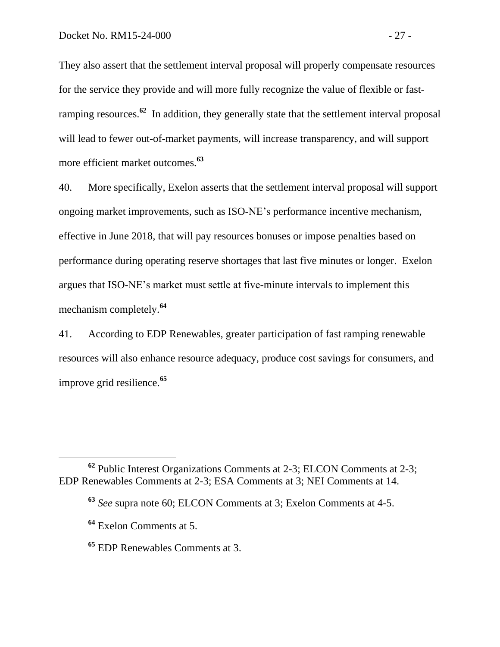They also assert that the settlement interval proposal will properly compensate resources for the service they provide and will more fully recognize the value of flexible or fastramping resources.**<sup>62</sup>** In addition, they generally state that the settlement interval proposal will lead to fewer out-of-market payments, will increase transparency, and will support more efficient market outcomes.**<sup>63</sup>**

40. More specifically, Exelon asserts that the settlement interval proposal will support ongoing market improvements, such as ISO-NE's performance incentive mechanism, effective in June 2018, that will pay resources bonuses or impose penalties based on performance during operating reserve shortages that last five minutes or longer. Exelon argues that ISO-NE's market must settle at five-minute intervals to implement this mechanism completely.**<sup>64</sup>**

41. According to EDP Renewables, greater participation of fast ramping renewable resources will also enhance resource adequacy, produce cost savings for consumers, and improve grid resilience.**<sup>65</sup>**

**<sup>62</sup>** Public Interest Organizations Comments at 2-3; ELCON Comments at 2-3; EDP Renewables Comments at 2-3; ESA Comments at 3; NEI Comments at 14.

**<sup>63</sup>** *See* supra note 60; ELCON Comments at 3; Exelon Comments at 4-5.

**<sup>64</sup>** Exelon Comments at 5.

**<sup>65</sup>** EDP Renewables Comments at 3.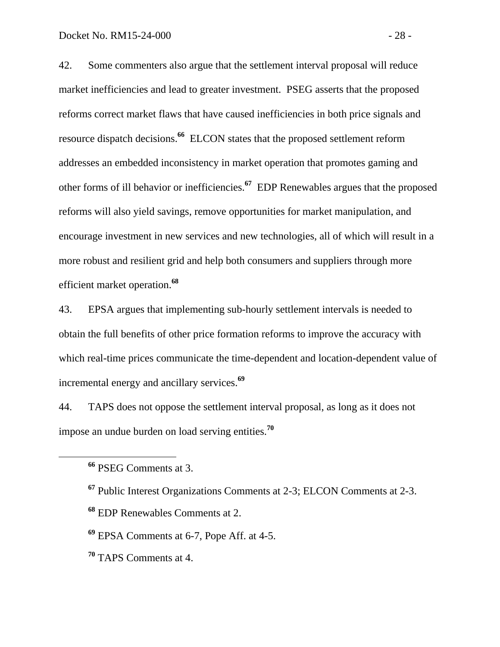42. Some commenters also argue that the settlement interval proposal will reduce market inefficiencies and lead to greater investment. PSEG asserts that the proposed reforms correct market flaws that have caused inefficiencies in both price signals and resource dispatch decisions.**<sup>66</sup>** ELCON states that the proposed settlement reform addresses an embedded inconsistency in market operation that promotes gaming and other forms of ill behavior or inefficiencies.**<sup>67</sup>** EDP Renewables argues that the proposed reforms will also yield savings, remove opportunities for market manipulation, and encourage investment in new services and new technologies, all of which will result in a more robust and resilient grid and help both consumers and suppliers through more efficient market operation.**<sup>68</sup>**

43. EPSA argues that implementing sub-hourly settlement intervals is needed to obtain the full benefits of other price formation reforms to improve the accuracy with which real-time prices communicate the time-dependent and location-dependent value of incremental energy and ancillary services.**<sup>69</sup>**

44. TAPS does not oppose the settlement interval proposal, as long as it does not impose an undue burden on load serving entities.**<sup>70</sup>**

**<sup>66</sup>** PSEG Comments at 3.

**<sup>67</sup>** Public Interest Organizations Comments at 2-3; ELCON Comments at 2-3.

**<sup>68</sup>** EDP Renewables Comments at 2.

**<sup>69</sup>** EPSA Comments at 6-7, Pope Aff. at 4-5.

**<sup>70</sup>** TAPS Comments at 4.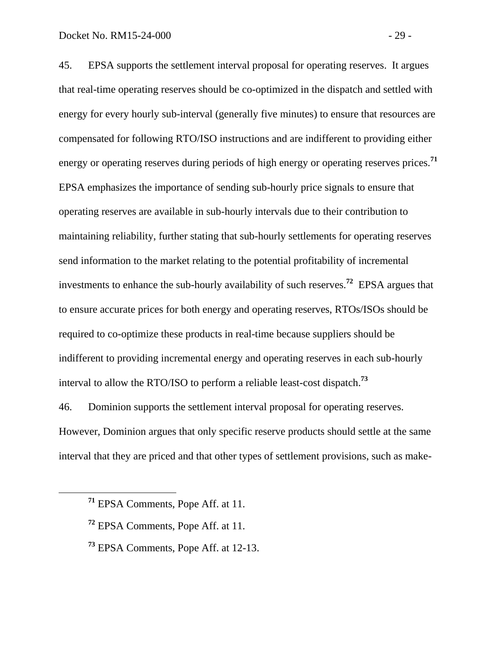45. EPSA supports the settlement interval proposal for operating reserves. It argues that real-time operating reserves should be co-optimized in the dispatch and settled with energy for every hourly sub-interval (generally five minutes) to ensure that resources are compensated for following RTO/ISO instructions and are indifferent to providing either energy or operating reserves during periods of high energy or operating reserves prices.**<sup>71</sup>** EPSA emphasizes the importance of sending sub-hourly price signals to ensure that operating reserves are available in sub-hourly intervals due to their contribution to maintaining reliability, further stating that sub-hourly settlements for operating reserves send information to the market relating to the potential profitability of incremental investments to enhance the sub-hourly availability of such reserves.**<sup>72</sup>** EPSA argues that to ensure accurate prices for both energy and operating reserves, RTOs/ISOs should be required to co-optimize these products in real-time because suppliers should be indifferent to providing incremental energy and operating reserves in each sub-hourly interval to allow the RTO/ISO to perform a reliable least-cost dispatch.**<sup>73</sup>**

46. Dominion supports the settlement interval proposal for operating reserves. However, Dominion argues that only specific reserve products should settle at the same interval that they are priced and that other types of settlement provisions, such as make-

**<sup>71</sup>** EPSA Comments, Pope Aff. at 11.

**<sup>72</sup>** EPSA Comments, Pope Aff. at 11.

**<sup>73</sup>** EPSA Comments, Pope Aff. at 12-13.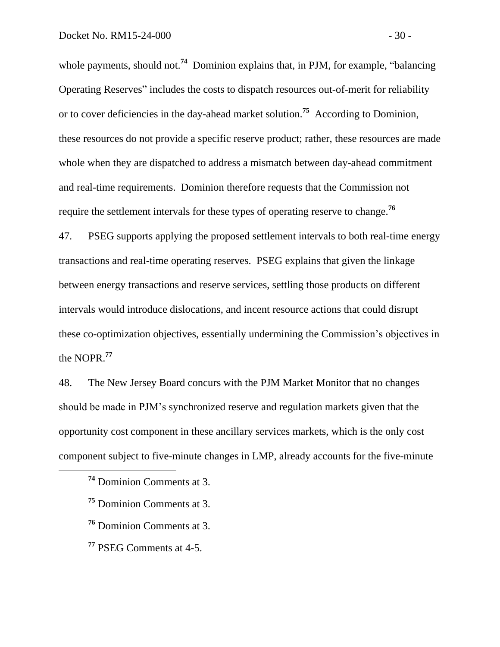whole payments, should not.<sup>74</sup> Dominion explains that, in PJM, for example, "balancing Operating Reserves" includes the costs to dispatch resources out-of-merit for reliability or to cover deficiencies in the day-ahead market solution.**<sup>75</sup>** According to Dominion, these resources do not provide a specific reserve product; rather, these resources are made whole when they are dispatched to address a mismatch between day-ahead commitment and real-time requirements. Dominion therefore requests that the Commission not require the settlement intervals for these types of operating reserve to change.**<sup>76</sup>**

47. PSEG supports applying the proposed settlement intervals to both real-time energy transactions and real-time operating reserves. PSEG explains that given the linkage between energy transactions and reserve services, settling those products on different intervals would introduce dislocations, and incent resource actions that could disrupt these co-optimization objectives, essentially undermining the Commission's objectives in the NOPR.**<sup>77</sup>**

48. The New Jersey Board concurs with the PJM Market Monitor that no changes should be made in PJM's synchronized reserve and regulation markets given that the opportunity cost component in these ancillary services markets, which is the only cost component subject to five-minute changes in LMP, already accounts for the five-minute

**<sup>74</sup>** Dominion Comments at 3.

**<sup>75</sup>** Dominion Comments at 3.

**<sup>76</sup>** Dominion Comments at 3.

**<sup>77</sup>** PSEG Comments at 4-5.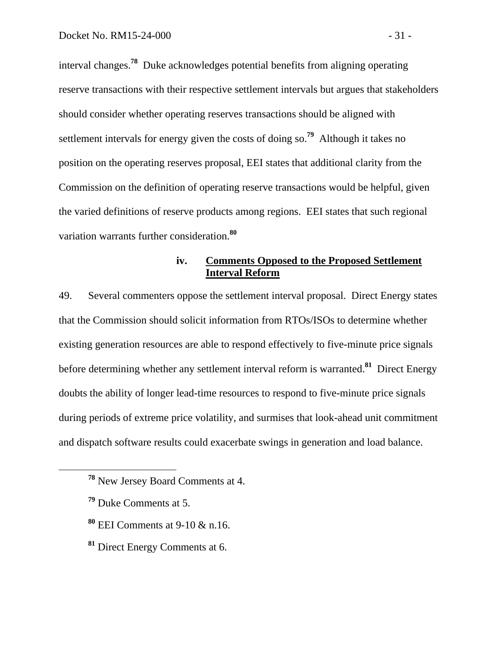interval changes.**<sup>78</sup>** Duke acknowledges potential benefits from aligning operating reserve transactions with their respective settlement intervals but argues that stakeholders should consider whether operating reserves transactions should be aligned with settlement intervals for energy given the costs of doing so.<sup>79</sup> Although it takes no position on the operating reserves proposal, EEI states that additional clarity from the Commission on the definition of operating reserve transactions would be helpful, given the varied definitions of reserve products among regions. EEI states that such regional variation warrants further consideration.**<sup>80</sup>**

## <span id="page-32-0"></span>**iv. Comments Opposed to the Proposed Settlement Interval Reform**

49. Several commenters oppose the settlement interval proposal. Direct Energy states that the Commission should solicit information from RTOs/ISOs to determine whether existing generation resources are able to respond effectively to five-minute price signals before determining whether any settlement interval reform is warranted. **81** Direct Energy doubts the ability of longer lead-time resources to respond to five-minute price signals during periods of extreme price volatility, and surmises that look-ahead unit commitment and dispatch software results could exacerbate swings in generation and load balance.

- **<sup>80</sup>** EEI Comments at 9-10 & n.16.
- **<sup>81</sup>** Direct Energy Comments at 6.

**<sup>78</sup>** New Jersey Board Comments at 4.

**<sup>79</sup>** Duke Comments at 5.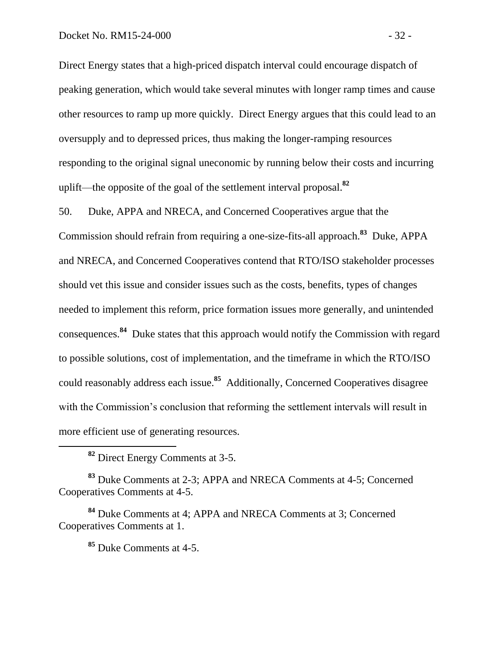Direct Energy states that a high-priced dispatch interval could encourage dispatch of peaking generation, which would take several minutes with longer ramp times and cause other resources to ramp up more quickly. Direct Energy argues that this could lead to an oversupply and to depressed prices, thus making the longer-ramping resources responding to the original signal uneconomic by running below their costs and incurring uplift—the opposite of the goal of the settlement interval proposal. **82**

50. Duke, APPA and NRECA, and Concerned Cooperatives argue that the

Commission should refrain from requiring a one-size-fits-all approach.**<sup>83</sup>** Duke, APPA and NRECA, and Concerned Cooperatives contend that RTO/ISO stakeholder processes should vet this issue and consider issues such as the costs, benefits, types of changes needed to implement this reform, price formation issues more generally, and unintended consequences. **84** Duke states that this approach would notify the Commission with regard to possible solutions, cost of implementation, and the timeframe in which the RTO/ISO could reasonably address each issue.**<sup>85</sup>** Additionally, Concerned Cooperatives disagree with the Commission's conclusion that reforming the settlement intervals will result in more efficient use of generating resources.

**<sup>82</sup>** Direct Energy Comments at 3-5.

**<sup>83</sup>** Duke Comments at 2-3; APPA and NRECA Comments at 4-5; Concerned Cooperatives Comments at 4-5.

**<sup>84</sup>** Duke Comments at 4; APPA and NRECA Comments at 3; Concerned Cooperatives Comments at 1.

**<sup>85</sup>** Duke Comments at 4-5.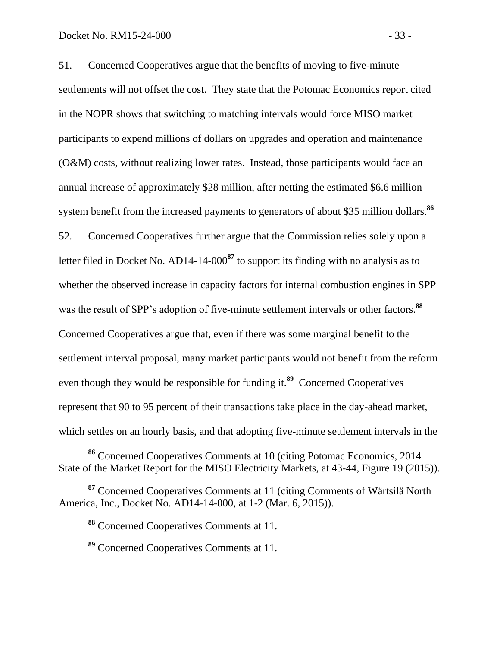$\overline{a}$ 

51. Concerned Cooperatives argue that the benefits of moving to five-minute settlements will not offset the cost. They state that the Potomac Economics report cited in the NOPR shows that switching to matching intervals would force MISO market participants to expend millions of dollars on upgrades and operation and maintenance (O&M) costs, without realizing lower rates. Instead, those participants would face an annual increase of approximately \$28 million, after netting the estimated \$6.6 million system benefit from the increased payments to generators of about \$35 million dollars.**<sup>86</sup>** 52. Concerned Cooperatives further argue that the Commission relies solely upon a letter filed in Docket No. AD14-14-000**<sup>87</sup>** to support its finding with no analysis as to whether the observed increase in capacity factors for internal combustion engines in SPP was the result of SPP's adoption of five-minute settlement intervals or other factors.**<sup>88</sup>** Concerned Cooperatives argue that, even if there was some marginal benefit to the settlement interval proposal, many market participants would not benefit from the reform even though they would be responsible for funding it.<sup>89</sup> Concerned Cooperatives

represent that 90 to 95 percent of their transactions take place in the day-ahead market,

which settles on an hourly basis, and that adopting five-minute settlement intervals in the

**<sup>86</sup>** Concerned Cooperatives Comments at 10 (citing Potomac Economics, 2014 State of the Market Report for the MISO Electricity Markets, at 43-44, Figure 19 (2015)).

**<sup>87</sup>** Concerned Cooperatives Comments at 11 (citing Comments of Wärtsilä North America, Inc., Docket No. AD14-14-000, at 1-2 (Mar. 6, 2015)).

**<sup>88</sup>** Concerned Cooperatives Comments at 11.

**<sup>89</sup>** Concerned Cooperatives Comments at 11.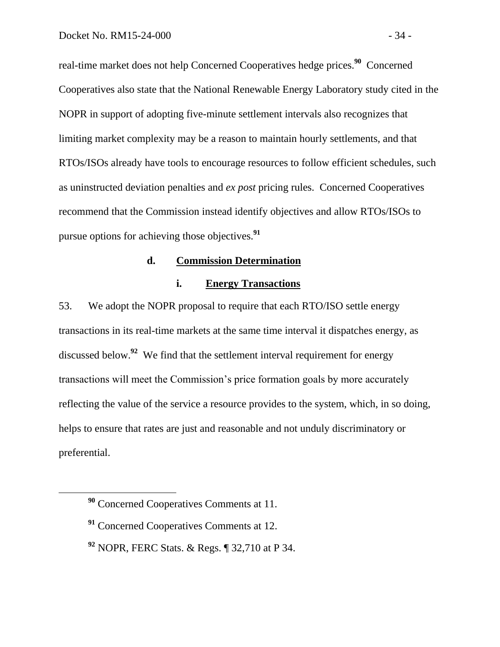real-time market does not help Concerned Cooperatives hedge prices.<sup>90</sup> Concerned Cooperatives also state that the National Renewable Energy Laboratory study cited in the NOPR in support of adopting five-minute settlement intervals also recognizes that limiting market complexity may be a reason to maintain hourly settlements, and that RTOs/ISOs already have tools to encourage resources to follow efficient schedules, such as uninstructed deviation penalties and *ex post* pricing rules. Concerned Cooperatives recommend that the Commission instead identify objectives and allow RTOs/ISOs to pursue options for achieving those objectives.**<sup>91</sup>**

#### **d. Commission Determination**

#### <span id="page-35-1"></span><span id="page-35-0"></span>**i. Energy Transactions**

53. We adopt the NOPR proposal to require that each RTO/ISO settle energy transactions in its real-time markets at the same time interval it dispatches energy, as discussed below. **92** We find that the settlement interval requirement for energy transactions will meet the Commission's price formation goals by more accurately reflecting the value of the service a resource provides to the system, which, in so doing, helps to ensure that rates are just and reasonable and not unduly discriminatory or preferential.

**<sup>90</sup>** Concerned Cooperatives Comments at 11.

**<sup>91</sup>** Concerned Cooperatives Comments at 12.

**<sup>92</sup>** NOPR, FERC Stats. & Regs. ¶ 32,710 at P 34.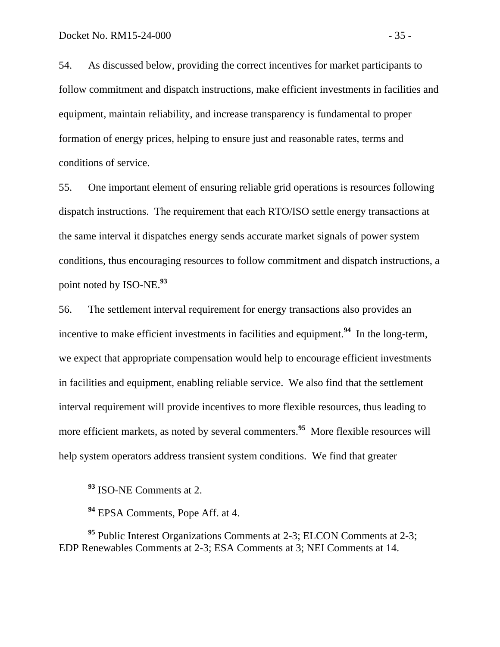54. As discussed below, providing the correct incentives for market participants to follow commitment and dispatch instructions, make efficient investments in facilities and equipment, maintain reliability, and increase transparency is fundamental to proper formation of energy prices, helping to ensure just and reasonable rates, terms and conditions of service.

55. One important element of ensuring reliable grid operations is resources following dispatch instructions. The requirement that each RTO/ISO settle energy transactions at the same interval it dispatches energy sends accurate market signals of power system conditions, thus encouraging resources to follow commitment and dispatch instructions, a point noted by ISO-NE. **93**

56. The settlement interval requirement for energy transactions also provides an incentive to make efficient investments in facilities and equipment.<sup>94</sup> In the long-term, we expect that appropriate compensation would help to encourage efficient investments in facilities and equipment, enabling reliable service. We also find that the settlement interval requirement will provide incentives to more flexible resources, thus leading to more efficient markets, as noted by several commenters.**<sup>95</sup>** More flexible resources will help system operators address transient system conditions. We find that greater

 $\overline{a}$ 

**<sup>95</sup>** Public Interest Organizations Comments at 2-3; ELCON Comments at 2-3; EDP Renewables Comments at 2-3; ESA Comments at 3; NEI Comments at 14.

**<sup>93</sup>** ISO-NE Comments at 2.

**<sup>94</sup>** EPSA Comments, Pope Aff. at 4.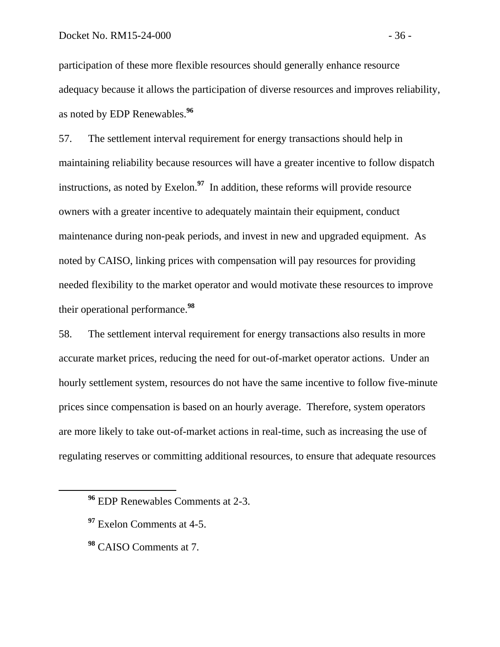participation of these more flexible resources should generally enhance resource adequacy because it allows the participation of diverse resources and improves reliability, as noted by EDP Renewables. **96**

57. The settlement interval requirement for energy transactions should help in maintaining reliability because resources will have a greater incentive to follow dispatch instructions, as noted by Exelon. **97** In addition, these reforms will provide resource owners with a greater incentive to adequately maintain their equipment, conduct maintenance during non-peak periods, and invest in new and upgraded equipment. As noted by CAISO, linking prices with compensation will pay resources for providing needed flexibility to the market operator and would motivate these resources to improve their operational performance. **98**

58. The settlement interval requirement for energy transactions also results in more accurate market prices, reducing the need for out-of-market operator actions. Under an hourly settlement system, resources do not have the same incentive to follow five-minute prices since compensation is based on an hourly average. Therefore, system operators are more likely to take out-of-market actions in real-time, such as increasing the use of regulating reserves or committing additional resources, to ensure that adequate resources

**<sup>97</sup>** Exelon Comments at 4-5.

 $\overline{a}$ 

**<sup>98</sup>** CAISO Comments at 7.

**<sup>96</sup>** EDP Renewables Comments at 2-3.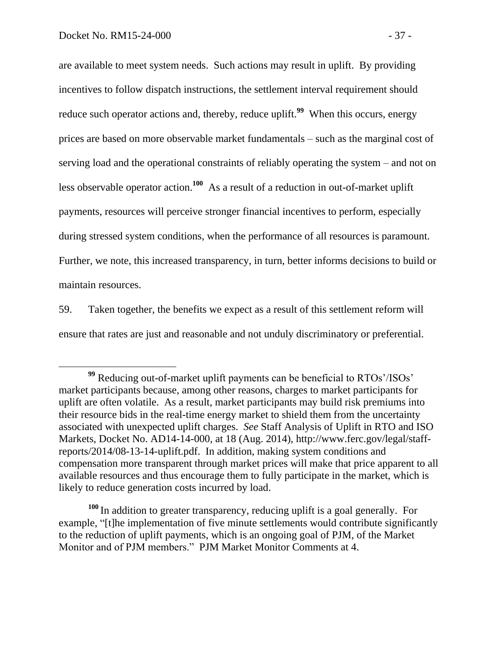$\overline{a}$ 

are available to meet system needs. Such actions may result in uplift. By providing incentives to follow dispatch instructions, the settlement interval requirement should reduce such operator actions and, thereby, reduce uplift.**<sup>99</sup>** When this occurs, energy prices are based on more observable market fundamentals – such as the marginal cost of serving load and the operational constraints of reliably operating the system – and not on less observable operator action.<sup>100</sup> As a result of a reduction in out-of-market uplift payments, resources will perceive stronger financial incentives to perform, especially during stressed system conditions, when the performance of all resources is paramount. Further, we note, this increased transparency, in turn, better informs decisions to build or maintain resources.

59. Taken together, the benefits we expect as a result of this settlement reform will ensure that rates are just and reasonable and not unduly discriminatory or preferential.

**<sup>100</sup>** In addition to greater transparency, reducing uplift is a goal generally. For example, "[t]he implementation of five minute settlements would contribute significantly to the reduction of uplift payments, which is an ongoing goal of PJM, of the Market Monitor and of PJM members." PJM Market Monitor Comments at 4.

**<sup>99</sup>** Reducing out-of-market uplift payments can be beneficial to RTOs'/ISOs' market participants because, among other reasons, charges to market participants for uplift are often volatile. As a result, market participants may build risk premiums into their resource bids in the real-time energy market to shield them from the uncertainty associated with unexpected uplift charges. *See* Staff Analysis of Uplift in RTO and ISO Markets, Docket No. AD14-14-000, at 18 (Aug. 2014), http://www.ferc.gov/legal/staffreports/2014/08-13-14-uplift.pdf. In addition, making system conditions and compensation more transparent through market prices will make that price apparent to all available resources and thus encourage them to fully participate in the market, which is likely to reduce generation costs incurred by load.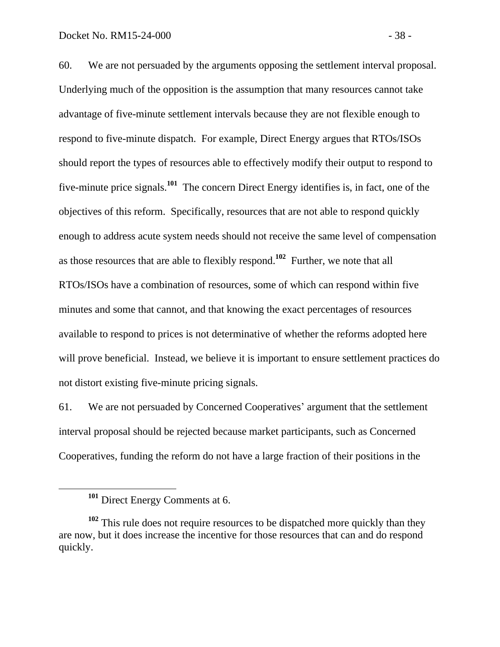60. We are not persuaded by the arguments opposing the settlement interval proposal. Underlying much of the opposition is the assumption that many resources cannot take advantage of five-minute settlement intervals because they are not flexible enough to respond to five-minute dispatch. For example, Direct Energy argues that RTOs/ISOs should report the types of resources able to effectively modify their output to respond to five-minute price signals.**<sup>101</sup>** The concern Direct Energy identifies is, in fact, one of the objectives of this reform. Specifically, resources that are not able to respond quickly enough to address acute system needs should not receive the same level of compensation as those resources that are able to flexibly respond.**<sup>102</sup>** Further, we note that all RTOs/ISOs have a combination of resources, some of which can respond within five minutes and some that cannot, and that knowing the exact percentages of resources available to respond to prices is not determinative of whether the reforms adopted here will prove beneficial. Instead, we believe it is important to ensure settlement practices do not distort existing five-minute pricing signals.

61. We are not persuaded by Concerned Cooperatives' argument that the settlement interval proposal should be rejected because market participants, such as Concerned Cooperatives, funding the reform do not have a large fraction of their positions in the

**<sup>101</sup>** Direct Energy Comments at 6.

**<sup>102</sup>** This rule does not require resources to be dispatched more quickly than they are now, but it does increase the incentive for those resources that can and do respond quickly.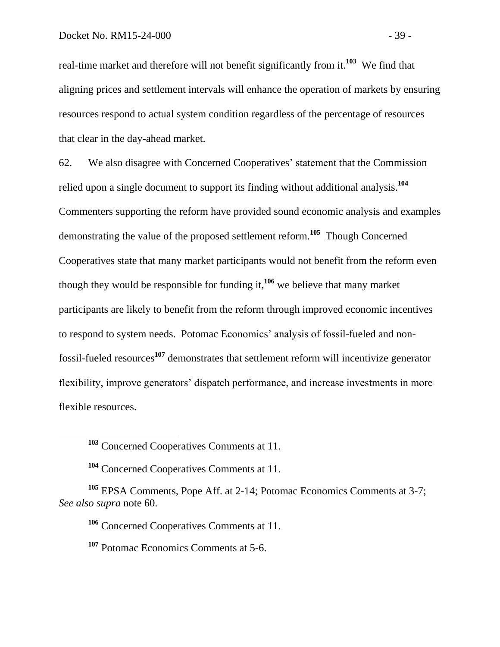real-time market and therefore will not benefit significantly from it.**<sup>103</sup>** We find that aligning prices and settlement intervals will enhance the operation of markets by ensuring resources respond to actual system condition regardless of the percentage of resources that clear in the day-ahead market.

62. We also disagree with Concerned Cooperatives' statement that the Commission relied upon a single document to support its finding without additional analysis. **104** Commenters supporting the reform have provided sound economic analysis and examples demonstrating the value of the proposed settlement reform.**<sup>105</sup>** Though Concerned Cooperatives state that many market participants would not benefit from the reform even though they would be responsible for funding it, **<sup>106</sup>** we believe that many market participants are likely to benefit from the reform through improved economic incentives to respond to system needs. Potomac Economics' analysis of fossil-fueled and nonfossil-fueled resources**<sup>107</sup>** demonstrates that settlement reform will incentivize generator flexibility, improve generators' dispatch performance, and increase investments in more flexible resources.

**<sup>103</sup>** Concerned Cooperatives Comments at 11.

**<sup>104</sup>** Concerned Cooperatives Comments at 11.

**<sup>105</sup>** EPSA Comments, Pope Aff. at 2-14; Potomac Economics Comments at 3-7; *See also supra* note 60.

**<sup>106</sup>** Concerned Cooperatives Comments at 11.

**<sup>107</sup>** Potomac Economics Comments at 5-6.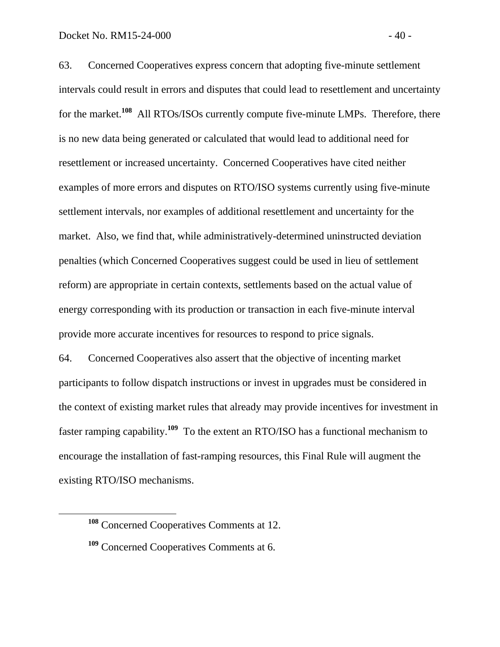63. Concerned Cooperatives express concern that adopting five-minute settlement intervals could result in errors and disputes that could lead to resettlement and uncertainty for the market.<sup>108</sup> All RTOs/ISOs currently compute five-minute LMPs. Therefore, there is no new data being generated or calculated that would lead to additional need for resettlement or increased uncertainty. Concerned Cooperatives have cited neither examples of more errors and disputes on RTO/ISO systems currently using five-minute settlement intervals, nor examples of additional resettlement and uncertainty for the market. Also, we find that, while administratively-determined uninstructed deviation penalties (which Concerned Cooperatives suggest could be used in lieu of settlement reform) are appropriate in certain contexts, settlements based on the actual value of energy corresponding with its production or transaction in each five-minute interval provide more accurate incentives for resources to respond to price signals.

64. Concerned Cooperatives also assert that the objective of incenting market participants to follow dispatch instructions or invest in upgrades must be considered in the context of existing market rules that already may provide incentives for investment in faster ramping capability.**<sup>109</sup>** To the extent an RTO/ISO has a functional mechanism to encourage the installation of fast-ramping resources, this Final Rule will augment the existing RTO/ISO mechanisms.

**<sup>108</sup>** Concerned Cooperatives Comments at 12.

**<sup>109</sup>** Concerned Cooperatives Comments at 6.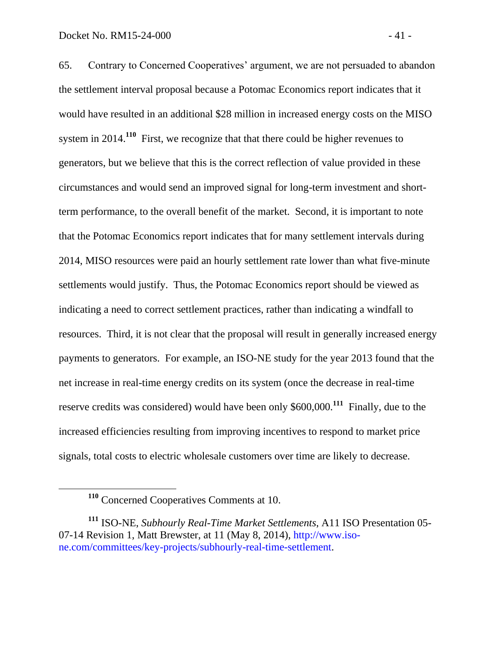65. Contrary to Concerned Cooperatives' argument, we are not persuaded to abandon the settlement interval proposal because a Potomac Economics report indicates that it

would have resulted in an additional \$28 million in increased energy costs on the MISO system in 2014.<sup>110</sup> First, we recognize that that there could be higher revenues to generators, but we believe that this is the correct reflection of value provided in these circumstances and would send an improved signal for long-term investment and shortterm performance, to the overall benefit of the market. Second, it is important to note that the Potomac Economics report indicates that for many settlement intervals during 2014, MISO resources were paid an hourly settlement rate lower than what five-minute settlements would justify. Thus, the Potomac Economics report should be viewed as indicating a need to correct settlement practices, rather than indicating a windfall to resources. Third, it is not clear that the proposal will result in generally increased energy payments to generators. For example, an ISO-NE study for the year 2013 found that the net increase in real-time energy credits on its system (once the decrease in real-time reserve credits was considered) would have been only \$600,000.**<sup>111</sup>** Finally, due to the increased efficiencies resulting from improving incentives to respond to market price signals, total costs to electric wholesale customers over time are likely to decrease.

**<sup>110</sup>** Concerned Cooperatives Comments at 10.

**<sup>111</sup>** ISO-NE, *Subhourly Real-Time Market Settlements*, A11 ISO Presentation 05- 07-14 Revision 1, Matt Brewster, at 11 (May 8, 2014), [http://www.iso](http://www.iso-ne.com/committees/key-projects/subhourly-real-time-settlement)[ne.com/committees/key-projects/subhourly-real-time-settlement.](http://www.iso-ne.com/committees/key-projects/subhourly-real-time-settlement)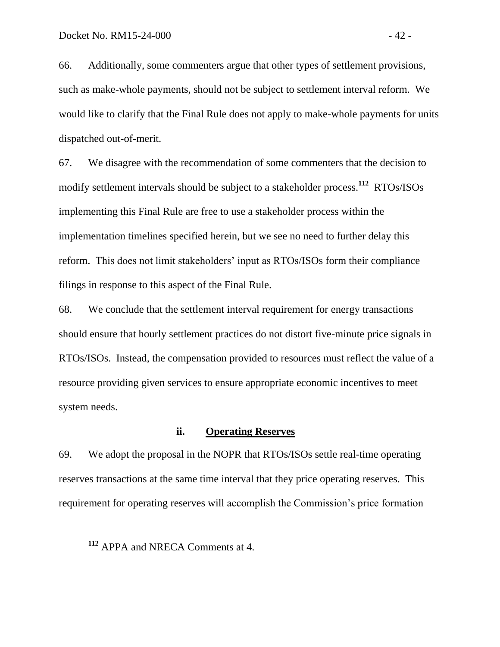66. Additionally, some commenters argue that other types of settlement provisions, such as make-whole payments, should not be subject to settlement interval reform. We would like to clarify that the Final Rule does not apply to make-whole payments for units dispatched out-of-merit.

67. We disagree with the recommendation of some commenters that the decision to modify settlement intervals should be subject to a stakeholder process.**<sup>112</sup>** RTOs/ISOs implementing this Final Rule are free to use a stakeholder process within the implementation timelines specified herein, but we see no need to further delay this reform. This does not limit stakeholders' input as RTOs/ISOs form their compliance filings in response to this aspect of the Final Rule.

68. We conclude that the settlement interval requirement for energy transactions should ensure that hourly settlement practices do not distort five-minute price signals in RTOs/ISOs. Instead, the compensation provided to resources must reflect the value of a resource providing given services to ensure appropriate economic incentives to meet system needs.

## **ii. Operating Reserves**

69. We adopt the proposal in the NOPR that RTOs/ISOs settle real-time operating reserves transactions at the same time interval that they price operating reserves. This requirement for operating reserves will accomplish the Commission's price formation

**<sup>112</sup>** APPA and NRECA Comments at 4.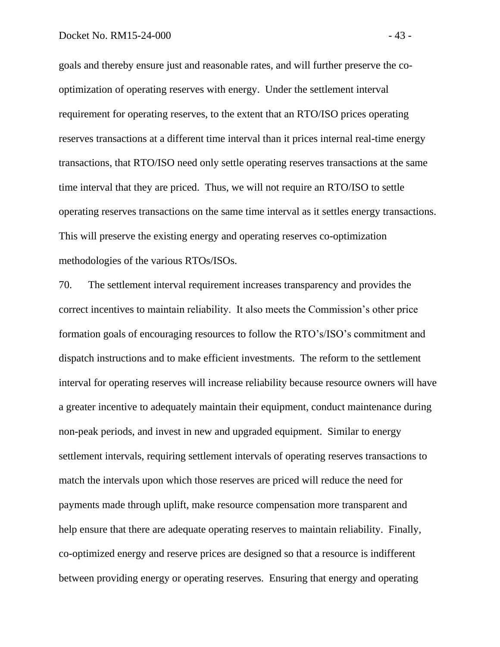goals and thereby ensure just and reasonable rates, and will further preserve the cooptimization of operating reserves with energy. Under the settlement interval requirement for operating reserves, to the extent that an RTO/ISO prices operating reserves transactions at a different time interval than it prices internal real-time energy transactions, that RTO/ISO need only settle operating reserves transactions at the same time interval that they are priced. Thus, we will not require an RTO/ISO to settle operating reserves transactions on the same time interval as it settles energy transactions. This will preserve the existing energy and operating reserves co-optimization methodologies of the various RTOs/ISOs.

70. The settlement interval requirement increases transparency and provides the correct incentives to maintain reliability. It also meets the Commission's other price formation goals of encouraging resources to follow the RTO's/ISO's commitment and dispatch instructions and to make efficient investments. The reform to the settlement interval for operating reserves will increase reliability because resource owners will have a greater incentive to adequately maintain their equipment, conduct maintenance during non-peak periods, and invest in new and upgraded equipment. Similar to energy settlement intervals, requiring settlement intervals of operating reserves transactions to match the intervals upon which those reserves are priced will reduce the need for payments made through uplift, make resource compensation more transparent and help ensure that there are adequate operating reserves to maintain reliability. Finally, co-optimized energy and reserve prices are designed so that a resource is indifferent between providing energy or operating reserves. Ensuring that energy and operating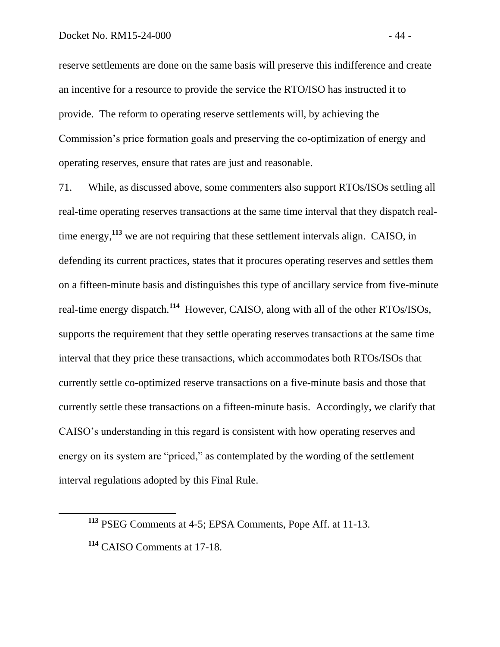reserve settlements are done on the same basis will preserve this indifference and create an incentive for a resource to provide the service the RTO/ISO has instructed it to provide. The reform to operating reserve settlements will, by achieving the Commission's price formation goals and preserving the co-optimization of energy and operating reserves, ensure that rates are just and reasonable.

71. While, as discussed above, some commenters also support RTOs/ISOs settling all real-time operating reserves transactions at the same time interval that they dispatch realtime energy,**<sup>113</sup>** we are not requiring that these settlement intervals align. CAISO, in defending its current practices, states that it procures operating reserves and settles them on a fifteen-minute basis and distinguishes this type of ancillary service from five-minute real-time energy dispatch.**<sup>114</sup>** However, CAISO, along with all of the other RTOs/ISOs, supports the requirement that they settle operating reserves transactions at the same time interval that they price these transactions, which accommodates both RTOs/ISOs that currently settle co-optimized reserve transactions on a five-minute basis and those that currently settle these transactions on a fifteen-minute basis. Accordingly, we clarify that CAISO's understanding in this regard is consistent with how operating reserves and energy on its system are "priced," as contemplated by the wording of the settlement interval regulations adopted by this Final Rule.

**<sup>113</sup>** PSEG Comments at 4-5; EPSA Comments, Pope Aff. at 11-13.

**<sup>114</sup>** CAISO Comments at 17-18.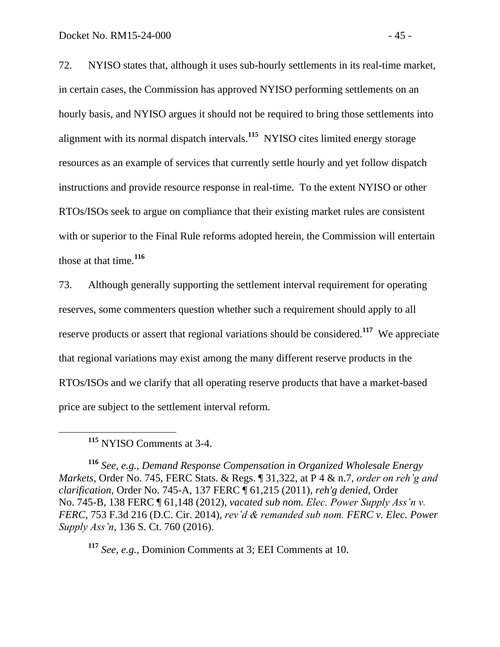72. NYISO states that, although it uses sub-hourly settlements in its real-time market, in certain cases, the Commission has approved NYISO performing settlements on an hourly basis, and NYISO argues it should not be required to bring those settlements into alignment with its normal dispatch intervals.**<sup>115</sup>** NYISO cites limited energy storage resources as an example of services that currently settle hourly and yet follow dispatch instructions and provide resource response in real-time. To the extent NYISO or other RTOs/ISOs seek to argue on compliance that their existing market rules are consistent with or superior to the Final Rule reforms adopted herein, the Commission will entertain those at that time.**<sup>116</sup>**

73. Although generally supporting the settlement interval requirement for operating reserves, some commenters question whether such a requirement should apply to all reserve products or assert that regional variations should be considered.**<sup>117</sup>** We appreciate that regional variations may exist among the many different reserve products in the RTOs/ISOs and we clarify that all operating reserve products that have a market-based price are subject to the settlement interval reform.

**<sup>115</sup>** NYISO Comments at 3-4.

 $\overline{a}$ 

**<sup>116</sup>** *See, e.g.*, *Demand Response Compensation in Organized Wholesale Energy Markets*, Order No. 745, FERC Stats. & Regs. ¶ 31,322, at P 4 & n.7, *order on reh'g and clarification*, Order No. 745-A, 137 FERC ¶ 61,215 (2011), *reh'g denied*, Order No. 745-B, 138 FERC ¶ 61,148 (2012), *vacated sub nom. Elec. Power Supply Ass'n v. FERC*, 753 F.3d 216 (D.C. Cir. 2014), *rev'd & remanded sub nom. FERC v. Elec. Power Supply Ass'n*, 136 S. Ct. 760 (2016).

**<sup>117</sup>** *See, e.g.*, Dominion Comments at 3; EEI Comments at 10.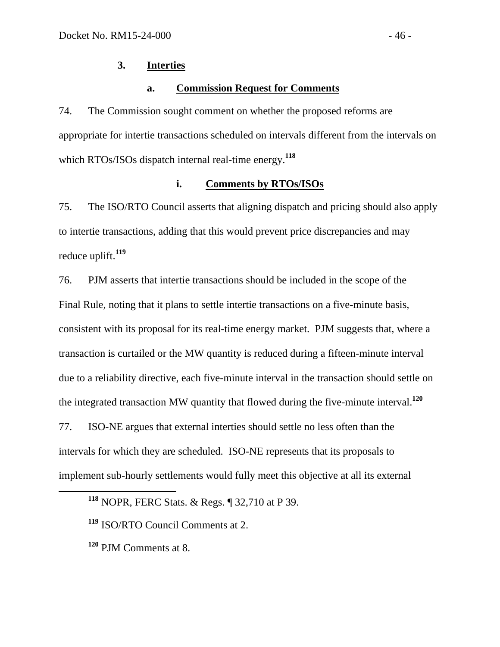# **3. Interties**

### **a. Commission Request for Comments**

74. The Commission sought comment on whether the proposed reforms are appropriate for intertie transactions scheduled on intervals different from the intervals on which RTOs/ISOs dispatch internal real-time energy. **118**

## **i. Comments by RTOs/ISOs**

75. The ISO/RTO Council asserts that aligning dispatch and pricing should also apply to intertie transactions, adding that this would prevent price discrepancies and may reduce uplift. **119**

76. PJM asserts that intertie transactions should be included in the scope of the Final Rule, noting that it plans to settle intertie transactions on a five-minute basis, consistent with its proposal for its real-time energy market. PJM suggests that, where a transaction is curtailed or the MW quantity is reduced during a fifteen-minute interval due to a reliability directive, each five-minute interval in the transaction should settle on the integrated transaction MW quantity that flowed during the five-minute interval.**<sup>120</sup>** 77. ISO-NE argues that external interties should settle no less often than the intervals for which they are scheduled. ISO-NE represents that its proposals to

implement sub-hourly settlements would fully meet this objective at all its external

**<sup>118</sup>** NOPR, FERC Stats. & Regs. ¶ 32,710 at P 39.

**<sup>119</sup>** ISO/RTO Council Comments at 2.

**<sup>120</sup>** PJM Comments at 8.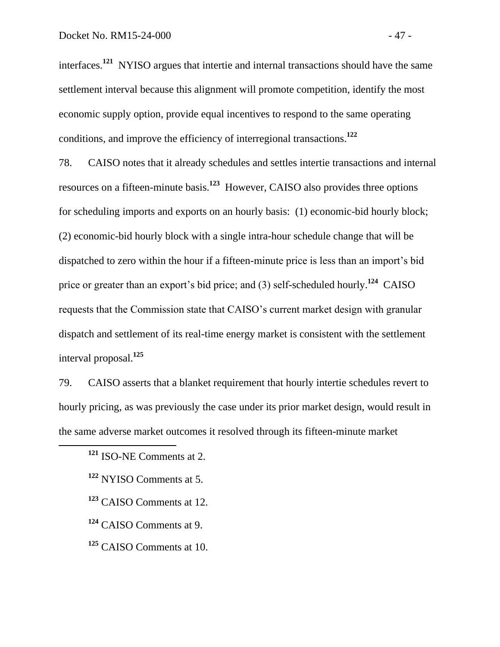interfaces.**<sup>121</sup>** NYISO argues that intertie and internal transactions should have the same settlement interval because this alignment will promote competition, identify the most economic supply option, provide equal incentives to respond to the same operating conditions, and improve the efficiency of interregional transactions.**<sup>122</sup>**

78. CAISO notes that it already schedules and settles intertie transactions and internal resources on a fifteen-minute basis.**<sup>123</sup>** However, CAISO also provides three options for scheduling imports and exports on an hourly basis: (1) economic-bid hourly block; (2) economic-bid hourly block with a single intra-hour schedule change that will be dispatched to zero within the hour if a fifteen-minute price is less than an import's bid price or greater than an export's bid price; and (3) self-scheduled hourly.**<sup>124</sup>** CAISO requests that the Commission state that CAISO's current market design with granular dispatch and settlement of its real-time energy market is consistent with the settlement interval proposal. **125**

79. CAISO asserts that a blanket requirement that hourly intertie schedules revert to hourly pricing, as was previously the case under its prior market design, would result in the same adverse market outcomes it resolved through its fifteen-minute market

**<sup>121</sup>** ISO-NE Comments at 2.

**<sup>122</sup>** NYISO Comments at 5.

**<sup>123</sup>** CAISO Comments at 12.

**<sup>124</sup>** CAISO Comments at 9.

**<sup>125</sup>** CAISO Comments at 10.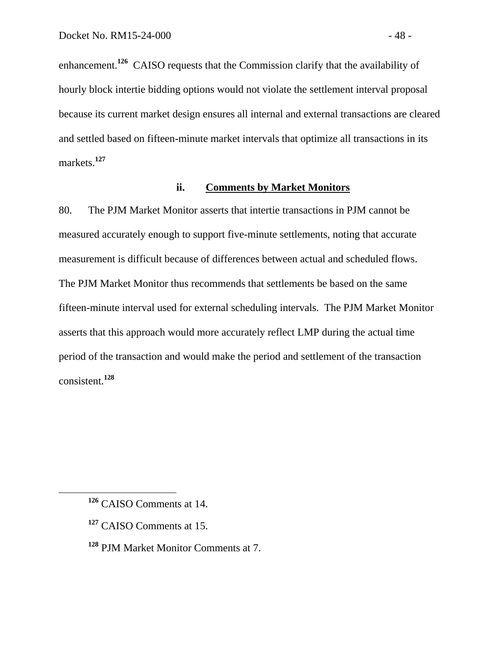enhancement.<sup>126</sup> CAISO requests that the Commission clarify that the availability of hourly block intertie bidding options would not violate the settlement interval proposal because its current market design ensures all internal and external transactions are cleared and settled based on fifteen-minute market intervals that optimize all transactions in its markets.**<sup>127</sup>**

## **ii. Comments by Market Monitors**

80. The PJM Market Monitor asserts that intertie transactions in PJM cannot be measured accurately enough to support five-minute settlements, noting that accurate measurement is difficult because of differences between actual and scheduled flows. The PJM Market Monitor thus recommends that settlements be based on the same fifteen-minute interval used for external scheduling intervals. The PJM Market Monitor asserts that this approach would more accurately reflect LMP during the actual time period of the transaction and would make the period and settlement of the transaction consistent.**<sup>128</sup>**

 $\overline{a}$ 

**<sup>128</sup>** PJM Market Monitor Comments at 7.

**<sup>126</sup>** CAISO Comments at 14.

**<sup>127</sup>** CAISO Comments at 15.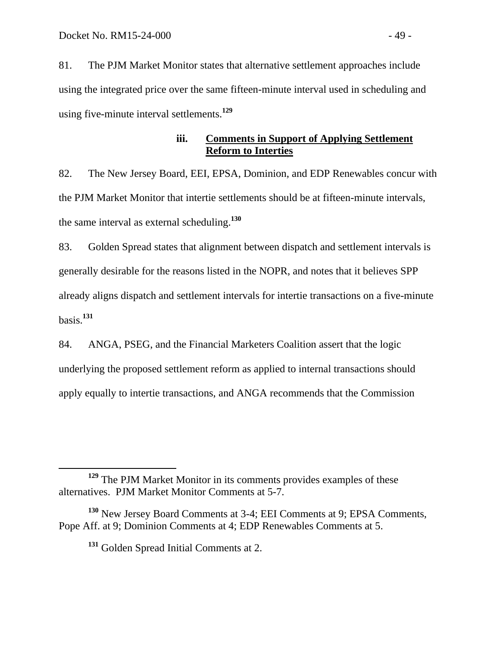81. The PJM Market Monitor states that alternative settlement approaches include using the integrated price over the same fifteen-minute interval used in scheduling and using five-minute interval settlements.**<sup>129</sup>**

## **iii. Comments in Support of Applying Settlement Reform to Interties**

82. The New Jersey Board, EEI, EPSA, Dominion, and EDP Renewables concur with the PJM Market Monitor that intertie settlements should be at fifteen-minute intervals, the same interval as external scheduling. **130**

83. Golden Spread states that alignment between dispatch and settlement intervals is generally desirable for the reasons listed in the NOPR, and notes that it believes SPP already aligns dispatch and settlement intervals for intertie transactions on a five-minute basis. **131**

84. ANGA, PSEG, and the Financial Marketers Coalition assert that the logic underlying the proposed settlement reform as applied to internal transactions should apply equally to intertie transactions, and ANGA recommends that the Commission

**<sup>129</sup>** The PJM Market Monitor in its comments provides examples of these alternatives. PJM Market Monitor Comments at 5-7.

**<sup>130</sup>** New Jersey Board Comments at 3-4; EEI Comments at 9; EPSA Comments, Pope Aff. at 9; Dominion Comments at 4; EDP Renewables Comments at 5.

**<sup>131</sup>** Golden Spread Initial Comments at 2.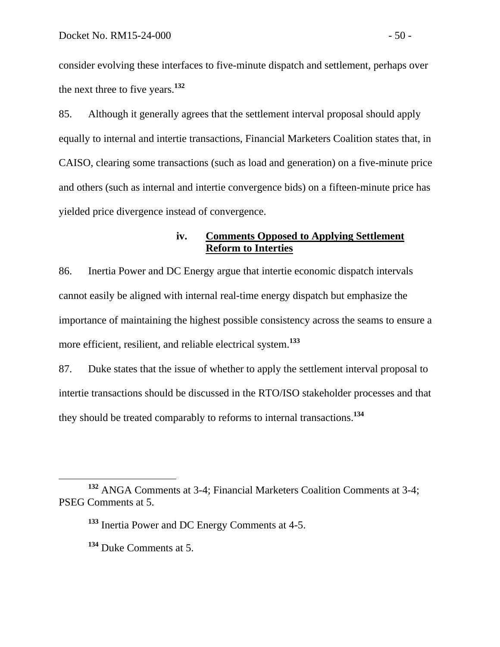consider evolving these interfaces to five-minute dispatch and settlement, perhaps over the next three to five years.**<sup>132</sup>**

85. Although it generally agrees that the settlement interval proposal should apply equally to internal and intertie transactions, Financial Marketers Coalition states that, in CAISO, clearing some transactions (such as load and generation) on a five-minute price and others (such as internal and intertie convergence bids) on a fifteen-minute price has yielded price divergence instead of convergence.

## **iv. Comments Opposed to Applying Settlement Reform to Interties**

86. Inertia Power and DC Energy argue that intertie economic dispatch intervals cannot easily be aligned with internal real-time energy dispatch but emphasize the importance of maintaining the highest possible consistency across the seams to ensure a more efficient, resilient, and reliable electrical system.**<sup>133</sup>**

87. Duke states that the issue of whether to apply the settlement interval proposal to intertie transactions should be discussed in the RTO/ISO stakeholder processes and that they should be treated comparably to reforms to internal transactions.**<sup>134</sup>**

**<sup>132</sup>** ANGA Comments at 3-4; Financial Marketers Coalition Comments at 3-4; PSEG Comments at 5.

**<sup>133</sup>** Inertia Power and DC Energy Comments at 4-5.

**<sup>134</sup>** Duke Comments at 5.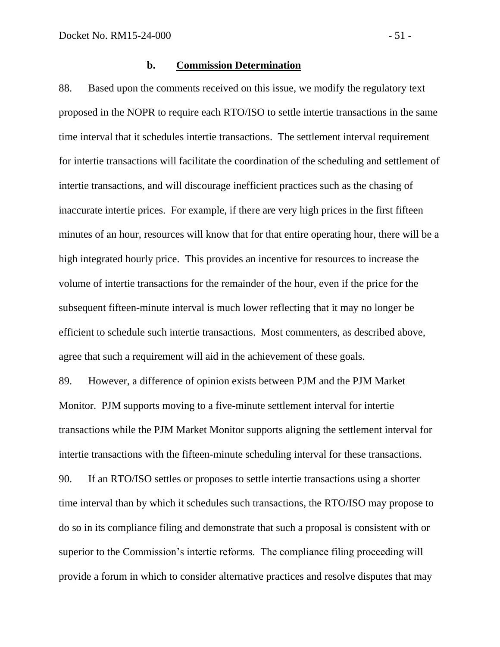#### **b. Commission Determination**

88. Based upon the comments received on this issue, we modify the regulatory text proposed in the NOPR to require each RTO/ISO to settle intertie transactions in the same time interval that it schedules intertie transactions. The settlement interval requirement for intertie transactions will facilitate the coordination of the scheduling and settlement of intertie transactions, and will discourage inefficient practices such as the chasing of inaccurate intertie prices. For example, if there are very high prices in the first fifteen minutes of an hour, resources will know that for that entire operating hour, there will be a high integrated hourly price. This provides an incentive for resources to increase the volume of intertie transactions for the remainder of the hour, even if the price for the subsequent fifteen-minute interval is much lower reflecting that it may no longer be efficient to schedule such intertie transactions. Most commenters, as described above, agree that such a requirement will aid in the achievement of these goals.

89. However, a difference of opinion exists between PJM and the PJM Market Monitor. PJM supports moving to a five-minute settlement interval for intertie transactions while the PJM Market Monitor supports aligning the settlement interval for intertie transactions with the fifteen-minute scheduling interval for these transactions. 90. If an RTO/ISO settles or proposes to settle intertie transactions using a shorter time interval than by which it schedules such transactions, the RTO/ISO may propose to do so in its compliance filing and demonstrate that such a proposal is consistent with or superior to the Commission's intertie reforms. The compliance filing proceeding will provide a forum in which to consider alternative practices and resolve disputes that may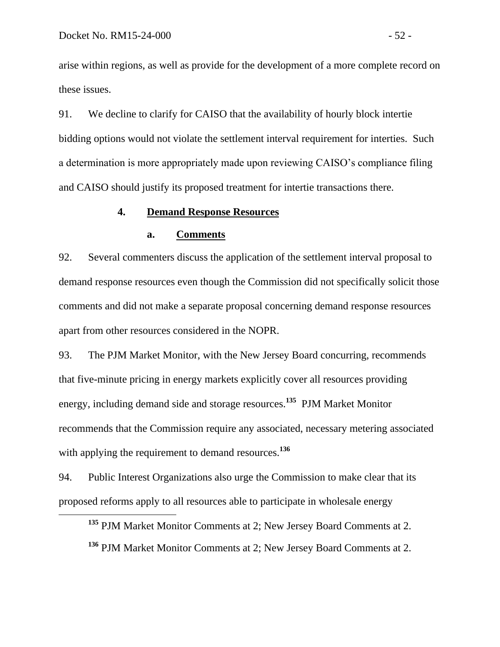$\overline{a}$ 

arise within regions, as well as provide for the development of a more complete record on these issues.

91. We decline to clarify for CAISO that the availability of hourly block intertie bidding options would not violate the settlement interval requirement for interties. Such a determination is more appropriately made upon reviewing CAISO's compliance filing and CAISO should justify its proposed treatment for intertie transactions there.

## **4. Demand Response Resources**

### **a. Comments**

92. Several commenters discuss the application of the settlement interval proposal to demand response resources even though the Commission did not specifically solicit those comments and did not make a separate proposal concerning demand response resources apart from other resources considered in the NOPR.

93. The PJM Market Monitor, with the New Jersey Board concurring, recommends that five-minute pricing in energy markets explicitly cover all resources providing energy, including demand side and storage resources. **135** PJM Market Monitor recommends that the Commission require any associated, necessary metering associated with applying the requirement to demand resources.**<sup>136</sup>**

94. Public Interest Organizations also urge the Commission to make clear that its proposed reforms apply to all resources able to participate in wholesale energy

**<sup>135</sup>** PJM Market Monitor Comments at 2; New Jersey Board Comments at 2. **<sup>136</sup>** PJM Market Monitor Comments at 2; New Jersey Board Comments at 2.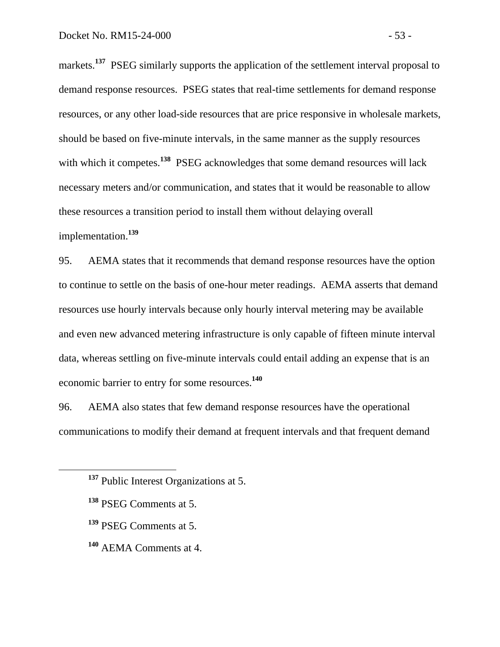markets.<sup>137</sup> PSEG similarly supports the application of the settlement interval proposal to demand response resources. PSEG states that real-time settlements for demand response resources, or any other load-side resources that are price responsive in wholesale markets, should be based on five-minute intervals, in the same manner as the supply resources with which it competes.<sup>138</sup> PSEG acknowledges that some demand resources will lack necessary meters and/or communication, and states that it would be reasonable to allow these resources a transition period to install them without delaying overall implementation.**<sup>139</sup>**

95. AEMA states that it recommends that demand response resources have the option to continue to settle on the basis of one-hour meter readings. AEMA asserts that demand resources use hourly intervals because only hourly interval metering may be available and even new advanced metering infrastructure is only capable of fifteen minute interval data, whereas settling on five-minute intervals could entail adding an expense that is an economic barrier to entry for some resources. **140**

96. AEMA also states that few demand response resources have the operational communications to modify their demand at frequent intervals and that frequent demand

**<sup>137</sup>** Public Interest Organizations at 5.

**<sup>138</sup>** PSEG Comments at 5.

**<sup>139</sup>** PSEG Comments at 5.

**<sup>140</sup>** AEMA Comments at 4.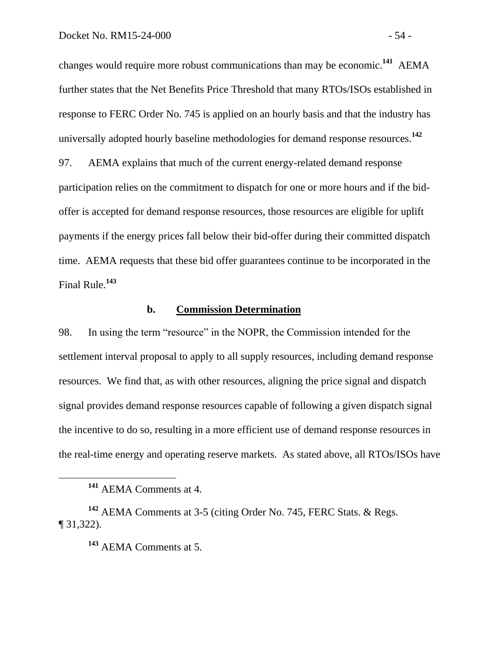changes would require more robust communications than may be economic.**<sup>141</sup>** AEMA further states that the Net Benefits Price Threshold that many RTOs/ISOs established in response to FERC Order No. 745 is applied on an hourly basis and that the industry has universally adopted hourly baseline methodologies for demand response resources. **142**

97. AEMA explains that much of the current energy-related demand response participation relies on the commitment to dispatch for one or more hours and if the bidoffer is accepted for demand response resources, those resources are eligible for uplift payments if the energy prices fall below their bid-offer during their committed dispatch time. AEMA requests that these bid offer guarantees continue to be incorporated in the Final Rule.**<sup>143</sup>**

#### **b. Commission Determination**

98. In using the term "resource" in the NOPR, the Commission intended for the settlement interval proposal to apply to all supply resources, including demand response resources. We find that, as with other resources, aligning the price signal and dispatch signal provides demand response resources capable of following a given dispatch signal the incentive to do so, resulting in a more efficient use of demand response resources in the real-time energy and operating reserve markets. As stated above, all RTOs/ISOs have

**<sup>141</sup>** AEMA Comments at 4.

**<sup>142</sup>** AEMA Comments at 3-5 (citing Order No. 745, FERC Stats. & Regs. ¶ 31,322).

**<sup>143</sup>** AEMA Comments at 5.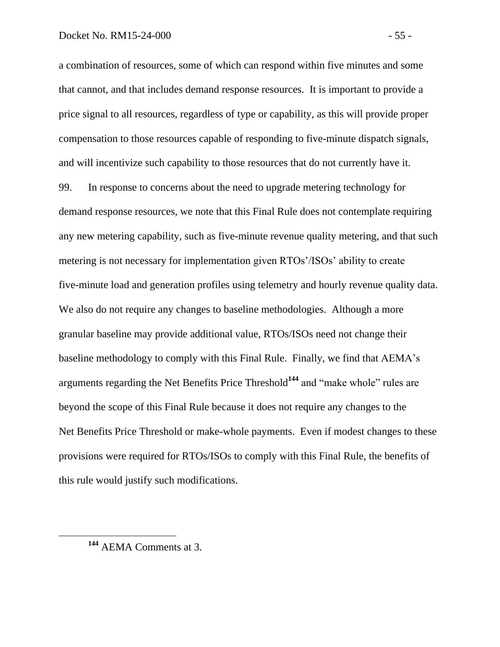a combination of resources, some of which can respond within five minutes and some that cannot, and that includes demand response resources. It is important to provide a price signal to all resources, regardless of type or capability, as this will provide proper compensation to those resources capable of responding to five-minute dispatch signals, and will incentivize such capability to those resources that do not currently have it.

99. In response to concerns about the need to upgrade metering technology for demand response resources, we note that this Final Rule does not contemplate requiring any new metering capability, such as five-minute revenue quality metering, and that such metering is not necessary for implementation given RTOs'/ISOs' ability to create five-minute load and generation profiles using telemetry and hourly revenue quality data. We also do not require any changes to baseline methodologies. Although a more granular baseline may provide additional value, RTOs/ISOs need not change their baseline methodology to comply with this Final Rule. Finally, we find that AEMA's arguments regarding the Net Benefits Price Threshold**<sup>144</sup>** and "make whole" rules are beyond the scope of this Final Rule because it does not require any changes to the Net Benefits Price Threshold or make-whole payments. Even if modest changes to these provisions were required for RTOs/ISOs to comply with this Final Rule, the benefits of this rule would justify such modifications.

**<sup>144</sup>** AEMA Comments at 3.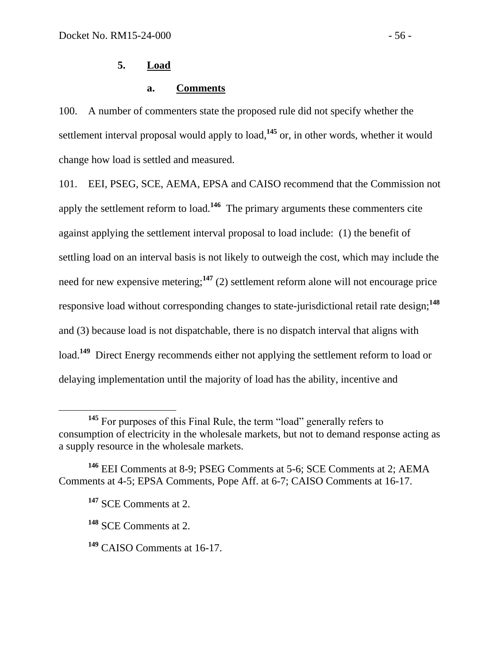# **5. Load**

# **a. Comments**

100. A number of commenters state the proposed rule did not specify whether the settlement interval proposal would apply to load,**<sup>145</sup>** or, in other words, whether it would change how load is settled and measured.

101. EEI, PSEG, SCE, AEMA, EPSA and CAISO recommend that the Commission not apply the settlement reform to load.<sup>146</sup> The primary arguments these commenters cite against applying the settlement interval proposal to load include: (1) the benefit of settling load on an interval basis is not likely to outweigh the cost, which may include the need for new expensive metering;**<sup>147</sup>** (2) settlement reform alone will not encourage price responsive load without corresponding changes to state-jurisdictional retail rate design;**<sup>148</sup>** and (3) because load is not dispatchable, there is no dispatch interval that aligns with load.<sup>149</sup> Direct Energy recommends either not applying the settlement reform to load or delaying implementation until the majority of load has the ability, incentive and

<sup>&</sup>lt;sup>145</sup> For purposes of this Final Rule, the term "load" generally refers to consumption of electricity in the wholesale markets, but not to demand response acting as a supply resource in the wholesale markets.

**<sup>146</sup>** EEI Comments at 8-9; PSEG Comments at 5-6; SCE Comments at 2; AEMA Comments at 4-5; EPSA Comments, Pope Aff. at 6-7; CAISO Comments at 16-17.

**<sup>147</sup>** SCE Comments at 2.

**<sup>148</sup>** SCE Comments at 2.

**<sup>149</sup>** CAISO Comments at 16-17.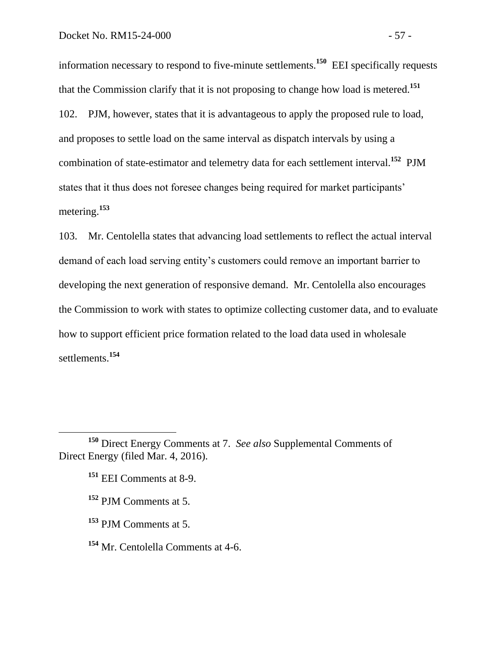information necessary to respond to five-minute settlements. **150** EEI specifically requests that the Commission clarify that it is not proposing to change how load is metered.**<sup>151</sup>** 102. PJM, however, states that it is advantageous to apply the proposed rule to load, and proposes to settle load on the same interval as dispatch intervals by using a combination of state-estimator and telemetry data for each settlement interval.**<sup>152</sup>** PJM states that it thus does not foresee changes being required for market participants' metering.**<sup>153</sup>**

103. Mr. Centolella states that advancing load settlements to reflect the actual interval demand of each load serving entity's customers could remove an important barrier to developing the next generation of responsive demand. Mr. Centolella also encourages the Commission to work with states to optimize collecting customer data, and to evaluate how to support efficient price formation related to the load data used in wholesale settlements.**<sup>154</sup>**

**<sup>151</sup>** EEI Comments at 8-9.

 $\overline{a}$ 

**<sup>152</sup>** PJM Comments at 5.

**<sup>153</sup>** PJM Comments at 5.

**<sup>154</sup>** Mr. Centolella Comments at 4-6.

**<sup>150</sup>** Direct Energy Comments at 7. *See also* Supplemental Comments of Direct Energy (filed Mar. 4, 2016).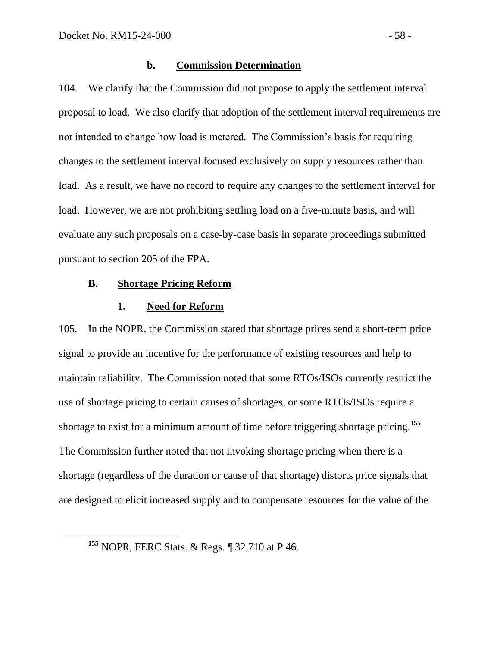### **b. Commission Determination**

104. We clarify that the Commission did not propose to apply the settlement interval proposal to load. We also clarify that adoption of the settlement interval requirements are not intended to change how load is metered. The Commission's basis for requiring changes to the settlement interval focused exclusively on supply resources rather than load. As a result, we have no record to require any changes to the settlement interval for load. However, we are not prohibiting settling load on a five-minute basis, and will evaluate any such proposals on a case-by-case basis in separate proceedings submitted pursuant to section 205 of the FPA.

### **B. Shortage Pricing Reform**

### **1. Need for Reform**

105. In the NOPR, the Commission stated that shortage prices send a short-term price signal to provide an incentive for the performance of existing resources and help to maintain reliability. The Commission noted that some RTOs/ISOs currently restrict the use of shortage pricing to certain causes of shortages, or some RTOs/ISOs require a shortage to exist for a minimum amount of time before triggering shortage pricing.**<sup>155</sup>** The Commission further noted that not invoking shortage pricing when there is a shortage (regardless of the duration or cause of that shortage) distorts price signals that are designed to elicit increased supply and to compensate resources for the value of the

**<sup>155</sup>** NOPR, FERC Stats. & Regs. ¶ 32,710 at P 46.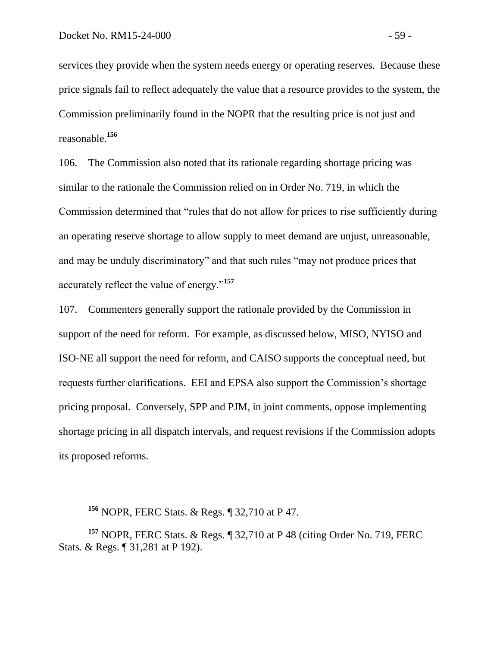services they provide when the system needs energy or operating reserves. Because these price signals fail to reflect adequately the value that a resource provides to the system, the Commission preliminarily found in the NOPR that the resulting price is not just and reasonable.**<sup>156</sup>**

106. The Commission also noted that its rationale regarding shortage pricing was similar to the rationale the Commission relied on in Order No. 719, in which the Commission determined that "rules that do not allow for prices to rise sufficiently during an operating reserve shortage to allow supply to meet demand are unjust, unreasonable, and may be unduly discriminatory" and that such rules "may not produce prices that accurately reflect the value of energy."**<sup>157</sup>**

107. Commenters generally support the rationale provided by the Commission in support of the need for reform. For example, as discussed below, MISO, NYISO and ISO-NE all support the need for reform, and CAISO supports the conceptual need, but requests further clarifications. EEI and EPSA also support the Commission's shortage pricing proposal. Conversely, SPP and PJM, in joint comments, oppose implementing shortage pricing in all dispatch intervals, and request revisions if the Commission adopts its proposed reforms.

**<sup>156</sup>** NOPR, FERC Stats. & Regs. ¶ 32,710 at P 47.

**<sup>157</sup>** NOPR, FERC Stats. & Regs. ¶ 32,710 at P 48 (citing Order No. 719, FERC Stats. & Regs. ¶ 31,281 at P 192).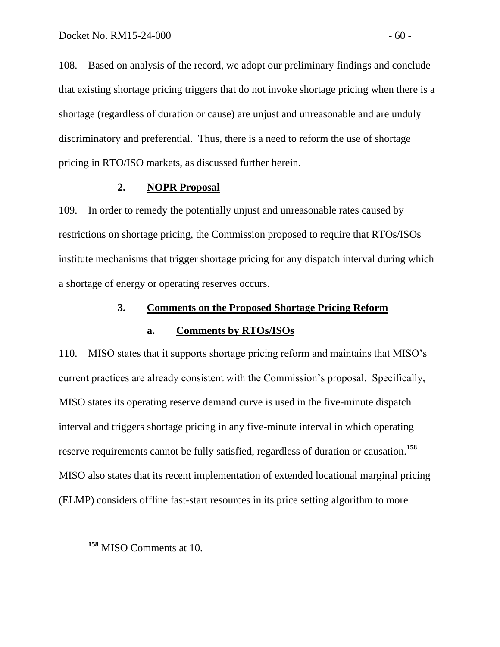108. Based on analysis of the record, we adopt our preliminary findings and conclude that existing shortage pricing triggers that do not invoke shortage pricing when there is a shortage (regardless of duration or cause) are unjust and unreasonable and are unduly discriminatory and preferential. Thus, there is a need to reform the use of shortage pricing in RTO/ISO markets, as discussed further herein.

### **2. NOPR Proposal**

109. In order to remedy the potentially unjust and unreasonable rates caused by restrictions on shortage pricing, the Commission proposed to require that RTOs/ISOs institute mechanisms that trigger shortage pricing for any dispatch interval during which a shortage of energy or operating reserves occurs.

## **3. Comments on the Proposed Shortage Pricing Reform**

### **a. Comments by RTOs/ISOs**

110. MISO states that it supports shortage pricing reform and maintains that MISO's current practices are already consistent with the Commission's proposal. Specifically, MISO states its operating reserve demand curve is used in the five-minute dispatch interval and triggers shortage pricing in any five-minute interval in which operating reserve requirements cannot be fully satisfied, regardless of duration or causation.**<sup>158</sup>** MISO also states that its recent implementation of extended locational marginal pricing (ELMP) considers offline fast-start resources in its price setting algorithm to more

**<sup>158</sup>** MISO Comments at 10.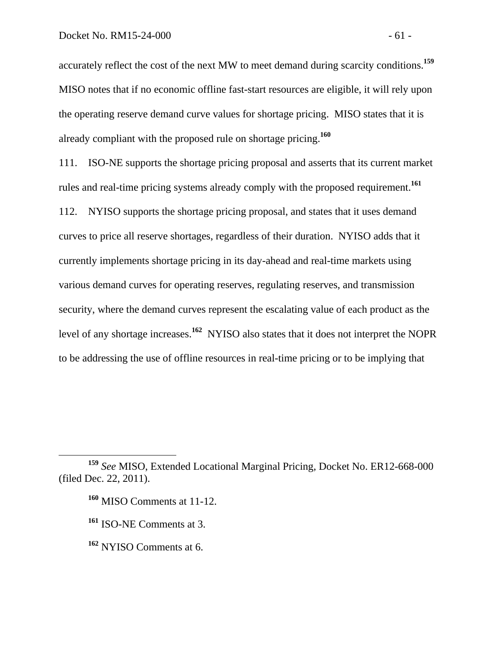accurately reflect the cost of the next MW to meet demand during scarcity conditions.**<sup>159</sup>** MISO notes that if no economic offline fast-start resources are eligible, it will rely upon the operating reserve demand curve values for shortage pricing. MISO states that it is already compliant with the proposed rule on shortage pricing.**<sup>160</sup>**

111. ISO-NE supports the shortage pricing proposal and asserts that its current market rules and real-time pricing systems already comply with the proposed requirement.**<sup>161</sup>**

112. NYISO supports the shortage pricing proposal, and states that it uses demand curves to price all reserve shortages, regardless of their duration. NYISO adds that it currently implements shortage pricing in its day-ahead and real-time markets using various demand curves for operating reserves, regulating reserves, and transmission security, where the demand curves represent the escalating value of each product as the level of any shortage increases.**<sup>162</sup>** NYISO also states that it does not interpret the NOPR to be addressing the use of offline resources in real-time pricing or to be implying that

**<sup>159</sup>** *See* MISO, Extended Locational Marginal Pricing, Docket No. ER12-668-000 (filed Dec. 22, 2011).

**<sup>160</sup>** MISO Comments at 11-12.

**<sup>161</sup>** ISO-NE Comments at 3.

**<sup>162</sup>** NYISO Comments at 6.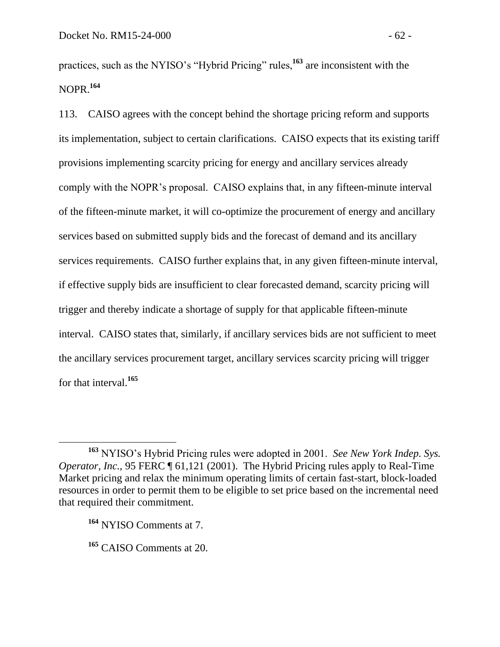practices, such as the NYISO's "Hybrid Pricing" rules,**<sup>163</sup>** are inconsistent with the NOPR.**<sup>164</sup>**

113. CAISO agrees with the concept behind the shortage pricing reform and supports its implementation, subject to certain clarifications. CAISO expects that its existing tariff provisions implementing scarcity pricing for energy and ancillary services already comply with the NOPR's proposal. CAISO explains that, in any fifteen-minute interval of the fifteen-minute market, it will co-optimize the procurement of energy and ancillary services based on submitted supply bids and the forecast of demand and its ancillary services requirements. CAISO further explains that, in any given fifteen-minute interval, if effective supply bids are insufficient to clear forecasted demand, scarcity pricing will trigger and thereby indicate a shortage of supply for that applicable fifteen-minute interval. CAISO states that, similarly, if ancillary services bids are not sufficient to meet the ancillary services procurement target, ancillary services scarcity pricing will trigger for that interval.**<sup>165</sup>**

**<sup>163</sup>** NYISO's Hybrid Pricing rules were adopted in 2001. *See New York Indep. Sys. Operator, Inc.*, 95 FERC  $\P$  61,121 (2001). The Hybrid Pricing rules apply to Real-Time Market pricing and relax the minimum operating limits of certain fast-start, block-loaded resources in order to permit them to be eligible to set price based on the incremental need that required their commitment.

**<sup>164</sup>** NYISO Comments at 7.

**<sup>165</sup>** CAISO Comments at 20.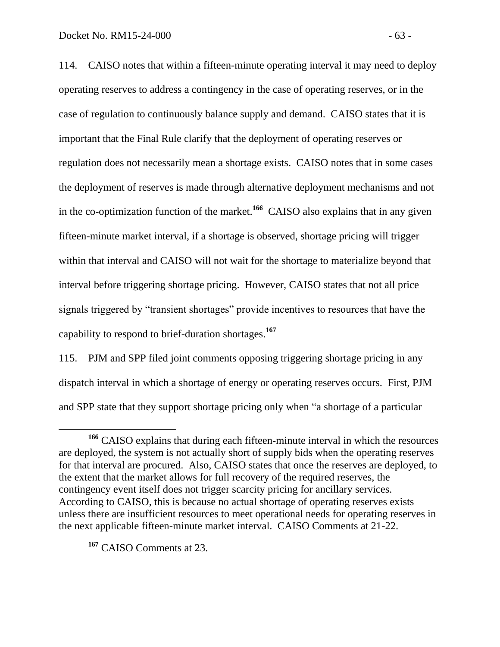114. CAISO notes that within a fifteen-minute operating interval it may need to deploy operating reserves to address a contingency in the case of operating reserves, or in the case of regulation to continuously balance supply and demand. CAISO states that it is important that the Final Rule clarify that the deployment of operating reserves or regulation does not necessarily mean a shortage exists. CAISO notes that in some cases the deployment of reserves is made through alternative deployment mechanisms and not in the co-optimization function of the market.**<sup>166</sup>** CAISO also explains that in any given fifteen-minute market interval, if a shortage is observed, shortage pricing will trigger within that interval and CAISO will not wait for the shortage to materialize beyond that interval before triggering shortage pricing. However, CAISO states that not all price signals triggered by "transient shortages" provide incentives to resources that have the capability to respond to brief-duration shortages.**<sup>167</sup>**

115. PJM and SPP filed joint comments opposing triggering shortage pricing in any dispatch interval in which a shortage of energy or operating reserves occurs. First, PJM and SPP state that they support shortage pricing only when "a shortage of a particular

**<sup>167</sup>** CAISO Comments at 23.

**<sup>166</sup>** CAISO explains that during each fifteen-minute interval in which the resources are deployed, the system is not actually short of supply bids when the operating reserves for that interval are procured. Also, CAISO states that once the reserves are deployed, to the extent that the market allows for full recovery of the required reserves, the contingency event itself does not trigger scarcity pricing for ancillary services. According to CAISO, this is because no actual shortage of operating reserves exists unless there are insufficient resources to meet operational needs for operating reserves in the next applicable fifteen-minute market interval. CAISO Comments at 21-22.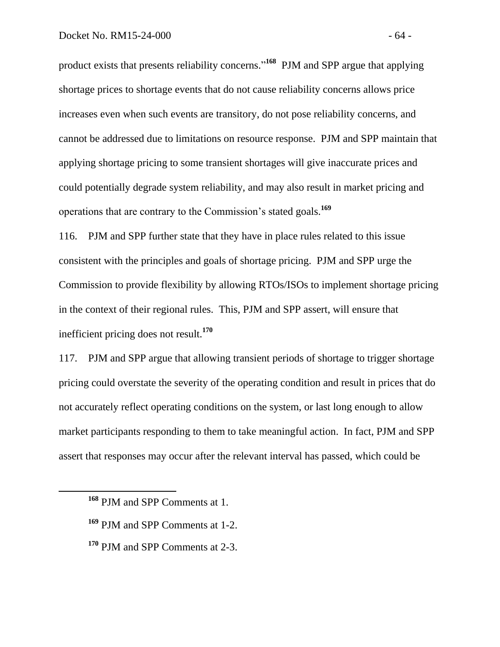product exists that presents reliability concerns."<sup>168</sup> PJM and SPP argue that applying shortage prices to shortage events that do not cause reliability concerns allows price increases even when such events are transitory, do not pose reliability concerns, and cannot be addressed due to limitations on resource response. PJM and SPP maintain that applying shortage pricing to some transient shortages will give inaccurate prices and could potentially degrade system reliability, and may also result in market pricing and operations that are contrary to the Commission's stated goals.**<sup>169</sup>**

116. PJM and SPP further state that they have in place rules related to this issue consistent with the principles and goals of shortage pricing. PJM and SPP urge the Commission to provide flexibility by allowing RTOs/ISOs to implement shortage pricing in the context of their regional rules. This, PJM and SPP assert, will ensure that inefficient pricing does not result.**<sup>170</sup>**

117. PJM and SPP argue that allowing transient periods of shortage to trigger shortage pricing could overstate the severity of the operating condition and result in prices that do not accurately reflect operating conditions on the system, or last long enough to allow market participants responding to them to take meaningful action. In fact, PJM and SPP assert that responses may occur after the relevant interval has passed, which could be

- **<sup>169</sup>** PJM and SPP Comments at 1-2.
- **<sup>170</sup>** PJM and SPP Comments at 2-3.

**<sup>168</sup>** PJM and SPP Comments at 1.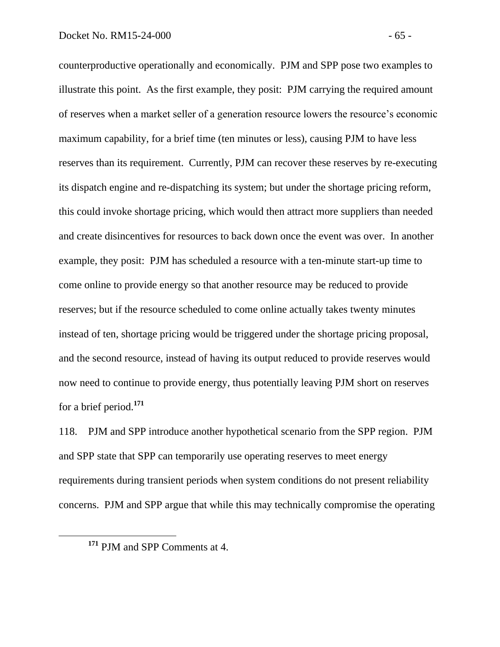counterproductive operationally and economically. PJM and SPP pose two examples to illustrate this point. As the first example, they posit: PJM carrying the required amount of reserves when a market seller of a generation resource lowers the resource's economic maximum capability, for a brief time (ten minutes or less), causing PJM to have less reserves than its requirement. Currently, PJM can recover these reserves by re-executing its dispatch engine and re-dispatching its system; but under the shortage pricing reform, this could invoke shortage pricing, which would then attract more suppliers than needed and create disincentives for resources to back down once the event was over. In another example, they posit: PJM has scheduled a resource with a ten-minute start-up time to come online to provide energy so that another resource may be reduced to provide reserves; but if the resource scheduled to come online actually takes twenty minutes instead of ten, shortage pricing would be triggered under the shortage pricing proposal, and the second resource, instead of having its output reduced to provide reserves would now need to continue to provide energy, thus potentially leaving PJM short on reserves for a brief period.**<sup>171</sup>**

118. PJM and SPP introduce another hypothetical scenario from the SPP region. PJM and SPP state that SPP can temporarily use operating reserves to meet energy requirements during transient periods when system conditions do not present reliability concerns. PJM and SPP argue that while this may technically compromise the operating

**<sup>171</sup>** PJM and SPP Comments at 4.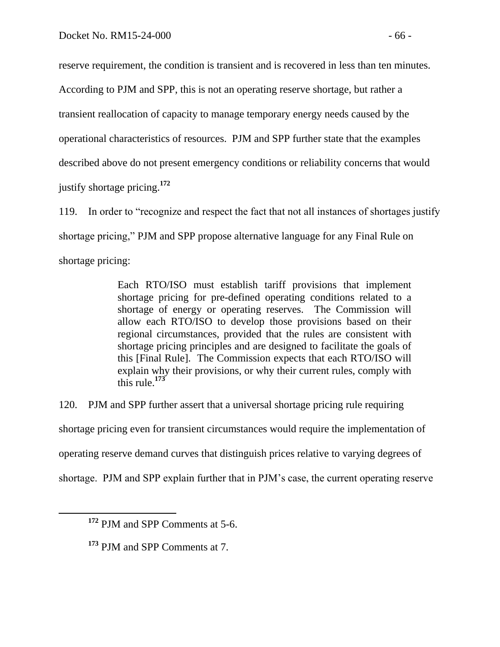reserve requirement, the condition is transient and is recovered in less than ten minutes.

According to PJM and SPP, this is not an operating reserve shortage, but rather a

transient reallocation of capacity to manage temporary energy needs caused by the

operational characteristics of resources. PJM and SPP further state that the examples

described above do not present emergency conditions or reliability concerns that would

justify shortage pricing. **172**

119. In order to "recognize and respect the fact that not all instances of shortages justify shortage pricing," PJM and SPP propose alternative language for any Final Rule on shortage pricing:

> Each RTO/ISO must establish tariff provisions that implement shortage pricing for pre-defined operating conditions related to a shortage of energy or operating reserves. The Commission will allow each RTO/ISO to develop those provisions based on their regional circumstances, provided that the rules are consistent with shortage pricing principles and are designed to facilitate the goals of this [Final Rule]. The Commission expects that each RTO/ISO will explain why their provisions, or why their current rules, comply with this rule.<sup>173</sup>

120. PJM and SPP further assert that a universal shortage pricing rule requiring shortage pricing even for transient circumstances would require the implementation of operating reserve demand curves that distinguish prices relative to varying degrees of shortage. PJM and SPP explain further that in PJM's case, the current operating reserve

**<sup>172</sup>** PJM and SPP Comments at 5-6.

**<sup>173</sup>** PJM and SPP Comments at 7.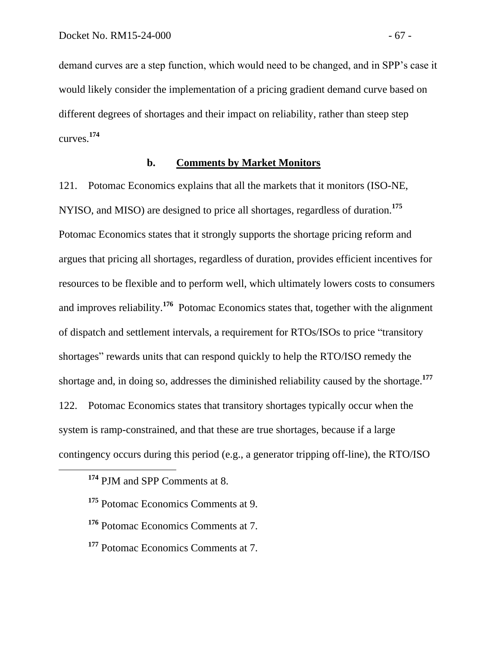demand curves are a step function, which would need to be changed, and in SPP's case it would likely consider the implementation of a pricing gradient demand curve based on different degrees of shortages and their impact on reliability, rather than steep step curves. **174**

## **b. Comments by Market Monitors**

121. Potomac Economics explains that all the markets that it monitors (ISO-NE, NYISO, and MISO) are designed to price all shortages, regardless of duration.**<sup>175</sup>** Potomac Economics states that it strongly supports the shortage pricing reform and argues that pricing all shortages, regardless of duration, provides efficient incentives for resources to be flexible and to perform well, which ultimately lowers costs to consumers and improves reliability.**<sup>176</sup>** Potomac Economics states that, together with the alignment of dispatch and settlement intervals, a requirement for RTOs/ISOs to price "transitory shortages" rewards units that can respond quickly to help the RTO/ISO remedy the shortage and, in doing so, addresses the diminished reliability caused by the shortage.**<sup>177</sup>** 122. Potomac Economics states that transitory shortages typically occur when the system is ramp-constrained, and that these are true shortages, because if a large contingency occurs during this period (e.g., a generator tripping off-line), the RTO/ISO

**<sup>174</sup>** PJM and SPP Comments at 8.

**<sup>175</sup>** Potomac Economics Comments at 9.

**<sup>176</sup>** Potomac Economics Comments at 7.

**<sup>177</sup>** Potomac Economics Comments at 7.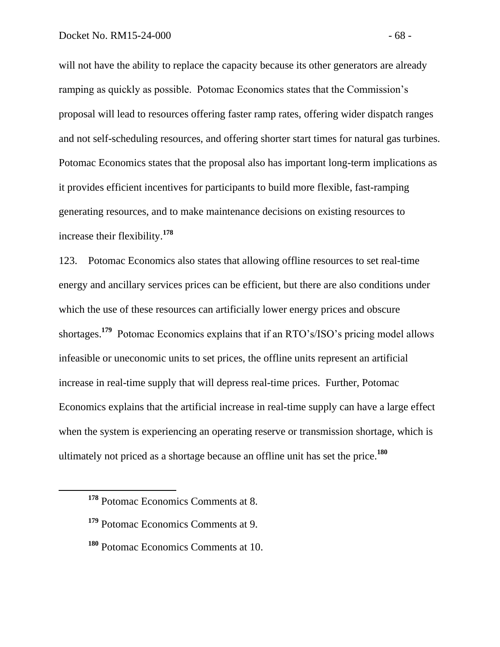will not have the ability to replace the capacity because its other generators are already ramping as quickly as possible. Potomac Economics states that the Commission's proposal will lead to resources offering faster ramp rates, offering wider dispatch ranges and not self-scheduling resources, and offering shorter start times for natural gas turbines. Potomac Economics states that the proposal also has important long-term implications as it provides efficient incentives for participants to build more flexible, fast-ramping generating resources, and to make maintenance decisions on existing resources to increase their flexibility.**<sup>178</sup>**

123. Potomac Economics also states that allowing offline resources to set real-time energy and ancillary services prices can be efficient, but there are also conditions under which the use of these resources can artificially lower energy prices and obscure shortages.<sup>179</sup> Potomac Economics explains that if an RTO's/ISO's pricing model allows infeasible or uneconomic units to set prices, the offline units represent an artificial increase in real-time supply that will depress real-time prices. Further, Potomac Economics explains that the artificial increase in real-time supply can have a large effect when the system is experiencing an operating reserve or transmission shortage, which is ultimately not priced as a shortage because an offline unit has set the price.**<sup>180</sup>**

**<sup>178</sup>** Potomac Economics Comments at 8.

**<sup>179</sup>** Potomac Economics Comments at 9.

**<sup>180</sup>** Potomac Economics Comments at 10.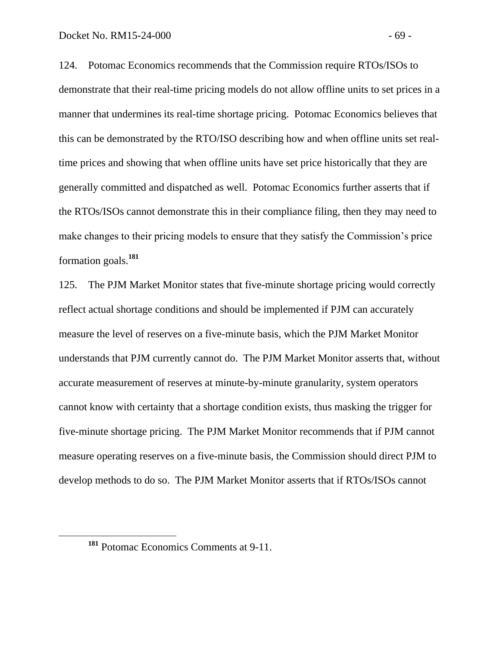124. Potomac Economics recommends that the Commission require RTOs/ISOs to demonstrate that their real-time pricing models do not allow offline units to set prices in a manner that undermines its real-time shortage pricing. Potomac Economics believes that this can be demonstrated by the RTO/ISO describing how and when offline units set realtime prices and showing that when offline units have set price historically that they are generally committed and dispatched as well. Potomac Economics further asserts that if the RTOs/ISOs cannot demonstrate this in their compliance filing, then they may need to make changes to their pricing models to ensure that they satisfy the Commission's price formation goals. **181**

125. The PJM Market Monitor states that five-minute shortage pricing would correctly reflect actual shortage conditions and should be implemented if PJM can accurately measure the level of reserves on a five-minute basis, which the PJM Market Monitor understands that PJM currently cannot do. The PJM Market Monitor asserts that, without accurate measurement of reserves at minute-by-minute granularity, system operators cannot know with certainty that a shortage condition exists, thus masking the trigger for five-minute shortage pricing. The PJM Market Monitor recommends that if PJM cannot measure operating reserves on a five-minute basis, the Commission should direct PJM to develop methods to do so. The PJM Market Monitor asserts that if RTOs/ISOs cannot

**<sup>181</sup>** Potomac Economics Comments at 9-11.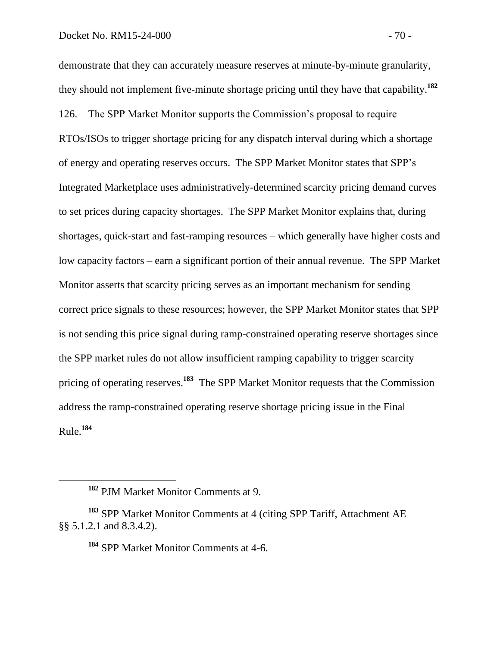demonstrate that they can accurately measure reserves at minute-by-minute granularity, they should not implement five-minute shortage pricing until they have that capability.**<sup>182</sup>** 126. The SPP Market Monitor supports the Commission's proposal to require RTOs/ISOs to trigger shortage pricing for any dispatch interval during which a shortage of energy and operating reserves occurs. The SPP Market Monitor states that SPP's Integrated Marketplace uses administratively-determined scarcity pricing demand curves to set prices during capacity shortages. The SPP Market Monitor explains that, during shortages, quick-start and fast-ramping resources – which generally have higher costs and low capacity factors – earn a significant portion of their annual revenue. The SPP Market Monitor asserts that scarcity pricing serves as an important mechanism for sending correct price signals to these resources; however, the SPP Market Monitor states that SPP is not sending this price signal during ramp-constrained operating reserve shortages since the SPP market rules do not allow insufficient ramping capability to trigger scarcity pricing of operating reserves.**<sup>183</sup>** The SPP Market Monitor requests that the Commission address the ramp-constrained operating reserve shortage pricing issue in the Final Rule.**<sup>184</sup>**

 $\overline{a}$ 

**<sup>184</sup>** SPP Market Monitor Comments at 4-6.

**<sup>182</sup>** PJM Market Monitor Comments at 9.

**<sup>183</sup>** SPP Market Monitor Comments at 4 (citing SPP Tariff, Attachment AE §§ 5.1.2.1 and 8.3.4.2).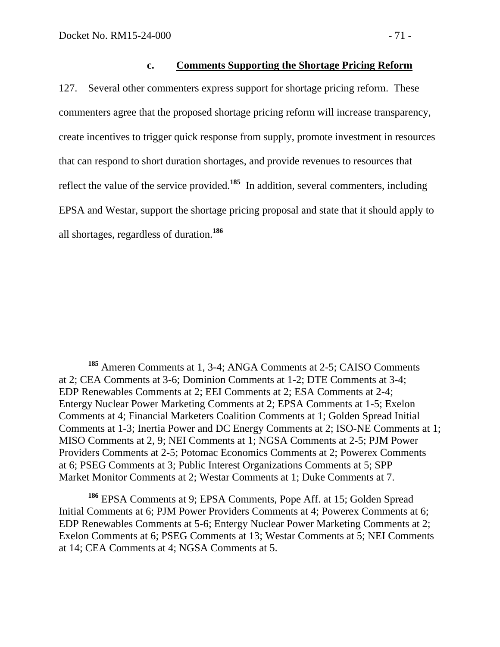#### **c. Comments Supporting the Shortage Pricing Reform**

127. Several other commenters express support for shortage pricing reform. These commenters agree that the proposed shortage pricing reform will increase transparency, create incentives to trigger quick response from supply, promote investment in resources that can respond to short duration shortages, and provide revenues to resources that reflect the value of the service provided.<sup>185</sup> In addition, several commenters, including EPSA and Westar, support the shortage pricing proposal and state that it should apply to all shortages, regardless of duration.**<sup>186</sup>**

**<sup>186</sup>** EPSA Comments at 9; EPSA Comments, Pope Aff. at 15; Golden Spread Initial Comments at 6; PJM Power Providers Comments at 4; Powerex Comments at 6; EDP Renewables Comments at 5-6; Entergy Nuclear Power Marketing Comments at 2; Exelon Comments at 6; PSEG Comments at 13; Westar Comments at 5; NEI Comments at 14; CEA Comments at 4; NGSA Comments at 5.

 **<sup>185</sup>** Ameren Comments at 1, 3-4; ANGA Comments at 2-5; CAISO Comments at 2; CEA Comments at 3-6; Dominion Comments at 1-2; DTE Comments at 3-4; EDP Renewables Comments at 2; EEI Comments at 2; ESA Comments at 2-4; Entergy Nuclear Power Marketing Comments at 2; EPSA Comments at 1-5; Exelon Comments at 4; Financial Marketers Coalition Comments at 1; Golden Spread Initial Comments at 1-3; Inertia Power and DC Energy Comments at 2; ISO-NE Comments at 1; MISO Comments at 2, 9; NEI Comments at 1; NGSA Comments at 2-5; PJM Power Providers Comments at 2-5; Potomac Economics Comments at 2; Powerex Comments at 6; PSEG Comments at 3; Public Interest Organizations Comments at 5; SPP Market Monitor Comments at 2; Westar Comments at 1; Duke Comments at 7.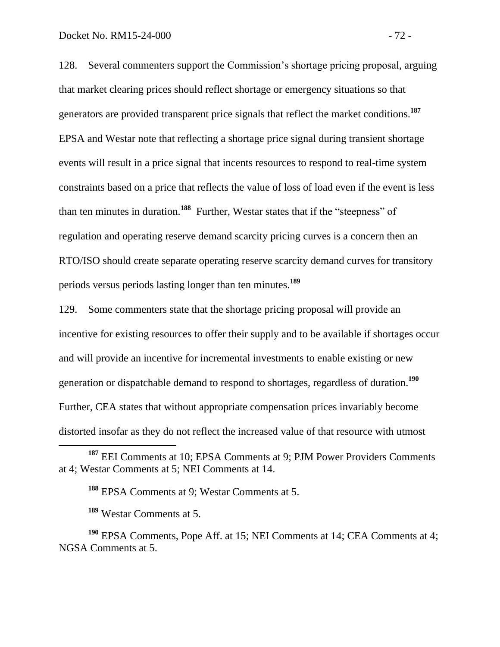128. Several commenters support the Commission's shortage pricing proposal, arguing that market clearing prices should reflect shortage or emergency situations so that generators are provided transparent price signals that reflect the market conditions. **187** EPSA and Westar note that reflecting a shortage price signal during transient shortage events will result in a price signal that incents resources to respond to real-time system constraints based on a price that reflects the value of loss of load even if the event is less than ten minutes in duration.**<sup>188</sup>** Further, Westar states that if the "steepness" of regulation and operating reserve demand scarcity pricing curves is a concern then an RTO/ISO should create separate operating reserve scarcity demand curves for transitory periods versus periods lasting longer than ten minutes.**<sup>189</sup>**

129. Some commenters state that the shortage pricing proposal will provide an incentive for existing resources to offer their supply and to be available if shortages occur and will provide an incentive for incremental investments to enable existing or new generation or dispatchable demand to respond to shortages, regardless of duration.**<sup>190</sup>** Further, CEA states that without appropriate compensation prices invariably become distorted insofar as they do not reflect the increased value of that resource with utmost

**<sup>188</sup>** EPSA Comments at 9; Westar Comments at 5.

**<sup>189</sup>** Westar Comments at 5.

 $\overline{a}$ 

**<sup>190</sup>** EPSA Comments, Pope Aff. at 15; NEI Comments at 14; CEA Comments at 4; NGSA Comments at 5.

**<sup>187</sup>** EEI Comments at 10; EPSA Comments at 9; PJM Power Providers Comments at 4; Westar Comments at 5; NEI Comments at 14.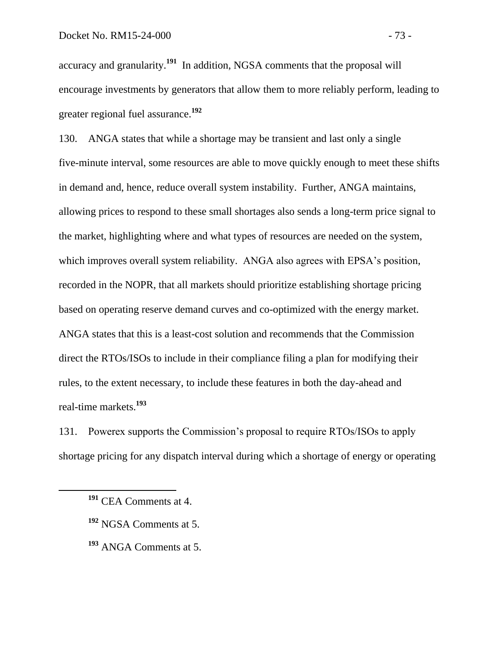accuracy and granularity.**<sup>191</sup>** In addition, NGSA comments that the proposal will encourage investments by generators that allow them to more reliably perform, leading to greater regional fuel assurance.**<sup>192</sup>**

130. ANGA states that while a shortage may be transient and last only a single five-minute interval, some resources are able to move quickly enough to meet these shifts in demand and, hence, reduce overall system instability. Further, ANGA maintains, allowing prices to respond to these small shortages also sends a long-term price signal to the market, highlighting where and what types of resources are needed on the system, which improves overall system reliability. ANGA also agrees with EPSA's position, recorded in the NOPR, that all markets should prioritize establishing shortage pricing based on operating reserve demand curves and co-optimized with the energy market. ANGA states that this is a least-cost solution and recommends that the Commission direct the RTOs/ISOs to include in their compliance filing a plan for modifying their rules, to the extent necessary, to include these features in both the day-ahead and real-time markets.**<sup>193</sup>**

131. Powerex supports the Commission's proposal to require RTOs/ISOs to apply shortage pricing for any dispatch interval during which a shortage of energy or operating

- **<sup>192</sup>** NGSA Comments at 5.
- **<sup>193</sup>** ANGA Comments at 5.

**<sup>191</sup>** CEA Comments at 4.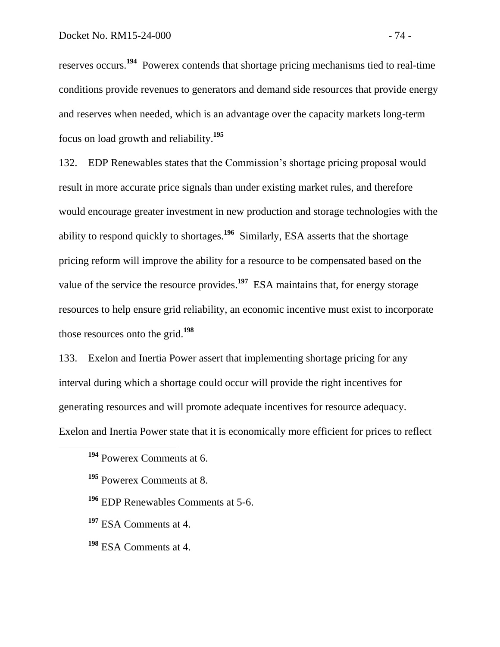reserves occurs.<sup>194</sup> Powerex contends that shortage pricing mechanisms tied to real-time conditions provide revenues to generators and demand side resources that provide energy and reserves when needed, which is an advantage over the capacity markets long-term focus on load growth and reliability.**<sup>195</sup>**

132. EDP Renewables states that the Commission's shortage pricing proposal would result in more accurate price signals than under existing market rules, and therefore would encourage greater investment in new production and storage technologies with the ability to respond quickly to shortages.**<sup>196</sup>** Similarly, ESA asserts that the shortage pricing reform will improve the ability for a resource to be compensated based on the value of the service the resource provides.<sup>197</sup> ESA maintains that, for energy storage resources to help ensure grid reliability, an economic incentive must exist to incorporate those resources onto the grid.**<sup>198</sup>**

133. Exelon and Inertia Power assert that implementing shortage pricing for any interval during which a shortage could occur will provide the right incentives for generating resources and will promote adequate incentives for resource adequacy. Exelon and Inertia Power state that it is economically more efficient for prices to reflect

**<sup>194</sup>** Powerex Comments at 6.

**<sup>195</sup>** Powerex Comments at 8.

**<sup>196</sup>** EDP Renewables Comments at 5-6.

**<sup>197</sup>** ESA Comments at 4.

**<sup>198</sup>** ESA Comments at 4.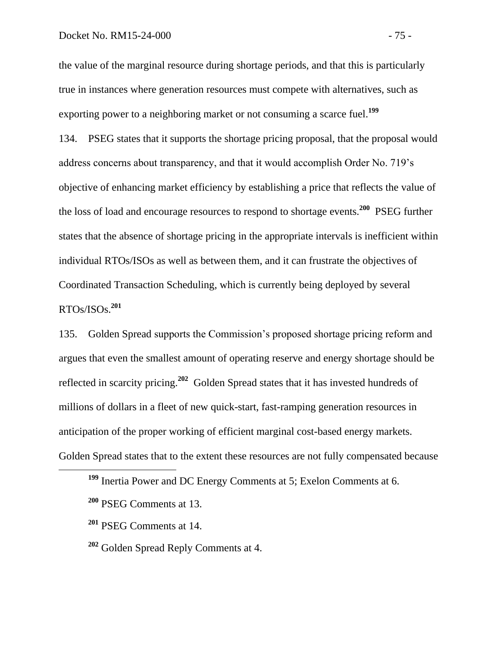the value of the marginal resource during shortage periods, and that this is particularly true in instances where generation resources must compete with alternatives, such as exporting power to a neighboring market or not consuming a scarce fuel.**<sup>199</sup>**

134. PSEG states that it supports the shortage pricing proposal, that the proposal would address concerns about transparency, and that it would accomplish Order No. 719's objective of enhancing market efficiency by establishing a price that reflects the value of the loss of load and encourage resources to respond to shortage events.**<sup>200</sup>** PSEG further states that the absence of shortage pricing in the appropriate intervals is inefficient within individual RTOs/ISOs as well as between them, and it can frustrate the objectives of Coordinated Transaction Scheduling, which is currently being deployed by several RTOs/ISOs.**<sup>201</sup>**

135. Golden Spread supports the Commission's proposed shortage pricing reform and argues that even the smallest amount of operating reserve and energy shortage should be reflected in scarcity pricing.**<sup>202</sup>** Golden Spread states that it has invested hundreds of millions of dollars in a fleet of new quick-start, fast-ramping generation resources in anticipation of the proper working of efficient marginal cost-based energy markets. Golden Spread states that to the extent these resources are not fully compensated because

**<sup>199</sup>** Inertia Power and DC Energy Comments at 5; Exelon Comments at 6.

**<sup>200</sup>** PSEG Comments at 13.

**<sup>201</sup>** PSEG Comments at 14.

**<sup>202</sup>** Golden Spread Reply Comments at 4.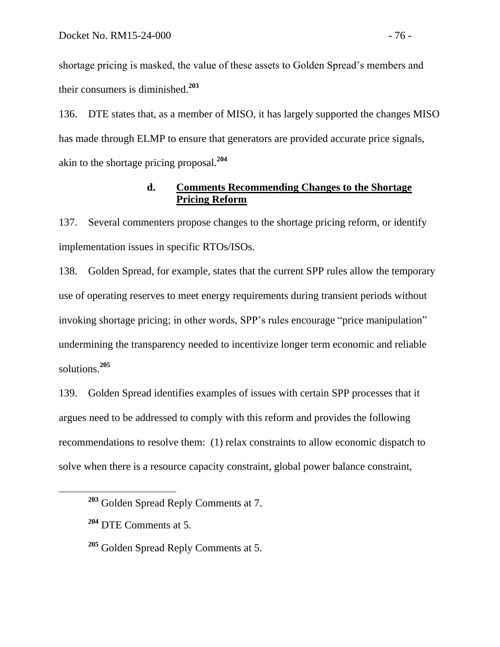shortage pricing is masked, the value of these assets to Golden Spread's members and their consumers is diminished.**<sup>203</sup>**

136. DTE states that, as a member of MISO, it has largely supported the changes MISO has made through ELMP to ensure that generators are provided accurate price signals, akin to the shortage pricing proposal.**<sup>204</sup>**

# **d. Comments Recommending Changes to the Shortage Pricing Reform**

137. Several commenters propose changes to the shortage pricing reform, or identify implementation issues in specific RTOs/ISOs.

138. Golden Spread, for example, states that the current SPP rules allow the temporary use of operating reserves to meet energy requirements during transient periods without invoking shortage pricing; in other words, SPP's rules encourage "price manipulation" undermining the transparency needed to incentivize longer term economic and reliable solutions.**<sup>205</sup>**

139. Golden Spread identifies examples of issues with certain SPP processes that it argues need to be addressed to comply with this reform and provides the following recommendations to resolve them: (1) relax constraints to allow economic dispatch to solve when there is a resource capacity constraint, global power balance constraint,

**<sup>203</sup>** Golden Spread Reply Comments at 7.

**<sup>204</sup>** DTE Comments at 5.

**<sup>205</sup>** Golden Spread Reply Comments at 5.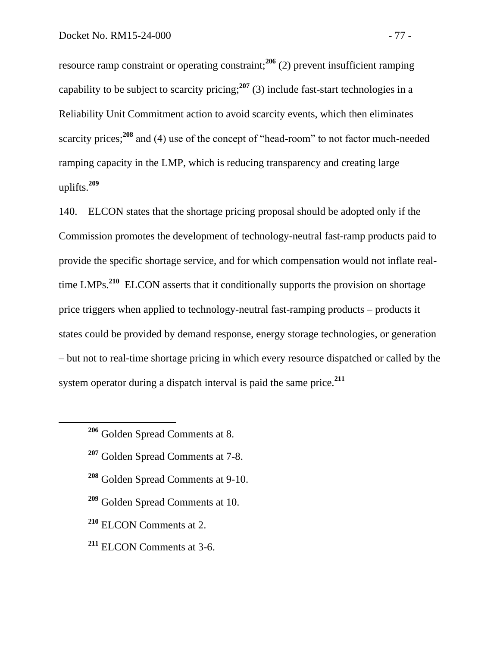resource ramp constraint or operating constraint;**<sup>206</sup>** (2) prevent insufficient ramping capability to be subject to scarcity pricing;<sup>207</sup> (3) include fast-start technologies in a Reliability Unit Commitment action to avoid scarcity events, which then eliminates scarcity prices;<sup>208</sup> and (4) use of the concept of "head-room" to not factor much-needed ramping capacity in the LMP, which is reducing transparency and creating large uplifts.**<sup>209</sup>**

140. ELCON states that the shortage pricing proposal should be adopted only if the Commission promotes the development of technology-neutral fast-ramp products paid to provide the specific shortage service, and for which compensation would not inflate realtime LMPs.**<sup>210</sup>** ELCON asserts that it conditionally supports the provision on shortage price triggers when applied to technology-neutral fast-ramping products – products it states could be provided by demand response, energy storage technologies, or generation – but not to real-time shortage pricing in which every resource dispatched or called by the system operator during a dispatch interval is paid the same price.**<sup>211</sup>**

- **<sup>207</sup>** Golden Spread Comments at 7-8.
- **<sup>208</sup>** Golden Spread Comments at 9-10.
- **<sup>209</sup>** Golden Spread Comments at 10.
- **<sup>210</sup>** ELCON Comments at 2.
- **<sup>211</sup>** ELCON Comments at 3-6.

**<sup>206</sup>** Golden Spread Comments at 8.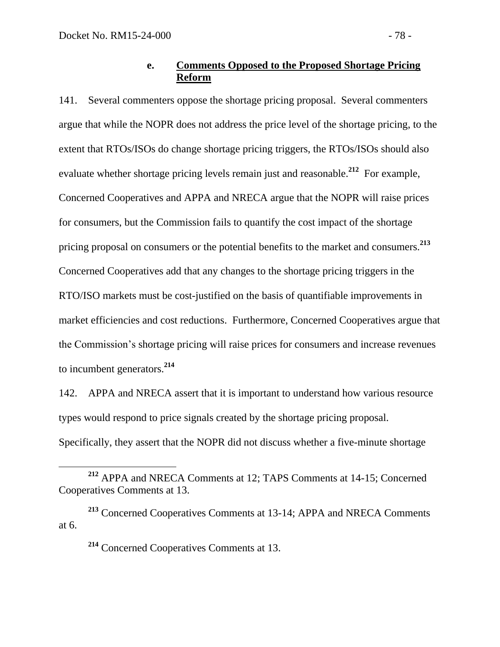### **e. Comments Opposed to the Proposed Shortage Pricing Reform**

141. Several commenters oppose the shortage pricing proposal. Several commenters argue that while the NOPR does not address the price level of the shortage pricing, to the extent that RTOs/ISOs do change shortage pricing triggers, the RTOs/ISOs should also evaluate whether shortage pricing levels remain just and reasonable.<sup>212</sup> For example, Concerned Cooperatives and APPA and NRECA argue that the NOPR will raise prices for consumers, but the Commission fails to quantify the cost impact of the shortage pricing proposal on consumers or the potential benefits to the market and consumers.**<sup>213</sup>** Concerned Cooperatives add that any changes to the shortage pricing triggers in the RTO/ISO markets must be cost-justified on the basis of quantifiable improvements in market efficiencies and cost reductions. Furthermore, Concerned Cooperatives argue that the Commission's shortage pricing will raise prices for consumers and increase revenues to incumbent generators.**<sup>214</sup>**

142. APPA and NRECA assert that it is important to understand how various resource types would respond to price signals created by the shortage pricing proposal. Specifically, they assert that the NOPR did not discuss whether a five-minute shortage

**<sup>214</sup>** Concerned Cooperatives Comments at 13.

**<sup>212</sup>** APPA and NRECA Comments at 12; TAPS Comments at 14-15; Concerned Cooperatives Comments at 13.

**<sup>213</sup>** Concerned Cooperatives Comments at 13-14; APPA and NRECA Comments at 6.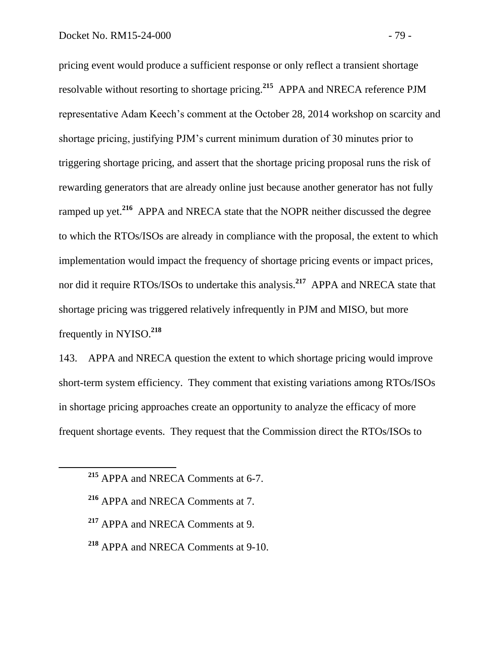pricing event would produce a sufficient response or only reflect a transient shortage resolvable without resorting to shortage pricing.**<sup>215</sup>** APPA and NRECA reference PJM representative Adam Keech's comment at the October 28, 2014 workshop on scarcity and shortage pricing, justifying PJM's current minimum duration of 30 minutes prior to triggering shortage pricing, and assert that the shortage pricing proposal runs the risk of rewarding generators that are already online just because another generator has not fully ramped up yet.<sup>216</sup> APPA and NRECA state that the NOPR neither discussed the degree to which the RTOs/ISOs are already in compliance with the proposal, the extent to which implementation would impact the frequency of shortage pricing events or impact prices, nor did it require RTOs/ISOs to undertake this analysis.**<sup>217</sup>** APPA and NRECA state that shortage pricing was triggered relatively infrequently in PJM and MISO, but more frequently in NYISO.**<sup>218</sup>**

143. APPA and NRECA question the extent to which shortage pricing would improve short-term system efficiency. They comment that existing variations among RTOs/ISOs in shortage pricing approaches create an opportunity to analyze the efficacy of more frequent shortage events. They request that the Commission direct the RTOs/ISOs to

- **<sup>217</sup>** APPA and NRECA Comments at 9.
- **<sup>218</sup>** APPA and NRECA Comments at 9-10.

**<sup>215</sup>** APPA and NRECA Comments at 6-7.

**<sup>216</sup>** APPA and NRECA Comments at 7.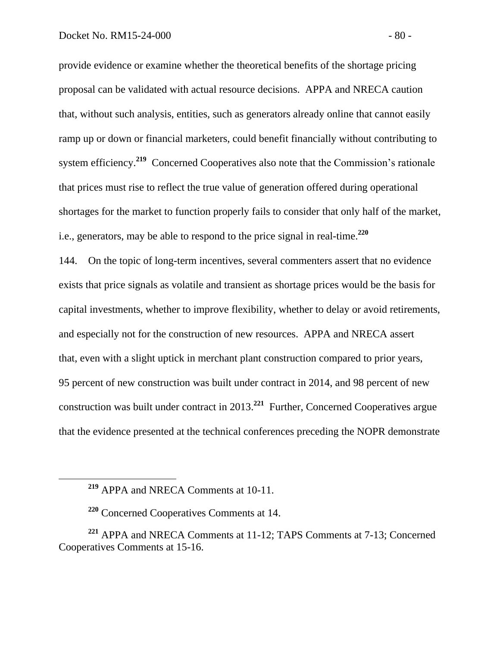provide evidence or examine whether the theoretical benefits of the shortage pricing proposal can be validated with actual resource decisions. APPA and NRECA caution that, without such analysis, entities, such as generators already online that cannot easily ramp up or down or financial marketers, could benefit financially without contributing to system efficiency.<sup>219</sup> Concerned Cooperatives also note that the Commission's rationale that prices must rise to reflect the true value of generation offered during operational shortages for the market to function properly fails to consider that only half of the market, i.e., generators, may be able to respond to the price signal in real-time.**<sup>220</sup>**

144. On the topic of long-term incentives, several commenters assert that no evidence exists that price signals as volatile and transient as shortage prices would be the basis for capital investments, whether to improve flexibility, whether to delay or avoid retirements, and especially not for the construction of new resources. APPA and NRECA assert that, even with a slight uptick in merchant plant construction compared to prior years, 95 percent of new construction was built under contract in 2014, and 98 percent of new construction was built under contract in 2013.**<sup>221</sup>** Further, Concerned Cooperatives argue that the evidence presented at the technical conferences preceding the NOPR demonstrate

**<sup>219</sup>** APPA and NRECA Comments at 10-11.

**<sup>220</sup>** Concerned Cooperatives Comments at 14.

**<sup>221</sup>** APPA and NRECA Comments at 11-12; TAPS Comments at 7-13; Concerned Cooperatives Comments at 15-16.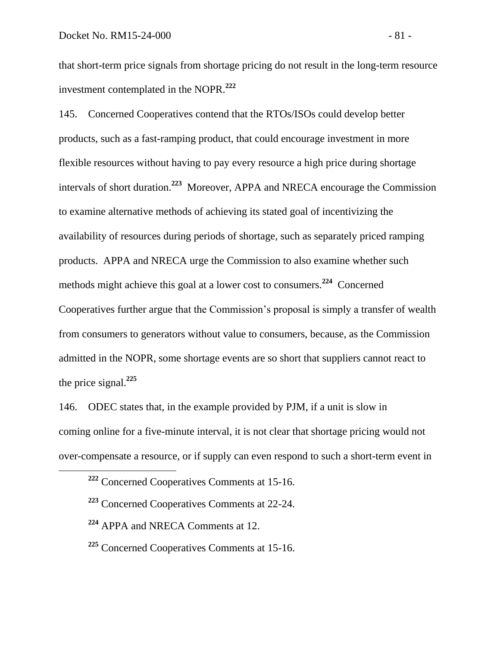that short-term price signals from shortage pricing do not result in the long-term resource investment contemplated in the NOPR.**<sup>222</sup>**

145. Concerned Cooperatives contend that the RTOs/ISOs could develop better products, such as a fast-ramping product, that could encourage investment in more flexible resources without having to pay every resource a high price during shortage intervals of short duration.**<sup>223</sup>** Moreover, APPA and NRECA encourage the Commission to examine alternative methods of achieving its stated goal of incentivizing the availability of resources during periods of shortage, such as separately priced ramping products. APPA and NRECA urge the Commission to also examine whether such methods might achieve this goal at a lower cost to consumers.<sup>224</sup> Concerned Cooperatives further argue that the Commission's proposal is simply a transfer of wealth from consumers to generators without value to consumers, because, as the Commission admitted in the NOPR, some shortage events are so short that suppliers cannot react to the price signal.**<sup>225</sup>**

146. ODEC states that, in the example provided by PJM, if a unit is slow in coming online for a five-minute interval, it is not clear that shortage pricing would not over-compensate a resource, or if supply can even respond to such a short-term event in

 $\overline{a}$ 

**<sup>225</sup>** Concerned Cooperatives Comments at 15-16.

**<sup>222</sup>** Concerned Cooperatives Comments at 15-16.

**<sup>223</sup>** Concerned Cooperatives Comments at 22-24.

**<sup>224</sup>** APPA and NRECA Comments at 12.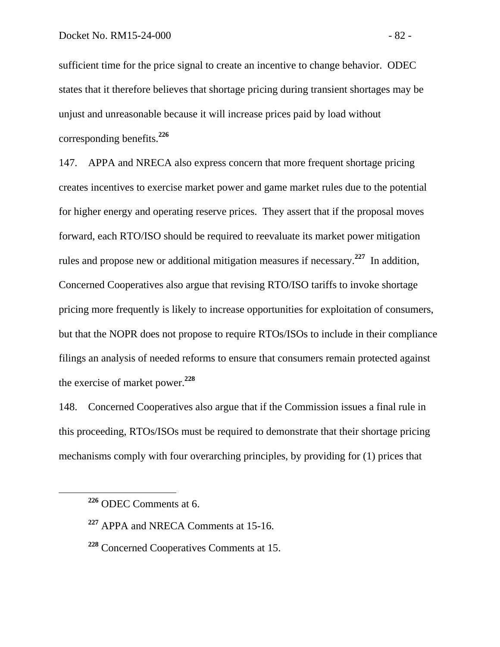sufficient time for the price signal to create an incentive to change behavior. ODEC states that it therefore believes that shortage pricing during transient shortages may be unjust and unreasonable because it will increase prices paid by load without corresponding benefits.**<sup>226</sup>**

147. APPA and NRECA also express concern that more frequent shortage pricing creates incentives to exercise market power and game market rules due to the potential for higher energy and operating reserve prices. They assert that if the proposal moves forward, each RTO/ISO should be required to reevaluate its market power mitigation rules and propose new or additional mitigation measures if necessary.**<sup>227</sup>** In addition, Concerned Cooperatives also argue that revising RTO/ISO tariffs to invoke shortage pricing more frequently is likely to increase opportunities for exploitation of consumers, but that the NOPR does not propose to require RTOs/ISOs to include in their compliance filings an analysis of needed reforms to ensure that consumers remain protected against the exercise of market power.**<sup>228</sup>**

148. Concerned Cooperatives also argue that if the Commission issues a final rule in this proceeding, RTOs/ISOs must be required to demonstrate that their shortage pricing mechanisms comply with four overarching principles, by providing for (1) prices that

**<sup>226</sup>** ODEC Comments at 6.

**<sup>227</sup>** APPA and NRECA Comments at 15-16.

**<sup>228</sup>** Concerned Cooperatives Comments at 15.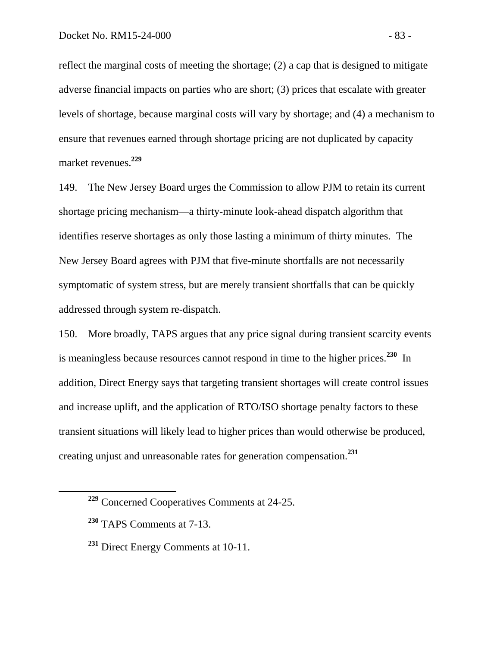reflect the marginal costs of meeting the shortage; (2) a cap that is designed to mitigate adverse financial impacts on parties who are short; (3) prices that escalate with greater levels of shortage, because marginal costs will vary by shortage; and (4) a mechanism to ensure that revenues earned through shortage pricing are not duplicated by capacity market revenues.**<sup>229</sup>**

149. The New Jersey Board urges the Commission to allow PJM to retain its current shortage pricing mechanism—a thirty-minute look-ahead dispatch algorithm that identifies reserve shortages as only those lasting a minimum of thirty minutes. The New Jersey Board agrees with PJM that five-minute shortfalls are not necessarily symptomatic of system stress, but are merely transient shortfalls that can be quickly addressed through system re-dispatch.

150. More broadly, TAPS argues that any price signal during transient scarcity events is meaningless because resources cannot respond in time to the higher prices.**<sup>230</sup>** In addition, Direct Energy says that targeting transient shortages will create control issues and increase uplift, and the application of RTO/ISO shortage penalty factors to these transient situations will likely lead to higher prices than would otherwise be produced, creating unjust and unreasonable rates for generation compensation.**<sup>231</sup>**

**<sup>229</sup>** Concerned Cooperatives Comments at 24-25.

**<sup>230</sup>** TAPS Comments at 7-13.

**<sup>231</sup>** Direct Energy Comments at 10-11.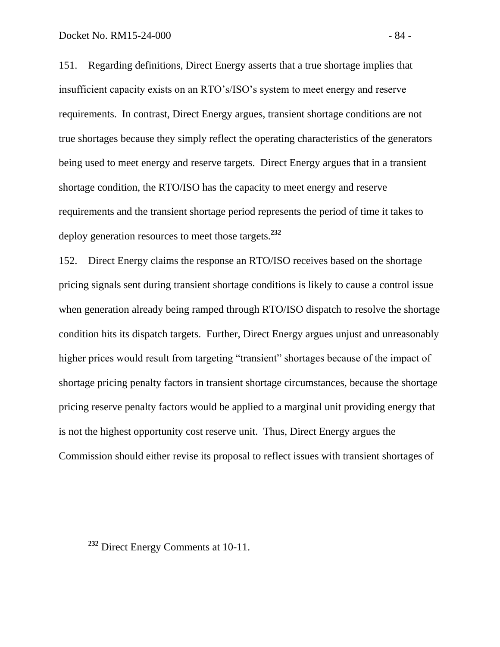151. Regarding definitions, Direct Energy asserts that a true shortage implies that insufficient capacity exists on an RTO's/ISO's system to meet energy and reserve requirements. In contrast, Direct Energy argues, transient shortage conditions are not true shortages because they simply reflect the operating characteristics of the generators being used to meet energy and reserve targets. Direct Energy argues that in a transient shortage condition, the RTO/ISO has the capacity to meet energy and reserve requirements and the transient shortage period represents the period of time it takes to deploy generation resources to meet those targets.**<sup>232</sup>**

152. Direct Energy claims the response an RTO/ISO receives based on the shortage pricing signals sent during transient shortage conditions is likely to cause a control issue when generation already being ramped through RTO/ISO dispatch to resolve the shortage condition hits its dispatch targets. Further, Direct Energy argues unjust and unreasonably higher prices would result from targeting "transient" shortages because of the impact of shortage pricing penalty factors in transient shortage circumstances, because the shortage pricing reserve penalty factors would be applied to a marginal unit providing energy that is not the highest opportunity cost reserve unit. Thus, Direct Energy argues the Commission should either revise its proposal to reflect issues with transient shortages of

**<sup>232</sup>** Direct Energy Comments at 10-11.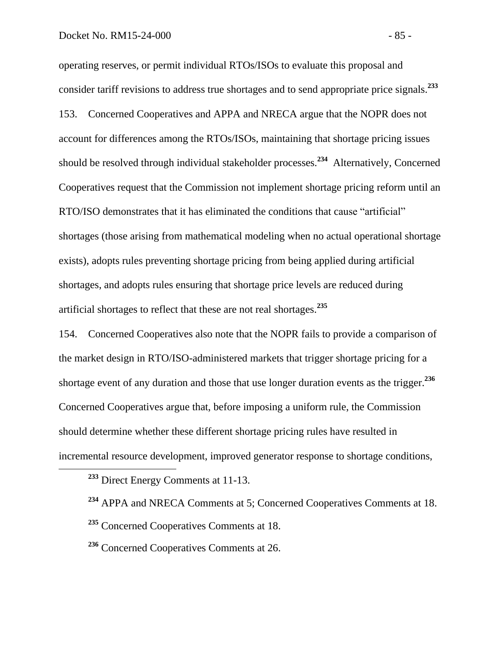operating reserves, or permit individual RTOs/ISOs to evaluate this proposal and consider tariff revisions to address true shortages and to send appropriate price signals.**<sup>233</sup>** 153. Concerned Cooperatives and APPA and NRECA argue that the NOPR does not account for differences among the RTOs/ISOs, maintaining that shortage pricing issues should be resolved through individual stakeholder processes.<sup>234</sup> Alternatively, Concerned Cooperatives request that the Commission not implement shortage pricing reform until an RTO/ISO demonstrates that it has eliminated the conditions that cause "artificial" shortages (those arising from mathematical modeling when no actual operational shortage exists), adopts rules preventing shortage pricing from being applied during artificial shortages, and adopts rules ensuring that shortage price levels are reduced during artificial shortages to reflect that these are not real shortages.**<sup>235</sup>**

154. Concerned Cooperatives also note that the NOPR fails to provide a comparison of the market design in RTO/ISO-administered markets that trigger shortage pricing for a shortage event of any duration and those that use longer duration events as the trigger.**<sup>236</sup>** Concerned Cooperatives argue that, before imposing a uniform rule, the Commission should determine whether these different shortage pricing rules have resulted in incremental resource development, improved generator response to shortage conditions,

- **<sup>234</sup>** APPA and NRECA Comments at 5; Concerned Cooperatives Comments at 18.
- **<sup>235</sup>** Concerned Cooperatives Comments at 18.
- **<sup>236</sup>** Concerned Cooperatives Comments at 26.

**<sup>233</sup>** Direct Energy Comments at 11-13.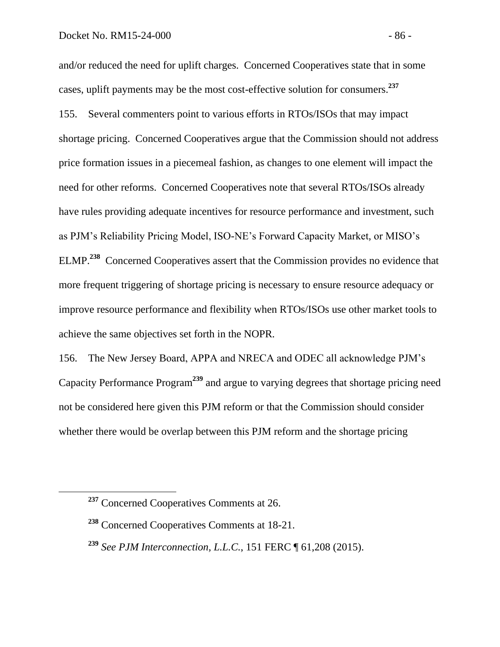and/or reduced the need for uplift charges. Concerned Cooperatives state that in some cases, uplift payments may be the most cost-effective solution for consumers.**<sup>237</sup>** 155. Several commenters point to various efforts in RTOs/ISOs that may impact shortage pricing. Concerned Cooperatives argue that the Commission should not address price formation issues in a piecemeal fashion, as changes to one element will impact the need for other reforms. Concerned Cooperatives note that several RTOs/ISOs already have rules providing adequate incentives for resource performance and investment, such as PJM's Reliability Pricing Model, ISO-NE's Forward Capacity Market, or MISO's ELMP.**<sup>238</sup>** Concerned Cooperatives assert that the Commission provides no evidence that more frequent triggering of shortage pricing is necessary to ensure resource adequacy or improve resource performance and flexibility when RTOs/ISOs use other market tools to achieve the same objectives set forth in the NOPR.

156. The New Jersey Board, APPA and NRECA and ODEC all acknowledge PJM's Capacity Performance Program**<sup>239</sup>** and argue to varying degrees that shortage pricing need not be considered here given this PJM reform or that the Commission should consider whether there would be overlap between this PJM reform and the shortage pricing

**<sup>237</sup>** Concerned Cooperatives Comments at 26.

**<sup>238</sup>** Concerned Cooperatives Comments at 18-21.

**<sup>239</sup>** *See PJM Interconnection, L.L.C.*, 151 FERC ¶ 61,208 (2015).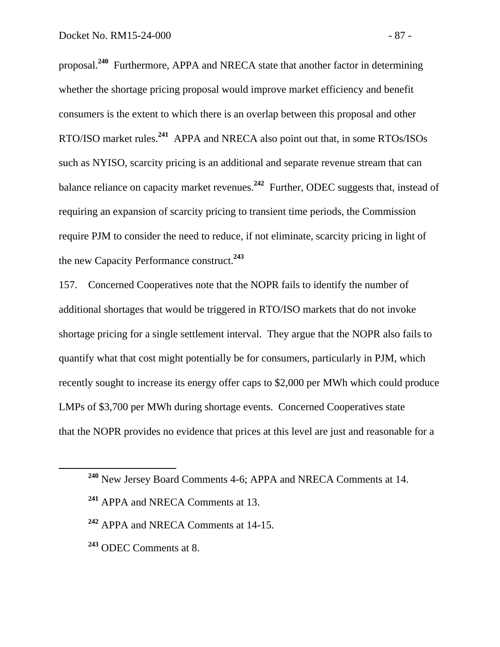proposal.**<sup>240</sup>** Furthermore, APPA and NRECA state that another factor in determining whether the shortage pricing proposal would improve market efficiency and benefit consumers is the extent to which there is an overlap between this proposal and other RTO/ISO market rules.**<sup>241</sup>** APPA and NRECA also point out that, in some RTOs/ISOs such as NYISO, scarcity pricing is an additional and separate revenue stream that can balance reliance on capacity market revenues.**<sup>242</sup>** Further, ODEC suggests that, instead of requiring an expansion of scarcity pricing to transient time periods, the Commission require PJM to consider the need to reduce, if not eliminate, scarcity pricing in light of the new Capacity Performance construct.**<sup>243</sup>**

157. Concerned Cooperatives note that the NOPR fails to identify the number of additional shortages that would be triggered in RTO/ISO markets that do not invoke shortage pricing for a single settlement interval. They argue that the NOPR also fails to quantify what that cost might potentially be for consumers, particularly in PJM, which recently sought to increase its energy offer caps to \$2,000 per MWh which could produce LMPs of \$3,700 per MWh during shortage events. Concerned Cooperatives state that the NOPR provides no evidence that prices at this level are just and reasonable for a

- **<sup>242</sup>** APPA and NRECA Comments at 14-15.
- **<sup>243</sup>** ODEC Comments at 8.

**<sup>240</sup>** New Jersey Board Comments 4-6; APPA and NRECA Comments at 14.

**<sup>241</sup>** APPA and NRECA Comments at 13.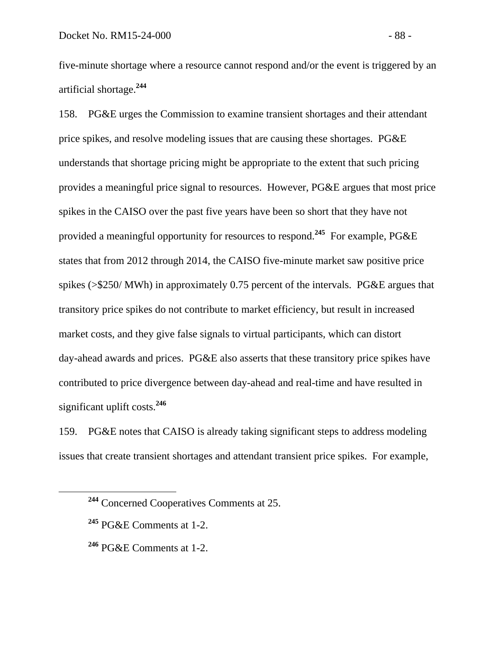five-minute shortage where a resource cannot respond and/or the event is triggered by an artificial shortage.**<sup>244</sup>**

158. PG&E urges the Commission to examine transient shortages and their attendant price spikes, and resolve modeling issues that are causing these shortages. PG&E understands that shortage pricing might be appropriate to the extent that such pricing provides a meaningful price signal to resources. However, PG&E argues that most price spikes in the CAISO over the past five years have been so short that they have not provided a meaningful opportunity for resources to respond.**<sup>245</sup>** For example, PG&E states that from 2012 through 2014, the CAISO five-minute market saw positive price spikes (>\$250/ MWh) in approximately 0.75 percent of the intervals. PG&E argues that transitory price spikes do not contribute to market efficiency, but result in increased market costs, and they give false signals to virtual participants, which can distort day-ahead awards and prices. PG&E also asserts that these transitory price spikes have contributed to price divergence between day-ahead and real-time and have resulted in significant uplift costs.**<sup>246</sup>**

159. PG&E notes that CAISO is already taking significant steps to address modeling issues that create transient shortages and attendant transient price spikes. For example,

**<sup>244</sup>** Concerned Cooperatives Comments at 25.

**<sup>245</sup>** PG&E Comments at 1-2.

**<sup>246</sup>** PG&E Comments at 1-2.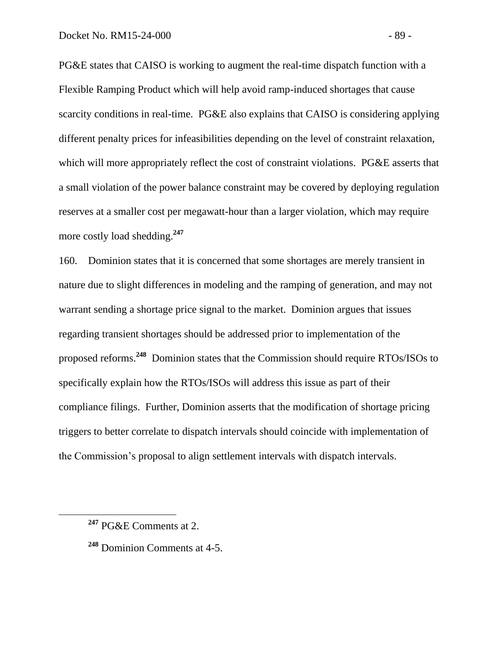PG&E states that CAISO is working to augment the real-time dispatch function with a Flexible Ramping Product which will help avoid ramp-induced shortages that cause scarcity conditions in real-time. PG&E also explains that CAISO is considering applying different penalty prices for infeasibilities depending on the level of constraint relaxation, which will more appropriately reflect the cost of constraint violations. PG&E asserts that a small violation of the power balance constraint may be covered by deploying regulation reserves at a smaller cost per megawatt-hour than a larger violation, which may require more costly load shedding.**<sup>247</sup>**

160. Dominion states that it is concerned that some shortages are merely transient in nature due to slight differences in modeling and the ramping of generation, and may not warrant sending a shortage price signal to the market. Dominion argues that issues regarding transient shortages should be addressed prior to implementation of the proposed reforms.**<sup>248</sup>** Dominion states that the Commission should require RTOs/ISOs to specifically explain how the RTOs/ISOs will address this issue as part of their compliance filings. Further, Dominion asserts that the modification of shortage pricing triggers to better correlate to dispatch intervals should coincide with implementation of the Commission's proposal to align settlement intervals with dispatch intervals.

**<sup>247</sup>** PG&E Comments at 2.

**<sup>248</sup>** Dominion Comments at 4-5.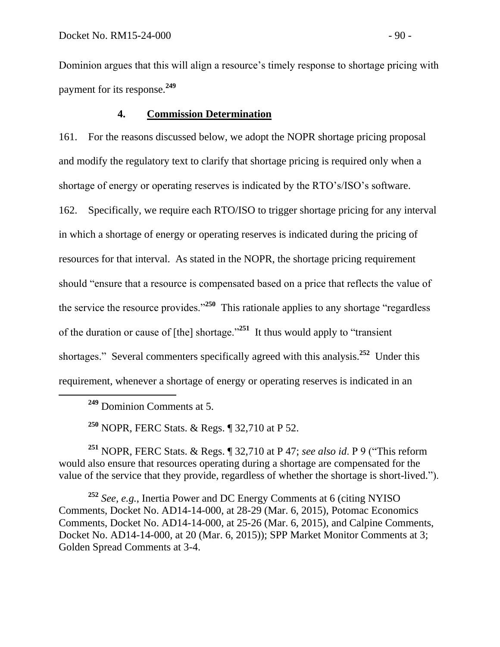Dominion argues that this will align a resource's timely response to shortage pricing with payment for its response.**<sup>249</sup>**

## **4. Commission Determination**

161. For the reasons discussed below, we adopt the NOPR shortage pricing proposal and modify the regulatory text to clarify that shortage pricing is required only when a shortage of energy or operating reserves is indicated by the RTO's/ISO's software. 162. Specifically, we require each RTO/ISO to trigger shortage pricing for any interval in which a shortage of energy or operating reserves is indicated during the pricing of resources for that interval. As stated in the NOPR, the shortage pricing requirement should "ensure that a resource is compensated based on a price that reflects the value of the service the resource provides."**<sup>250</sup>** This rationale applies to any shortage "regardless of the duration or cause of [the] shortage."**<sup>251</sup>** It thus would apply to "transient shortages." Several commenters specifically agreed with this analysis.<sup>252</sup> Under this requirement, whenever a shortage of energy or operating reserves is indicated in an

**<sup>249</sup>** Dominion Comments at 5.

 $\overline{a}$ 

**<sup>250</sup>** NOPR, FERC Stats. & Regs. ¶ 32,710 at P 52.

**<sup>251</sup>** NOPR, FERC Stats. & Regs. ¶ 32,710 at P 47; *see also id*. P 9 ("This reform would also ensure that resources operating during a shortage are compensated for the value of the service that they provide, regardless of whether the shortage is short-lived.").

**<sup>252</sup>** *See, e.g.*, Inertia Power and DC Energy Comments at 6 (citing NYISO Comments, Docket No. AD14-14-000, at 28-29 (Mar. 6, 2015), Potomac Economics Comments, Docket No. AD14-14-000, at 25-26 (Mar. 6, 2015), and Calpine Comments, Docket No. AD14-14-000, at 20 (Mar. 6, 2015)); SPP Market Monitor Comments at 3; Golden Spread Comments at 3-4.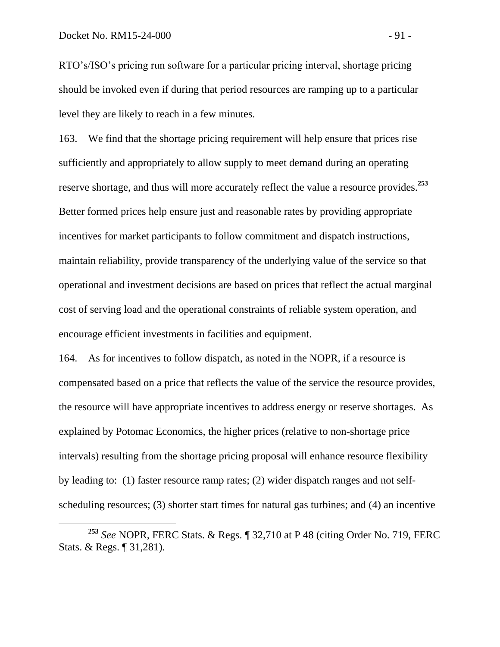$\overline{a}$ 

RTO's/ISO's pricing run software for a particular pricing interval, shortage pricing should be invoked even if during that period resources are ramping up to a particular level they are likely to reach in a few minutes.

163. We find that the shortage pricing requirement will help ensure that prices rise sufficiently and appropriately to allow supply to meet demand during an operating reserve shortage, and thus will more accurately reflect the value a resource provides. **253**  Better formed prices help ensure just and reasonable rates by providing appropriate incentives for market participants to follow commitment and dispatch instructions, maintain reliability, provide transparency of the underlying value of the service so that operational and investment decisions are based on prices that reflect the actual marginal cost of serving load and the operational constraints of reliable system operation, and encourage efficient investments in facilities and equipment.

164. As for incentives to follow dispatch, as noted in the NOPR, if a resource is compensated based on a price that reflects the value of the service the resource provides, the resource will have appropriate incentives to address energy or reserve shortages. As explained by Potomac Economics, the higher prices (relative to non-shortage price intervals) resulting from the shortage pricing proposal will enhance resource flexibility by leading to: (1) faster resource ramp rates; (2) wider dispatch ranges and not selfscheduling resources; (3) shorter start times for natural gas turbines; and (4) an incentive

**<sup>253</sup>** *See* NOPR, FERC Stats. & Regs. ¶ 32,710 at P 48 (citing Order No. 719, FERC Stats. & Regs. ¶ 31,281).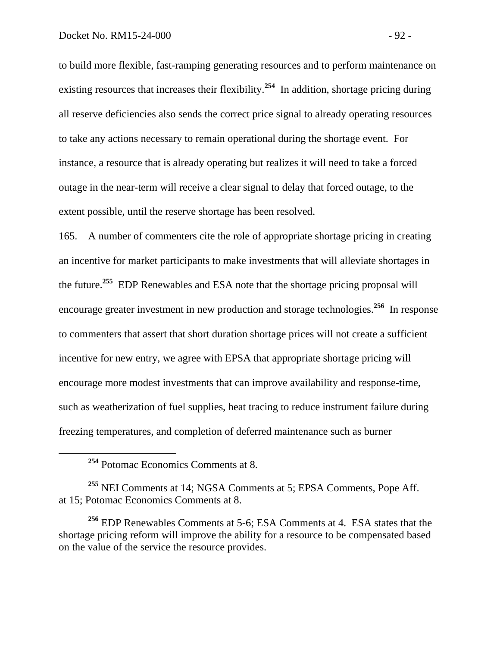to build more flexible, fast-ramping generating resources and to perform maintenance on existing resources that increases their flexibility.<sup>254</sup> In addition, shortage pricing during all reserve deficiencies also sends the correct price signal to already operating resources to take any actions necessary to remain operational during the shortage event. For instance, a resource that is already operating but realizes it will need to take a forced outage in the near-term will receive a clear signal to delay that forced outage, to the extent possible, until the reserve shortage has been resolved.

165. A number of commenters cite the role of appropriate shortage pricing in creating an incentive for market participants to make investments that will alleviate shortages in the future.**<sup>255</sup>** EDP Renewables and ESA note that the shortage pricing proposal will encourage greater investment in new production and storage technologies.**<sup>256</sup>** In response to commenters that assert that short duration shortage prices will not create a sufficient incentive for new entry, we agree with EPSA that appropriate shortage pricing will encourage more modest investments that can improve availability and response-time, such as weatherization of fuel supplies, heat tracing to reduce instrument failure during freezing temperatures, and completion of deferred maintenance such as burner

**<sup>254</sup>** Potomac Economics Comments at 8.

**<sup>255</sup>** NEI Comments at 14; NGSA Comments at 5; EPSA Comments, Pope Aff. at 15; Potomac Economics Comments at 8.

**<sup>256</sup>** EDP Renewables Comments at 5-6; ESA Comments at 4. ESA states that the shortage pricing reform will improve the ability for a resource to be compensated based on the value of the service the resource provides.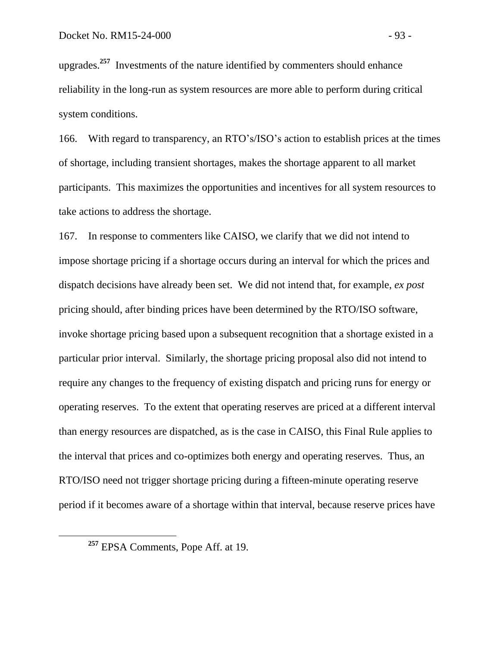upgrades.**<sup>257</sup>** Investments of the nature identified by commenters should enhance reliability in the long-run as system resources are more able to perform during critical system conditions.

166. With regard to transparency, an RTO's/ISO's action to establish prices at the times of shortage, including transient shortages, makes the shortage apparent to all market participants. This maximizes the opportunities and incentives for all system resources to take actions to address the shortage.

167. In response to commenters like CAISO, we clarify that we did not intend to impose shortage pricing if a shortage occurs during an interval for which the prices and dispatch decisions have already been set. We did not intend that, for example, *ex post* pricing should, after binding prices have been determined by the RTO/ISO software, invoke shortage pricing based upon a subsequent recognition that a shortage existed in a particular prior interval. Similarly, the shortage pricing proposal also did not intend to require any changes to the frequency of existing dispatch and pricing runs for energy or operating reserves. To the extent that operating reserves are priced at a different interval than energy resources are dispatched, as is the case in CAISO, this Final Rule applies to the interval that prices and co-optimizes both energy and operating reserves. Thus, an RTO/ISO need not trigger shortage pricing during a fifteen-minute operating reserve period if it becomes aware of a shortage within that interval, because reserve prices have

**<sup>257</sup>** EPSA Comments, Pope Aff. at 19.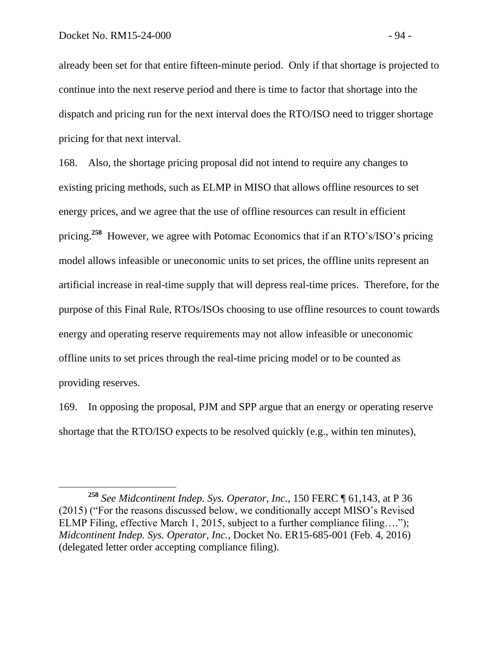already been set for that entire fifteen-minute period. Only if that shortage is projected to continue into the next reserve period and there is time to factor that shortage into the dispatch and pricing run for the next interval does the RTO/ISO need to trigger shortage pricing for that next interval.

168. Also, the shortage pricing proposal did not intend to require any changes to existing pricing methods, such as ELMP in MISO that allows offline resources to set energy prices, and we agree that the use of offline resources can result in efficient pricing.**<sup>258</sup>** However, we agree with Potomac Economics that if an RTO's/ISO's pricing model allows infeasible or uneconomic units to set prices, the offline units represent an artificial increase in real-time supply that will depress real-time prices. Therefore, for the purpose of this Final Rule, RTOs/ISOs choosing to use offline resources to count towards energy and operating reserve requirements may not allow infeasible or uneconomic offline units to set prices through the real-time pricing model or to be counted as providing reserves.

169. In opposing the proposal, PJM and SPP argue that an energy or operating reserve shortage that the RTO/ISO expects to be resolved quickly (e.g., within ten minutes),

**<sup>258</sup>** *See Midcontinent Indep. Sys. Operator, Inc.*, 150 FERC ¶ 61,143, at P 36 (2015) ("For the reasons discussed below, we conditionally accept MISO's Revised ELMP Filing, effective March 1, 2015, subject to a further compliance filing...."); *Midcontinent Indep. Sys. Operator, Inc.*, Docket No. ER15-685-001 (Feb. 4, 2016) (delegated letter order accepting compliance filing).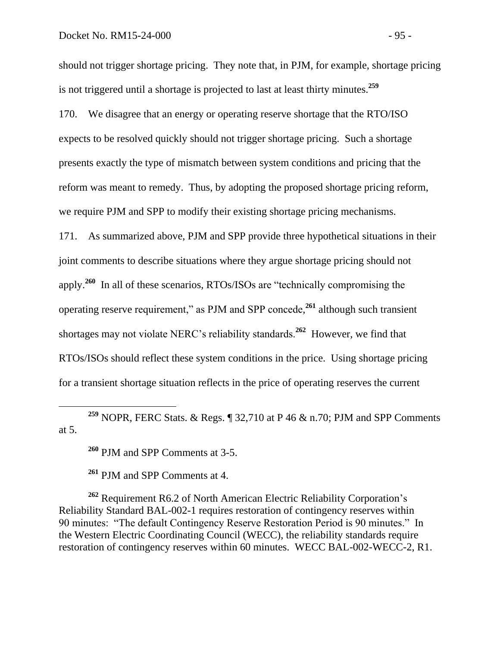should not trigger shortage pricing. They note that, in PJM, for example, shortage pricing is not triggered until a shortage is projected to last at least thirty minutes.**<sup>259</sup>**

170. We disagree that an energy or operating reserve shortage that the RTO/ISO expects to be resolved quickly should not trigger shortage pricing. Such a shortage presents exactly the type of mismatch between system conditions and pricing that the reform was meant to remedy. Thus, by adopting the proposed shortage pricing reform, we require PJM and SPP to modify their existing shortage pricing mechanisms.

171. As summarized above, PJM and SPP provide three hypothetical situations in their joint comments to describe situations where they argue shortage pricing should not apply. **<sup>260</sup>** In all of these scenarios, RTOs/ISOs are "technically compromising the operating reserve requirement," as PJM and SPP concede, **<sup>261</sup>** although such transient shortages may not violate NERC's reliability standards.**<sup>262</sup>** However, we find that RTOs/ISOs should reflect these system conditions in the price. Using shortage pricing for a transient shortage situation reflects in the price of operating reserves the current

**<sup>259</sup>** NOPR, FERC Stats. & Regs. ¶ 32,710 at P 46 & n.70; PJM and SPP Comments at 5.

**<sup>260</sup>** PJM and SPP Comments at 3-5.

 $\overline{a}$ 

**<sup>261</sup>** PJM and SPP Comments at 4.

**<sup>262</sup>** Requirement R6.2 of North American Electric Reliability Corporation's Reliability Standard BAL-002-1 requires restoration of contingency reserves within 90 minutes: "The default Contingency Reserve Restoration Period is 90 minutes." In the Western Electric Coordinating Council (WECC), the reliability standards require restoration of contingency reserves within 60 minutes. WECC BAL-002-WECC-2, R1.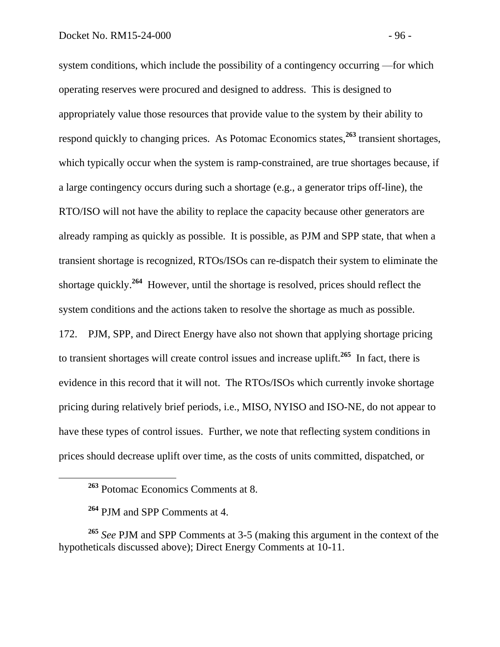system conditions, which include the possibility of a contingency occurring —for which operating reserves were procured and designed to address. This is designed to appropriately value those resources that provide value to the system by their ability to respond quickly to changing prices. As Potomac Economics states,**<sup>263</sup>** transient shortages, which typically occur when the system is ramp-constrained, are true shortages because, if a large contingency occurs during such a shortage (e.g., a generator trips off-line), the RTO/ISO will not have the ability to replace the capacity because other generators are already ramping as quickly as possible. It is possible, as PJM and SPP state, that when a transient shortage is recognized, RTOs/ISOs can re-dispatch their system to eliminate the shortage quickly.**<sup>264</sup>** However, until the shortage is resolved, prices should reflect the system conditions and the actions taken to resolve the shortage as much as possible. 172. PJM, SPP, and Direct Energy have also not shown that applying shortage pricing to transient shortages will create control issues and increase uplift.**<sup>265</sup>** In fact, there is evidence in this record that it will not. The RTOs/ISOs which currently invoke shortage pricing during relatively brief periods, i.e., MISO, NYISO and ISO-NE, do not appear to

prices should decrease uplift over time, as the costs of units committed, dispatched, or

have these types of control issues. Further, we note that reflecting system conditions in

**<sup>263</sup>** Potomac Economics Comments at 8.

**<sup>264</sup>** PJM and SPP Comments at 4.

**<sup>265</sup>** *See* PJM and SPP Comments at 3-5 (making this argument in the context of the hypotheticals discussed above); Direct Energy Comments at 10-11.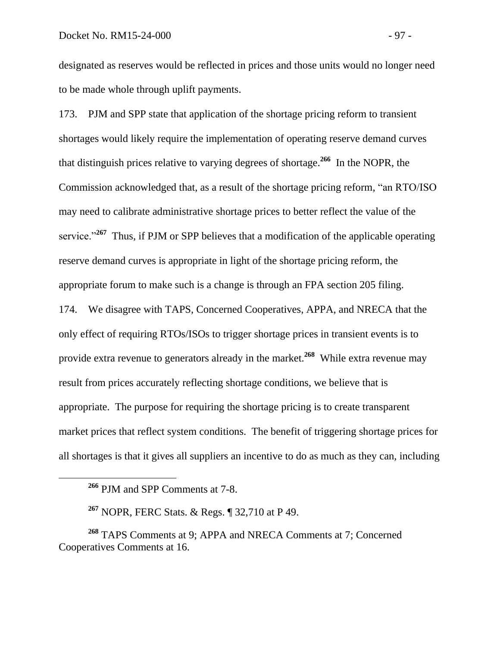designated as reserves would be reflected in prices and those units would no longer need to be made whole through uplift payments.

173. PJM and SPP state that application of the shortage pricing reform to transient shortages would likely require the implementation of operating reserve demand curves that distinguish prices relative to varying degrees of shortage.**<sup>266</sup>** In the NOPR, the Commission acknowledged that, as a result of the shortage pricing reform, "an RTO/ISO may need to calibrate administrative shortage prices to better reflect the value of the service."<sup>267</sup> Thus, if PJM or SPP believes that a modification of the applicable operating reserve demand curves is appropriate in light of the shortage pricing reform, the appropriate forum to make such is a change is through an FPA section 205 filing.

174. We disagree with TAPS, Concerned Cooperatives, APPA, and NRECA that the only effect of requiring RTOs/ISOs to trigger shortage prices in transient events is to provide extra revenue to generators already in the market.**<sup>268</sup>** While extra revenue may result from prices accurately reflecting shortage conditions, we believe that is appropriate. The purpose for requiring the shortage pricing is to create transparent market prices that reflect system conditions. The benefit of triggering shortage prices for all shortages is that it gives all suppliers an incentive to do as much as they can, including

**<sup>266</sup>** PJM and SPP Comments at 7-8.

**<sup>267</sup>** NOPR, FERC Stats. & Regs. ¶ 32,710 at P 49.

**<sup>268</sup>** TAPS Comments at 9; APPA and NRECA Comments at 7; Concerned Cooperatives Comments at 16.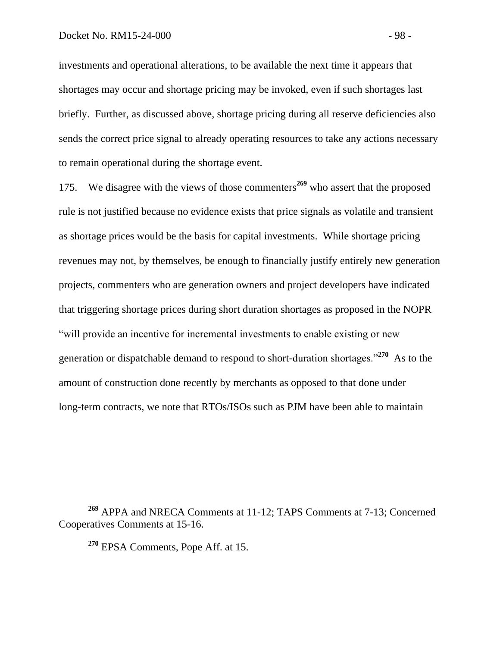investments and operational alterations, to be available the next time it appears that shortages may occur and shortage pricing may be invoked, even if such shortages last briefly. Further, as discussed above, shortage pricing during all reserve deficiencies also sends the correct price signal to already operating resources to take any actions necessary to remain operational during the shortage event.

175. We disagree with the views of those commenters**<sup>269</sup>** who assert that the proposed rule is not justified because no evidence exists that price signals as volatile and transient as shortage prices would be the basis for capital investments. While shortage pricing revenues may not, by themselves, be enough to financially justify entirely new generation projects, commenters who are generation owners and project developers have indicated that triggering shortage prices during short duration shortages as proposed in the NOPR "will provide an incentive for incremental investments to enable existing or new generation or dispatchable demand to respond to short-duration shortages."**<sup>270</sup>** As to the amount of construction done recently by merchants as opposed to that done under long-term contracts, we note that RTOs/ISOs such as PJM have been able to maintain

**<sup>270</sup>** EPSA Comments, Pope Aff. at 15.

**<sup>269</sup>** APPA and NRECA Comments at 11-12; TAPS Comments at 7-13; Concerned Cooperatives Comments at 15-16.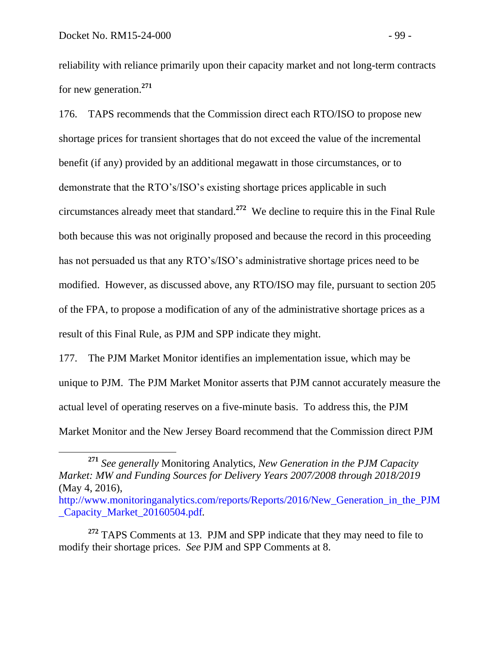$\overline{a}$ 

reliability with reliance primarily upon their capacity market and not long-term contracts for new generation.**<sup>271</sup>**

176. TAPS recommends that the Commission direct each RTO/ISO to propose new shortage prices for transient shortages that do not exceed the value of the incremental benefit (if any) provided by an additional megawatt in those circumstances, or to demonstrate that the RTO's/ISO's existing shortage prices applicable in such circumstances already meet that standard.**<sup>272</sup>** We decline to require this in the Final Rule both because this was not originally proposed and because the record in this proceeding has not persuaded us that any RTO's/ISO's administrative shortage prices need to be modified. However, as discussed above, any RTO/ISO may file, pursuant to section 205 of the FPA, to propose a modification of any of the administrative shortage prices as a result of this Final Rule, as PJM and SPP indicate they might.

177. The PJM Market Monitor identifies an implementation issue, which may be unique to PJM. The PJM Market Monitor asserts that PJM cannot accurately measure the actual level of operating reserves on a five-minute basis. To address this, the PJM Market Monitor and the New Jersey Board recommend that the Commission direct PJM

**<sup>271</sup>** *See generally* Monitoring Analytics, *New Generation in the PJM Capacity Market: MW and Funding Sources for Delivery Years 2007/2008 through 2018/2019* (May 4, 2016),

http://www.monitoringanalytics.com/reports/Reports/2016/New Generation in the PJM [\\_Capacity\\_Market\\_20160504.pdf](http://www.monitoringanalytics.com/reports/Reports/2016/New_Generation_in_the_PJM_Capacity_Market_20160504.pdf)*.* 

**<sup>272</sup>** TAPS Comments at 13. PJM and SPP indicate that they may need to file to modify their shortage prices. *See* PJM and SPP Comments at 8.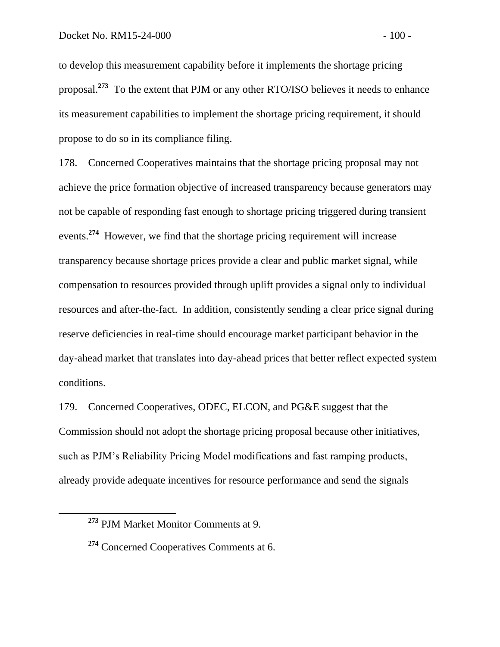to develop this measurement capability before it implements the shortage pricing proposal.<sup>273</sup> To the extent that PJM or any other RTO/ISO believes it needs to enhance its measurement capabilities to implement the shortage pricing requirement, it should propose to do so in its compliance filing.

178. Concerned Cooperatives maintains that the shortage pricing proposal may not achieve the price formation objective of increased transparency because generators may not be capable of responding fast enough to shortage pricing triggered during transient events.<sup>274</sup> However, we find that the shortage pricing requirement will increase transparency because shortage prices provide a clear and public market signal, while compensation to resources provided through uplift provides a signal only to individual resources and after-the-fact. In addition, consistently sending a clear price signal during reserve deficiencies in real-time should encourage market participant behavior in the day-ahead market that translates into day-ahead prices that better reflect expected system conditions.

179. Concerned Cooperatives, ODEC, ELCON, and PG&E suggest that the Commission should not adopt the shortage pricing proposal because other initiatives, such as PJM's Reliability Pricing Model modifications and fast ramping products, already provide adequate incentives for resource performance and send the signals

**<sup>273</sup>** PJM Market Monitor Comments at 9.

**<sup>274</sup>** Concerned Cooperatives Comments at 6.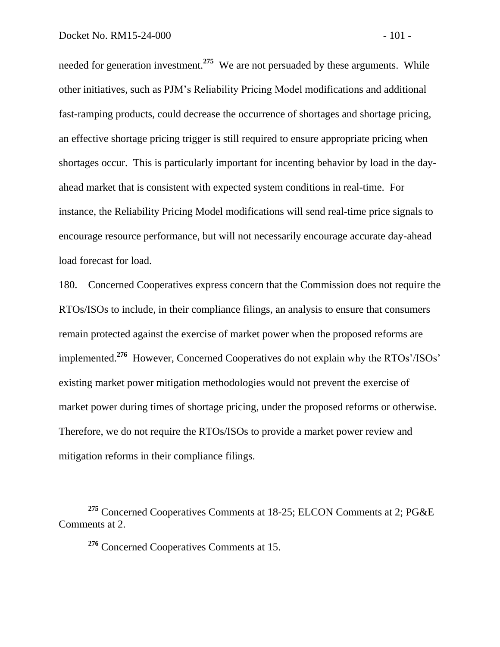needed for generation investment.**<sup>275</sup>** We are not persuaded by these arguments. While other initiatives, such as PJM's Reliability Pricing Model modifications and additional fast-ramping products, could decrease the occurrence of shortages and shortage pricing, an effective shortage pricing trigger is still required to ensure appropriate pricing when shortages occur. This is particularly important for incenting behavior by load in the dayahead market that is consistent with expected system conditions in real-time. For instance, the Reliability Pricing Model modifications will send real-time price signals to encourage resource performance, but will not necessarily encourage accurate day-ahead load forecast for load.

180. Concerned Cooperatives express concern that the Commission does not require the RTOs/ISOs to include, in their compliance filings, an analysis to ensure that consumers remain protected against the exercise of market power when the proposed reforms are implemented.**<sup>276</sup>** However, Concerned Cooperatives do not explain why the RTOs'/ISOs' existing market power mitigation methodologies would not prevent the exercise of market power during times of shortage pricing, under the proposed reforms or otherwise. Therefore, we do not require the RTOs/ISOs to provide a market power review and mitigation reforms in their compliance filings.

**<sup>276</sup>** Concerned Cooperatives Comments at 15.

**<sup>275</sup>** Concerned Cooperatives Comments at 18-25; ELCON Comments at 2; PG&E Comments at 2.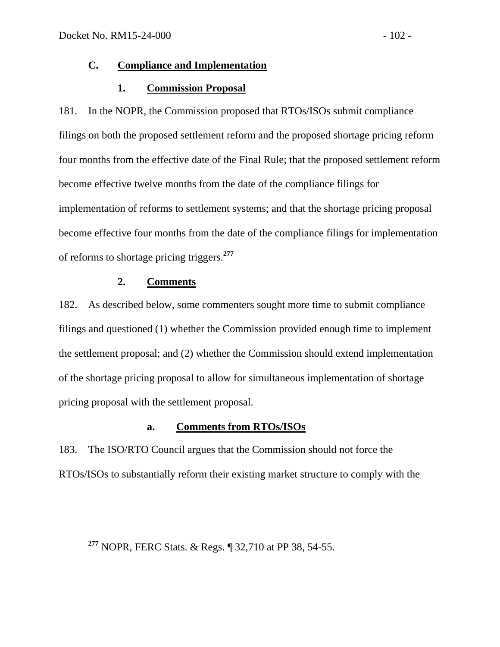## **C. Compliance and Implementation**

# **1. Commission Proposal**

181. In the NOPR, the Commission proposed that RTOs/ISOs submit compliance filings on both the proposed settlement reform and the proposed shortage pricing reform four months from the effective date of the Final Rule; that the proposed settlement reform become effective twelve months from the date of the compliance filings for implementation of reforms to settlement systems; and that the shortage pricing proposal become effective four months from the date of the compliance filings for implementation of reforms to shortage pricing triggers. **277**

### **2. Comments**

 $\overline{a}$ 

182. As described below, some commenters sought more time to submit compliance filings and questioned (1) whether the Commission provided enough time to implement the settlement proposal; and (2) whether the Commission should extend implementation of the shortage pricing proposal to allow for simultaneous implementation of shortage pricing proposal with the settlement proposal.

# **a. Comments from RTOs/ISOs**

183. The ISO/RTO Council argues that the Commission should not force the RTOs/ISOs to substantially reform their existing market structure to comply with the

**<sup>277</sup>** NOPR, FERC Stats. & Regs. ¶ 32,710 at PP 38, 54-55.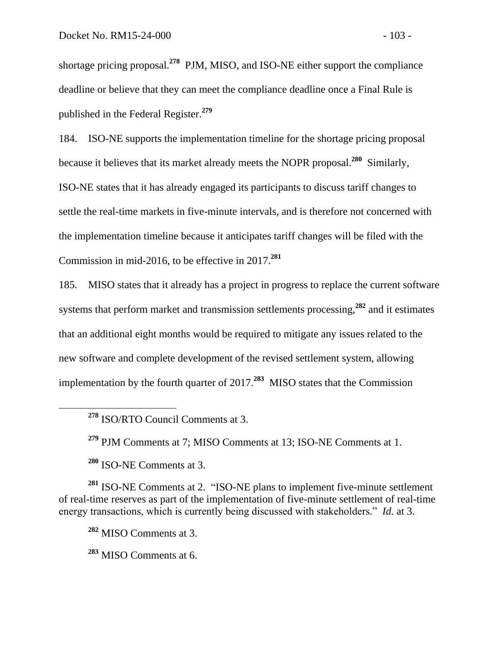shortage pricing proposal.**<sup>278</sup>** PJM, MISO, and ISO-NE either support the compliance deadline or believe that they can meet the compliance deadline once a Final Rule is published in the Federal Register.**<sup>279</sup>**

184. ISO-NE supports the implementation timeline for the shortage pricing proposal because it believes that its market already meets the NOPR proposal. **280** Similarly, ISO-NE states that it has already engaged its participants to discuss tariff changes to settle the real-time markets in five-minute intervals, and is therefore not concerned with the implementation timeline because it anticipates tariff changes will be filed with the Commission in mid-2016, to be effective in 2017.**<sup>281</sup>**

185. MISO states that it already has a project in progress to replace the current software systems that perform market and transmission settlements processing,**<sup>282</sup>** and it estimates that an additional eight months would be required to mitigate any issues related to the new software and complete development of the revised settlement system, allowing implementation by the fourth quarter of 2017.**<sup>283</sup>** MISO states that the Commission

**<sup>279</sup>** PJM Comments at 7; MISO Comments at 13; ISO-NE Comments at 1.

**<sup>280</sup>** ISO-NE Comments at 3.

**<sup>281</sup>** ISO-NE Comments at 2. "ISO-NE plans to implement five-minute settlement of real-time reserves as part of the implementation of five-minute settlement of real-time energy transactions, which is currently being discussed with stakeholders." *Id.* at 3.

**<sup>282</sup>** MISO Comments at 3.

**<sup>283</sup>** MISO Comments at 6.

**<sup>278</sup>** ISO/RTO Council Comments at 3.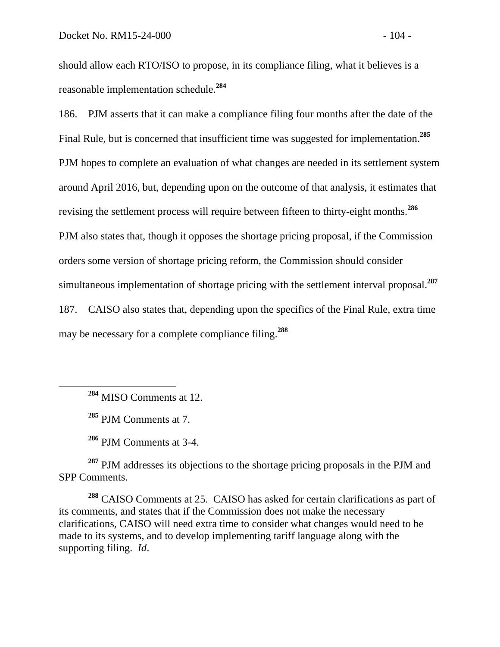should allow each RTO/ISO to propose, in its compliance filing, what it believes is a reasonable implementation schedule.**<sup>284</sup>**

186. PJM asserts that it can make a compliance filing four months after the date of the Final Rule, but is concerned that insufficient time was suggested for implementation.**<sup>285</sup>** PJM hopes to complete an evaluation of what changes are needed in its settlement system around April 2016, but, depending upon on the outcome of that analysis, it estimates that revising the settlement process will require between fifteen to thirty-eight months.**<sup>286</sup>** PJM also states that, though it opposes the shortage pricing proposal, if the Commission orders some version of shortage pricing reform, the Commission should consider simultaneous implementation of shortage pricing with the settlement interval proposal.**<sup>287</sup>** 187. CAISO also states that, depending upon the specifics of the Final Rule, extra time may be necessary for a complete compliance filing.**<sup>288</sup>**

**<sup>284</sup>** MISO Comments at 12.

**<sup>285</sup>** PJM Comments at 7.

 $\overline{a}$ 

**<sup>286</sup>** PJM Comments at 3-4.

**<sup>287</sup>** PJM addresses its objections to the shortage pricing proposals in the PJM and SPP Comments.

**<sup>288</sup>** CAISO Comments at 25. CAISO has asked for certain clarifications as part of its comments, and states that if the Commission does not make the necessary clarifications, CAISO will need extra time to consider what changes would need to be made to its systems, and to develop implementing tariff language along with the supporting filing. *Id*.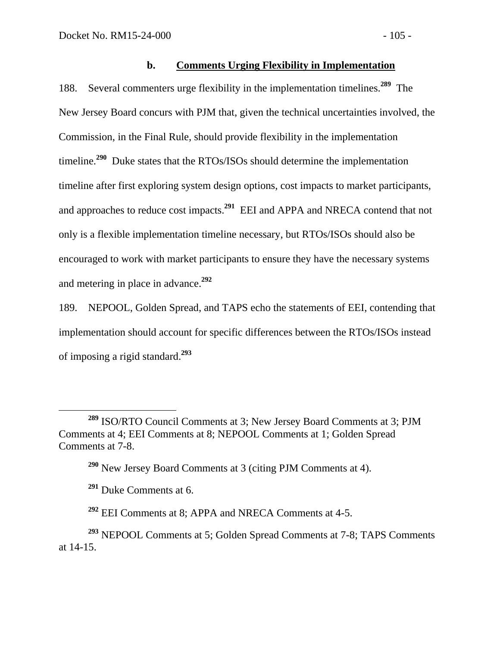## **b. Comments Urging Flexibility in Implementation**

188. Several commenters urge flexibility in the implementation timelines.**<sup>289</sup>** The New Jersey Board concurs with PJM that, given the technical uncertainties involved, the Commission, in the Final Rule, should provide flexibility in the implementation timeline.<sup>290</sup> Duke states that the RTOs/ISOs should determine the implementation timeline after first exploring system design options, cost impacts to market participants, and approaches to reduce cost impacts.**<sup>291</sup>** EEI and APPA and NRECA contend that not only is a flexible implementation timeline necessary, but RTOs/ISOs should also be encouraged to work with market participants to ensure they have the necessary systems and metering in place in advance.**<sup>292</sup>**

189. NEPOOL, Golden Spread, and TAPS echo the statements of EEI, contending that implementation should account for specific differences between the RTOs/ISOs instead of imposing a rigid standard.**<sup>293</sup>**

**<sup>289</sup>** ISO/RTO Council Comments at 3; New Jersey Board Comments at 3; PJM Comments at 4; EEI Comments at 8; NEPOOL Comments at 1; Golden Spread Comments at 7-8.

**<sup>290</sup>** New Jersey Board Comments at 3 (citing PJM Comments at 4).

**<sup>291</sup>** Duke Comments at 6.

**<sup>292</sup>** EEI Comments at 8; APPA and NRECA Comments at 4-5.

**<sup>293</sup>** NEPOOL Comments at 5; Golden Spread Comments at 7-8; TAPS Comments at 14-15.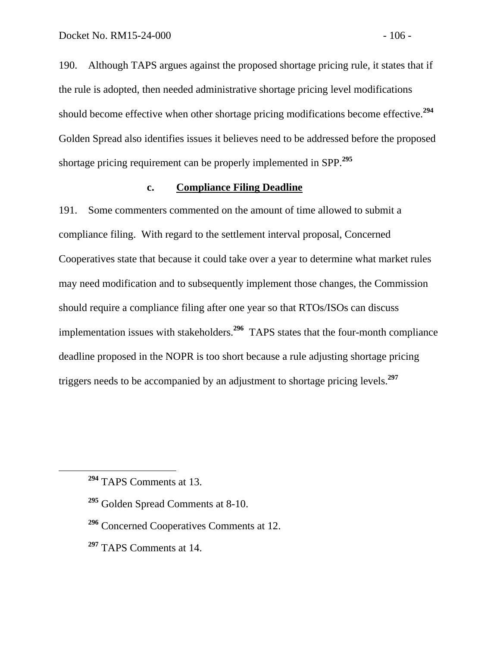190. Although TAPS argues against the proposed shortage pricing rule, it states that if the rule is adopted, then needed administrative shortage pricing level modifications should become effective when other shortage pricing modifications become effective.**<sup>294</sup>** Golden Spread also identifies issues it believes need to be addressed before the proposed shortage pricing requirement can be properly implemented in SPP.**<sup>295</sup>**

#### **c. Compliance Filing Deadline**

191. Some commenters commented on the amount of time allowed to submit a compliance filing. With regard to the settlement interval proposal, Concerned Cooperatives state that because it could take over a year to determine what market rules may need modification and to subsequently implement those changes, the Commission should require a compliance filing after one year so that RTOs/ISOs can discuss implementation issues with stakeholders.**<sup>296</sup>** TAPS states that the four-month compliance deadline proposed in the NOPR is too short because a rule adjusting shortage pricing triggers needs to be accompanied by an adjustment to shortage pricing levels.**<sup>297</sup>**

**<sup>294</sup>** TAPS Comments at 13.

**<sup>295</sup>** Golden Spread Comments at 8-10.

**<sup>296</sup>** Concerned Cooperatives Comments at 12.

**<sup>297</sup>** TAPS Comments at 14.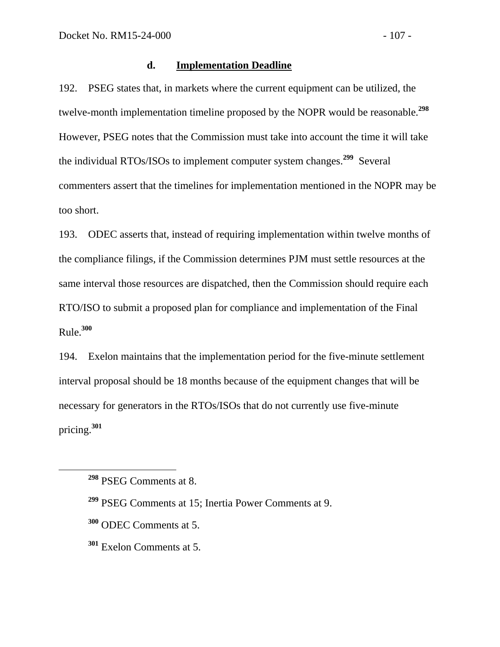#### **d. Implementation Deadline**

192. PSEG states that, in markets where the current equipment can be utilized, the twelve-month implementation timeline proposed by the NOPR would be reasonable.**<sup>298</sup>** However, PSEG notes that the Commission must take into account the time it will take the individual RTOs/ISOs to implement computer system changes.**<sup>299</sup>** Several commenters assert that the timelines for implementation mentioned in the NOPR may be too short.

193. ODEC asserts that, instead of requiring implementation within twelve months of the compliance filings, if the Commission determines PJM must settle resources at the same interval those resources are dispatched, then the Commission should require each RTO/ISO to submit a proposed plan for compliance and implementation of the Final Rule.**<sup>300</sup>**

194. Exelon maintains that the implementation period for the five-minute settlement interval proposal should be 18 months because of the equipment changes that will be necessary for generators in the RTOs/ISOs that do not currently use five-minute pricing.**<sup>301</sup>**

**<sup>298</sup>** PSEG Comments at 8.

**<sup>299</sup>** PSEG Comments at 15; Inertia Power Comments at 9.

**<sup>300</sup>** ODEC Comments at 5.

**<sup>301</sup>** Exelon Comments at 5.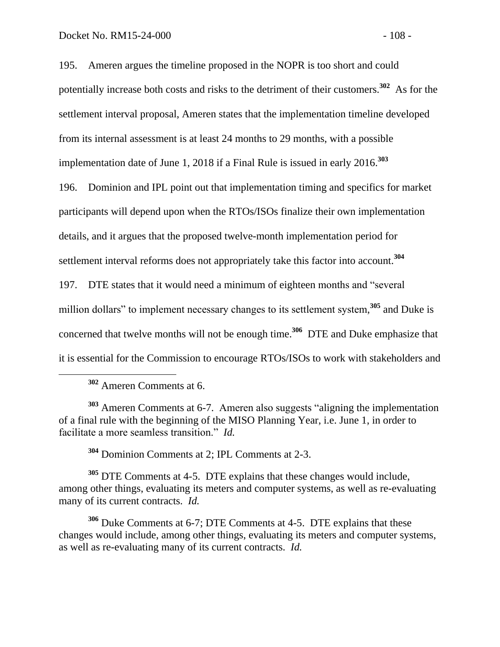195. Ameren argues the timeline proposed in the NOPR is too short and could potentially increase both costs and risks to the detriment of their customers.**<sup>302</sup>** As for the settlement interval proposal, Ameren states that the implementation timeline developed from its internal assessment is at least 24 months to 29 months, with a possible implementation date of June 1, 2018 if a Final Rule is issued in early 2016.**<sup>303</sup>**

196. Dominion and IPL point out that implementation timing and specifics for market participants will depend upon when the RTOs/ISOs finalize their own implementation details, and it argues that the proposed twelve-month implementation period for settlement interval reforms does not appropriately take this factor into account.**<sup>304</sup>**

197. DTE states that it would need a minimum of eighteen months and "several million dollars" to implement necessary changes to its settlement system,<sup>305</sup> and Duke is concerned that twelve months will not be enough time.<sup>306</sup> DTE and Duke emphasize that it is essential for the Commission to encourage RTOs/ISOs to work with stakeholders and

**<sup>302</sup>** Ameren Comments at 6.

**<sup>303</sup>** Ameren Comments at 6-7. Ameren also suggests "aligning the implementation of a final rule with the beginning of the MISO Planning Year, i.e. June 1, in order to facilitate a more seamless transition." *Id.*

**<sup>304</sup>** Dominion Comments at 2; IPL Comments at 2-3.

**<sup>305</sup>** DTE Comments at 4-5. DTE explains that these changes would include, among other things, evaluating its meters and computer systems, as well as re-evaluating many of its current contracts. *Id.*

**<sup>306</sup>** Duke Comments at 6-7; DTE Comments at 4-5. DTE explains that these changes would include, among other things, evaluating its meters and computer systems, as well as re-evaluating many of its current contracts. *Id.*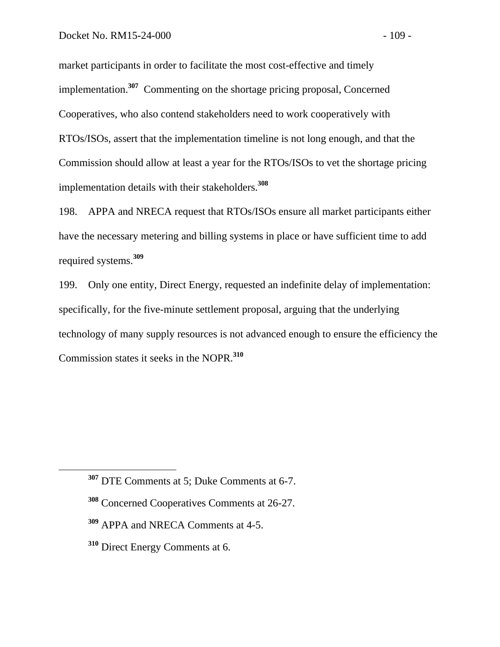market participants in order to facilitate the most cost-effective and timely implementation.**<sup>307</sup>** Commenting on the shortage pricing proposal, Concerned Cooperatives, who also contend stakeholders need to work cooperatively with RTOs/ISOs, assert that the implementation timeline is not long enough, and that the Commission should allow at least a year for the RTOs/ISOs to vet the shortage pricing implementation details with their stakeholders.**<sup>308</sup>**

198. APPA and NRECA request that RTOs/ISOs ensure all market participants either have the necessary metering and billing systems in place or have sufficient time to add required systems.**<sup>309</sup>**

199. Only one entity, Direct Energy, requested an indefinite delay of implementation: specifically, for the five-minute settlement proposal, arguing that the underlying technology of many supply resources is not advanced enough to ensure the efficiency the Commission states it seeks in the NOPR.**<sup>310</sup>**

- **<sup>308</sup>** Concerned Cooperatives Comments at 26-27.
- **<sup>309</sup>** APPA and NRECA Comments at 4-5.
- **<sup>310</sup>** Direct Energy Comments at 6.

**<sup>307</sup>** DTE Comments at 5; Duke Comments at 6-7.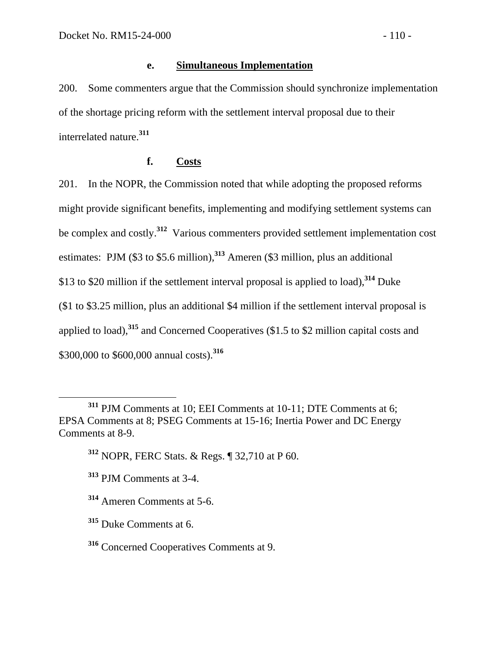## **e. Simultaneous Implementation**

200. Some commenters argue that the Commission should synchronize implementation of the shortage pricing reform with the settlement interval proposal due to their interrelated nature.**<sup>311</sup>**

## **f. Costs**

201. In the NOPR, the Commission noted that while adopting the proposed reforms might provide significant benefits, implementing and modifying settlement systems can be complex and costly.**<sup>312</sup>** Various commenters provided settlement implementation cost estimates: PJM (\$3 to \$5.6 million),**<sup>313</sup>** Ameren (\$3 million, plus an additional \$13 to \$20 million if the settlement interval proposal is applied to load),**<sup>314</sup>** Duke (\$1 to \$3.25 million, plus an additional \$4 million if the settlement interval proposal is applied to load),**<sup>315</sup>** and Concerned Cooperatives (\$1.5 to \$2 million capital costs and \$300,000 to \$600,000 annual costs).**<sup>316</sup>**

**<sup>311</sup>** PJM Comments at 10; EEI Comments at 10-11; DTE Comments at 6; EPSA Comments at 8; PSEG Comments at 15-16; Inertia Power and DC Energy Comments at 8-9.

**<sup>312</sup>** NOPR, FERC Stats. & Regs. ¶ 32,710 at P 60.

**<sup>313</sup>** PJM Comments at 3-4.

**<sup>314</sup>** Ameren Comments at 5-6.

**<sup>315</sup>** Duke Comments at 6.

**<sup>316</sup>** Concerned Cooperatives Comments at 9.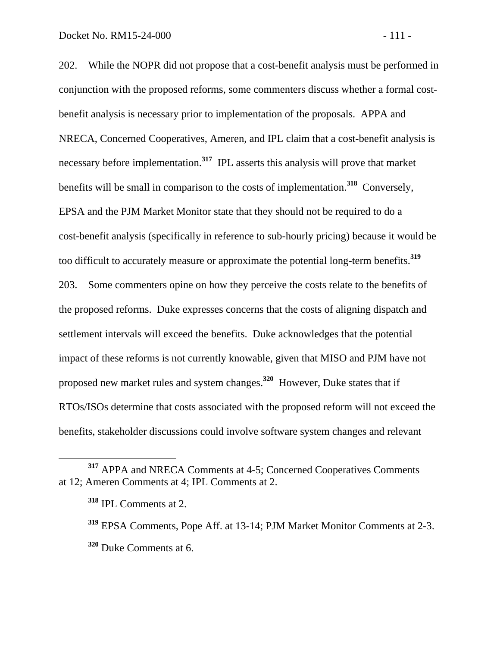202. While the NOPR did not propose that a cost-benefit analysis must be performed in conjunction with the proposed reforms, some commenters discuss whether a formal costbenefit analysis is necessary prior to implementation of the proposals. APPA and NRECA, Concerned Cooperatives, Ameren, and IPL claim that a cost-benefit analysis is necessary before implementation. **317** IPL asserts this analysis will prove that market benefits will be small in comparison to the costs of implementation.**<sup>318</sup>** Conversely, EPSA and the PJM Market Monitor state that they should not be required to do a cost-benefit analysis (specifically in reference to sub-hourly pricing) because it would be too difficult to accurately measure or approximate the potential long-term benefits.**<sup>319</sup>** 203. Some commenters opine on how they perceive the costs relate to the benefits of the proposed reforms. Duke expresses concerns that the costs of aligning dispatch and settlement intervals will exceed the benefits. Duke acknowledges that the potential impact of these reforms is not currently knowable, given that MISO and PJM have not proposed new market rules and system changes.**<sup>320</sup>** However, Duke states that if RTOs/ISOs determine that costs associated with the proposed reform will not exceed the benefits, stakeholder discussions could involve software system changes and relevant

**<sup>317</sup>** APPA and NRECA Comments at 4-5; Concerned Cooperatives Comments at 12; Ameren Comments at 4; IPL Comments at 2.

**<sup>318</sup>** IPL Comments at 2.

**<sup>319</sup>** EPSA Comments, Pope Aff. at 13-14; PJM Market Monitor Comments at 2-3. **<sup>320</sup>** Duke Comments at 6.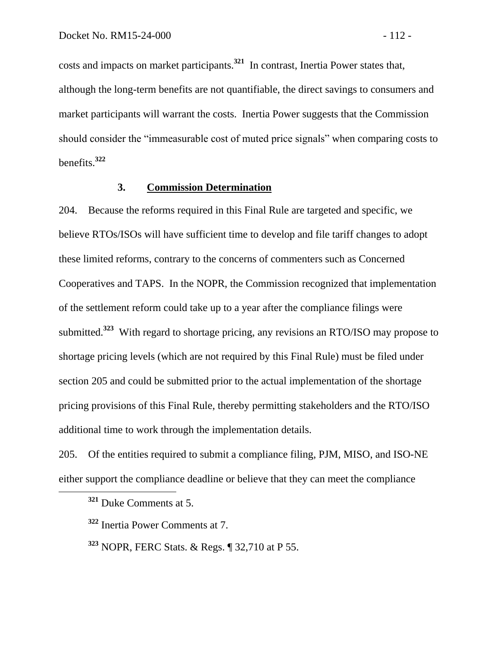costs and impacts on market participants.**<sup>321</sup>** In contrast, Inertia Power states that, although the long-term benefits are not quantifiable, the direct savings to consumers and market participants will warrant the costs. Inertia Power suggests that the Commission should consider the "immeasurable cost of muted price signals" when comparing costs to benefits. **322**

#### **3. Commission Determination**

204. Because the reforms required in this Final Rule are targeted and specific, we believe RTOs/ISOs will have sufficient time to develop and file tariff changes to adopt these limited reforms, contrary to the concerns of commenters such as Concerned Cooperatives and TAPS. In the NOPR, the Commission recognized that implementation of the settlement reform could take up to a year after the compliance filings were submitted.**<sup>323</sup>** With regard to shortage pricing, any revisions an RTO/ISO may propose to shortage pricing levels (which are not required by this Final Rule) must be filed under section 205 and could be submitted prior to the actual implementation of the shortage pricing provisions of this Final Rule, thereby permitting stakeholders and the RTO/ISO additional time to work through the implementation details.

205. Of the entities required to submit a compliance filing, PJM, MISO, and ISO-NE either support the compliance deadline or believe that they can meet the compliance

 $\overline{a}$ 

**<sup>323</sup>** NOPR, FERC Stats. & Regs. ¶ 32,710 at P 55.

**<sup>321</sup>** Duke Comments at 5.

**<sup>322</sup>** Inertia Power Comments at 7.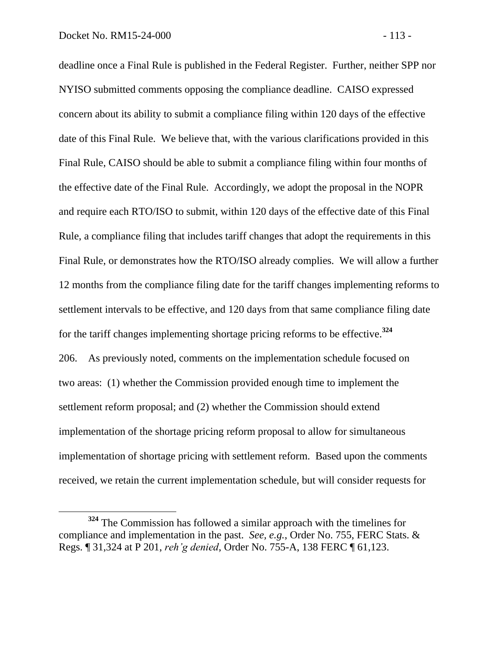$\overline{a}$ 

deadline once a Final Rule is published in the Federal Register. Further, neither SPP nor NYISO submitted comments opposing the compliance deadline. CAISO expressed concern about its ability to submit a compliance filing within 120 days of the effective date of this Final Rule. We believe that, with the various clarifications provided in this Final Rule, CAISO should be able to submit a compliance filing within four months of the effective date of the Final Rule. Accordingly, we adopt the proposal in the NOPR and require each RTO/ISO to submit, within 120 days of the effective date of this Final Rule, a compliance filing that includes tariff changes that adopt the requirements in this Final Rule, or demonstrates how the RTO/ISO already complies. We will allow a further 12 months from the compliance filing date for the tariff changes implementing reforms to settlement intervals to be effective, and 120 days from that same compliance filing date for the tariff changes implementing shortage pricing reforms to be effective. **324** 206. As previously noted, comments on the implementation schedule focused on two areas: (1) whether the Commission provided enough time to implement the settlement reform proposal; and (2) whether the Commission should extend implementation of the shortage pricing reform proposal to allow for simultaneous implementation of shortage pricing with settlement reform. Based upon the comments received, we retain the current implementation schedule, but will consider requests for

**<sup>324</sup>** The Commission has followed a similar approach with the timelines for compliance and implementation in the past. *See, e.g.*, Order No. 755, FERC Stats. & Regs. ¶ 31,324 at P 201, *reh'g denied*, Order No. 755-A, 138 FERC ¶ 61,123.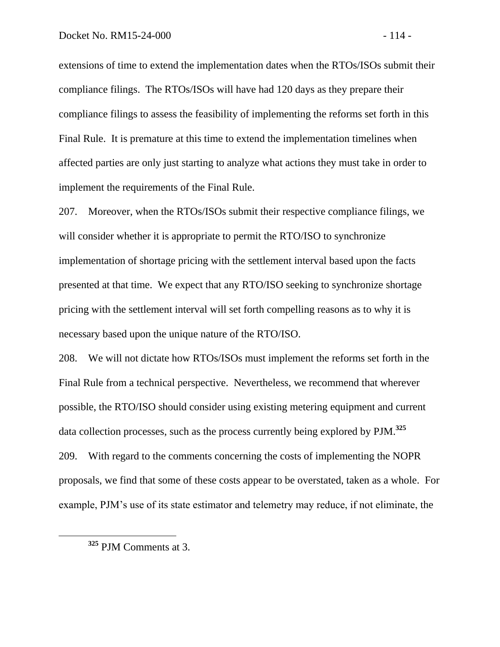extensions of time to extend the implementation dates when the RTOs/ISOs submit their compliance filings. The RTOs/ISOs will have had 120 days as they prepare their compliance filings to assess the feasibility of implementing the reforms set forth in this Final Rule. It is premature at this time to extend the implementation timelines when affected parties are only just starting to analyze what actions they must take in order to implement the requirements of the Final Rule.

207. Moreover, when the RTOs/ISOs submit their respective compliance filings, we will consider whether it is appropriate to permit the RTO/ISO to synchronize implementation of shortage pricing with the settlement interval based upon the facts presented at that time. We expect that any RTO/ISO seeking to synchronize shortage pricing with the settlement interval will set forth compelling reasons as to why it is necessary based upon the unique nature of the RTO/ISO.

208. We will not dictate how RTOs/ISOs must implement the reforms set forth in the Final Rule from a technical perspective. Nevertheless, we recommend that wherever possible, the RTO/ISO should consider using existing metering equipment and current data collection processes, such as the process currently being explored by PJM. **325** 209. With regard to the comments concerning the costs of implementing the NOPR proposals, we find that some of these costs appear to be overstated, taken as a whole. For example, PJM's use of its state estimator and telemetry may reduce, if not eliminate, the

**<sup>325</sup>** PJM Comments at 3.

 $\overline{a}$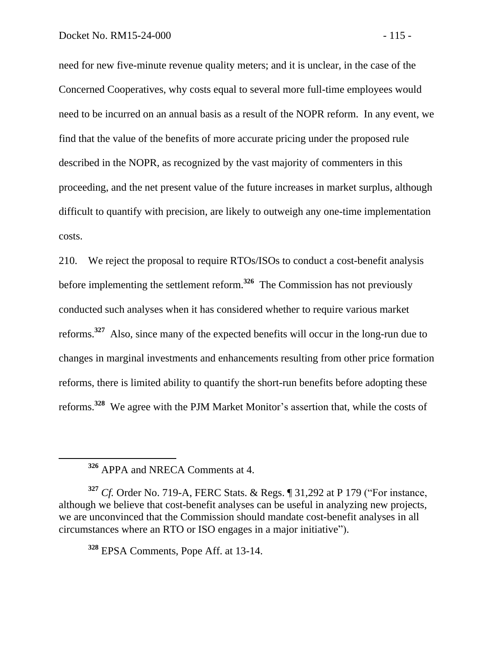need for new five-minute revenue quality meters; and it is unclear, in the case of the Concerned Cooperatives, why costs equal to several more full-time employees would need to be incurred on an annual basis as a result of the NOPR reform. In any event, we find that the value of the benefits of more accurate pricing under the proposed rule described in the NOPR, as recognized by the vast majority of commenters in this proceeding, and the net present value of the future increases in market surplus, although difficult to quantify with precision, are likely to outweigh any one-time implementation costs.

210. We reject the proposal to require RTOs/ISOs to conduct a cost-benefit analysis before implementing the settlement reform.**<sup>326</sup>** The Commission has not previously conducted such analyses when it has considered whether to require various market reforms.<sup>327</sup> Also, since many of the expected benefits will occur in the long-run due to changes in marginal investments and enhancements resulting from other price formation reforms, there is limited ability to quantify the short-run benefits before adopting these reforms. **328** We agree with the PJM Market Monitor's assertion that, while the costs of

 $\overline{a}$ 

**<sup>328</sup>** EPSA Comments, Pope Aff. at 13-14.

**<sup>326</sup>** APPA and NRECA Comments at 4.

**<sup>327</sup>** *Cf.* Order No. 719-A, FERC Stats. & Regs. ¶ 31,292 at P 179 ("For instance, although we believe that cost-benefit analyses can be useful in analyzing new projects, we are unconvinced that the Commission should mandate cost-benefit analyses in all circumstances where an RTO or ISO engages in a major initiative").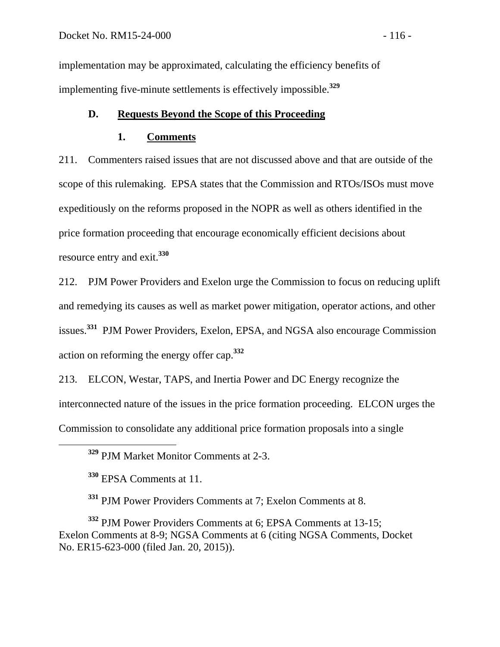implementation may be approximated, calculating the efficiency benefits of implementing five-minute settlements is effectively impossible.**<sup>329</sup>**

## **D. Requests Beyond the Scope of this Proceeding**

#### **1. Comments**

211. Commenters raised issues that are not discussed above and that are outside of the scope of this rulemaking. EPSA states that the Commission and RTOs/ISOs must move expeditiously on the reforms proposed in the NOPR as well as others identified in the price formation proceeding that encourage economically efficient decisions about resource entry and exit. **330**

212. PJM Power Providers and Exelon urge the Commission to focus on reducing uplift and remedying its causes as well as market power mitigation, operator actions, and other issues. **331** PJM Power Providers, Exelon, EPSA, and NGSA also encourage Commission action on reforming the energy offer cap.**<sup>332</sup>**

213. ELCON, Westar, TAPS, and Inertia Power and DC Energy recognize the interconnected nature of the issues in the price formation proceeding. ELCON urges the Commission to consolidate any additional price formation proposals into a single

**<sup>329</sup>** PJM Market Monitor Comments at 2-3.

**<sup>330</sup>** EPSA Comments at 11.

 $\overline{a}$ 

**<sup>331</sup>** PJM Power Providers Comments at 7; Exelon Comments at 8.

**<sup>332</sup>** PJM Power Providers Comments at 6; EPSA Comments at 13-15; Exelon Comments at 8-9; NGSA Comments at 6 (citing NGSA Comments, Docket No. ER15-623-000 (filed Jan. 20, 2015)).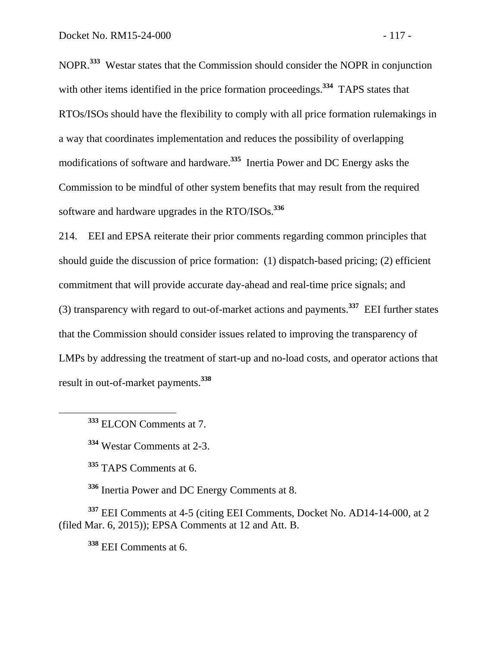NOPR.**<sup>333</sup>** Westar states that the Commission should consider the NOPR in conjunction with other items identified in the price formation proceedings.<sup>334</sup> TAPS states that RTOs/ISOs should have the flexibility to comply with all price formation rulemakings in a way that coordinates implementation and reduces the possibility of overlapping modifications of software and hardware.**<sup>335</sup>** Inertia Power and DC Energy asks the Commission to be mindful of other system benefits that may result from the required software and hardware upgrades in the RTO/ISOs.**<sup>336</sup>**

214. EEI and EPSA reiterate their prior comments regarding common principles that should guide the discussion of price formation: (1) dispatch-based pricing; (2) efficient commitment that will provide accurate day-ahead and real-time price signals; and (3) transparency with regard to out-of-market actions and payments.**<sup>337</sup>** EEI further states that the Commission should consider issues related to improving the transparency of LMPs by addressing the treatment of start-up and no-load costs, and operator actions that result in out-of-market payments.**<sup>338</sup>**

**<sup>333</sup>** ELCON Comments at 7.

 $\overline{a}$ 

**<sup>334</sup>** Westar Comments at 2-3.

**<sup>335</sup>** TAPS Comments at 6.

**<sup>336</sup>** Inertia Power and DC Energy Comments at 8.

**<sup>337</sup>** EEI Comments at 4-5 (citing EEI Comments, Docket No. AD14-14-000, at 2 (filed Mar. 6, 2015)); EPSA Comments at 12 and Att. B.

**<sup>338</sup>** EEI Comments at 6.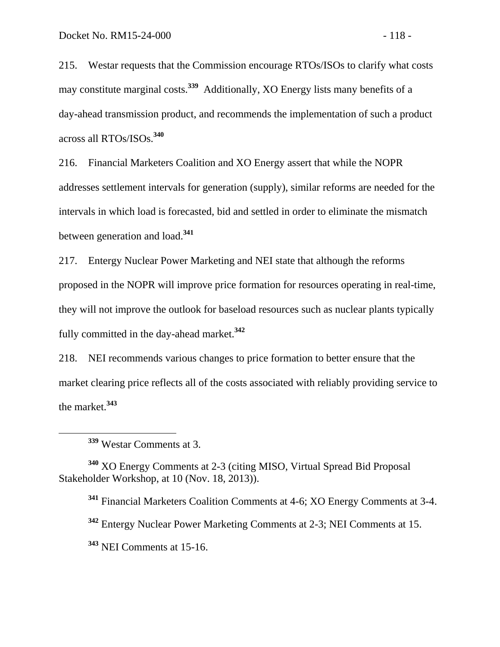215. Westar requests that the Commission encourage RTOs/ISOs to clarify what costs may constitute marginal costs.**<sup>339</sup>** Additionally, XO Energy lists many benefits of a day-ahead transmission product, and recommends the implementation of such a product across all RTOs/ISOs.**<sup>340</sup>**

216. Financial Marketers Coalition and XO Energy assert that while the NOPR addresses settlement intervals for generation (supply), similar reforms are needed for the intervals in which load is forecasted, bid and settled in order to eliminate the mismatch between generation and load. **341**

217. Entergy Nuclear Power Marketing and NEI state that although the reforms proposed in the NOPR will improve price formation for resources operating in real-time, they will not improve the outlook for baseload resources such as nuclear plants typically fully committed in the day-ahead market.**<sup>342</sup>**

218. NEI recommends various changes to price formation to better ensure that the market clearing price reflects all of the costs associated with reliably providing service to the market. **343**

 $\overline{a}$ 

**<sup>340</sup>** XO Energy Comments at 2-3 (citing MISO, Virtual Spread Bid Proposal Stakeholder Workshop, at 10 (Nov. 18, 2013)).

**<sup>341</sup>** Financial Marketers Coalition Comments at 4-6; XO Energy Comments at 3-4.

**<sup>342</sup>** Entergy Nuclear Power Marketing Comments at 2-3; NEI Comments at 15.

**<sup>343</sup>** NEI Comments at 15-16.

**<sup>339</sup>** Westar Comments at 3.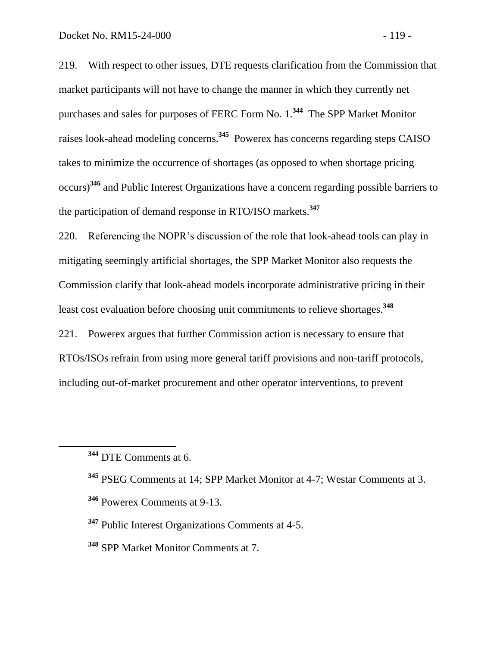219. With respect to other issues, DTE requests clarification from the Commission that market participants will not have to change the manner in which they currently net purchases and sales for purposes of FERC Form No. 1.**<sup>344</sup>** The SPP Market Monitor raises look-ahead modeling concerns. **345** Powerex has concerns regarding steps CAISO takes to minimize the occurrence of shortages (as opposed to when shortage pricing occurs)**<sup>346</sup>** and Public Interest Organizations have a concern regarding possible barriers to the participation of demand response in RTO/ISO markets. **347**

220. Referencing the NOPR's discussion of the role that look-ahead tools can play in mitigating seemingly artificial shortages, the SPP Market Monitor also requests the Commission clarify that look-ahead models incorporate administrative pricing in their least cost evaluation before choosing unit commitments to relieve shortages.**<sup>348</sup>**

221. Powerex argues that further Commission action is necessary to ensure that RTOs/ISOs refrain from using more general tariff provisions and non-tariff protocols, including out-of-market procurement and other operator interventions, to prevent

**<sup>344</sup>** DTE Comments at 6.

**<sup>345</sup>** PSEG Comments at 14; SPP Market Monitor at 4-7; Westar Comments at 3.

**<sup>346</sup>** Powerex Comments at 9-13.

**<sup>347</sup>** Public Interest Organizations Comments at 4-5.

**<sup>348</sup>** SPP Market Monitor Comments at 7.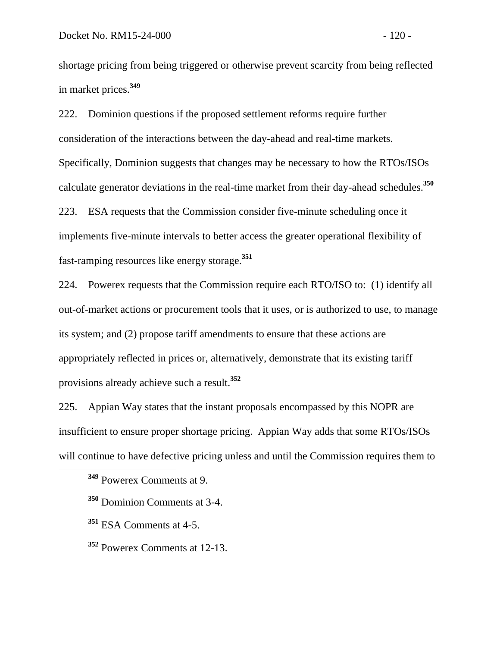shortage pricing from being triggered or otherwise prevent scarcity from being reflected in market prices.**<sup>349</sup>**

222. Dominion questions if the proposed settlement reforms require further consideration of the interactions between the day-ahead and real-time markets. Specifically, Dominion suggests that changes may be necessary to how the RTOs/ISOs calculate generator deviations in the real-time market from their day-ahead schedules.**<sup>350</sup>** 223. ESA requests that the Commission consider five-minute scheduling once it implements five-minute intervals to better access the greater operational flexibility of fast-ramping resources like energy storage.**<sup>351</sup>**

224. Powerex requests that the Commission require each RTO/ISO to: (1) identify all out-of-market actions or procurement tools that it uses, or is authorized to use, to manage its system; and (2) propose tariff amendments to ensure that these actions are appropriately reflected in prices or, alternatively, demonstrate that its existing tariff provisions already achieve such a result.**<sup>352</sup>**

225. Appian Way states that the instant proposals encompassed by this NOPR are insufficient to ensure proper shortage pricing. Appian Way adds that some RTOs/ISOs will continue to have defective pricing unless and until the Commission requires them to

 $\overline{a}$ 

**<sup>349</sup>** Powerex Comments at 9.

**<sup>350</sup>** Dominion Comments at 3-4.

**<sup>351</sup>** ESA Comments at 4-5.

**<sup>352</sup>** Powerex Comments at 12-13.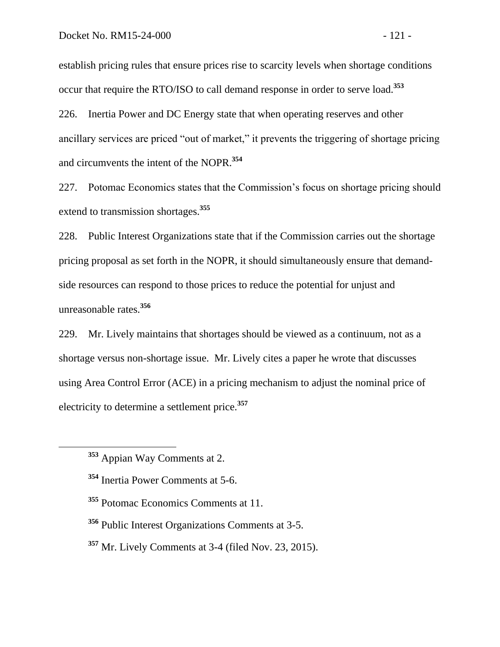establish pricing rules that ensure prices rise to scarcity levels when shortage conditions occur that require the RTO/ISO to call demand response in order to serve load.**<sup>353</sup>**

226. Inertia Power and DC Energy state that when operating reserves and other ancillary services are priced "out of market," it prevents the triggering of shortage pricing and circumvents the intent of the NOPR.**<sup>354</sup>**

227. Potomac Economics states that the Commission's focus on shortage pricing should extend to transmission shortages.**<sup>355</sup>**

228. Public Interest Organizations state that if the Commission carries out the shortage pricing proposal as set forth in the NOPR, it should simultaneously ensure that demandside resources can respond to those prices to reduce the potential for unjust and unreasonable rates.**<sup>356</sup>**

229. Mr. Lively maintains that shortages should be viewed as a continuum, not as a shortage versus non-shortage issue. Mr. Lively cites a paper he wrote that discusses using Area Control Error (ACE) in a pricing mechanism to adjust the nominal price of electricity to determine a settlement price.**<sup>357</sup>**

 $\overline{a}$ 

- **<sup>356</sup>** Public Interest Organizations Comments at 3-5.
- **<sup>357</sup>** Mr. Lively Comments at 3-4 (filed Nov. 23, 2015).

**<sup>353</sup>** Appian Way Comments at 2.

**<sup>354</sup>** Inertia Power Comments at 5-6.

**<sup>355</sup>** Potomac Economics Comments at 11.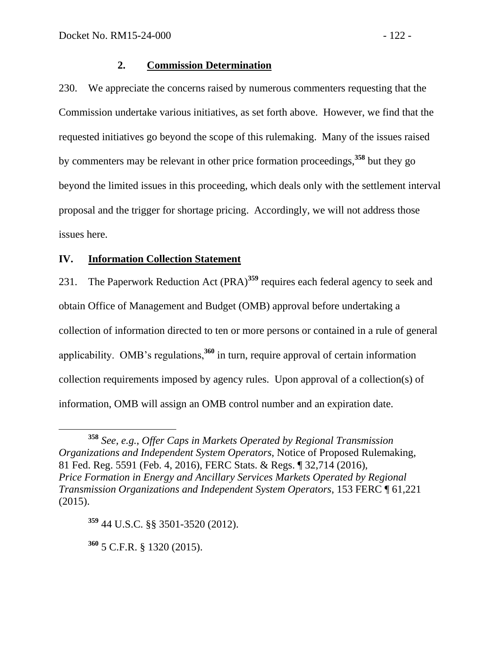#### **2. Commission Determination**

230. We appreciate the concerns raised by numerous commenters requesting that the Commission undertake various initiatives, as set forth above. However, we find that the requested initiatives go beyond the scope of this rulemaking. Many of the issues raised by commenters may be relevant in other price formation proceedings,**<sup>358</sup>** but they go beyond the limited issues in this proceeding, which deals only with the settlement interval proposal and the trigger for shortage pricing. Accordingly, we will not address those issues here.

#### **IV. Information Collection Statement**

231. The Paperwork Reduction Act (PRA)**<sup>359</sup>** requires each federal agency to seek and obtain Office of Management and Budget (OMB) approval before undertaking a collection of information directed to ten or more persons or contained in a rule of general applicability. OMB's regulations,**<sup>360</sup>** in turn, require approval of certain information collection requirements imposed by agency rules. Upon approval of a collection(s) of information, OMB will assign an OMB control number and an expiration date.

**<sup>359</sup>** 44 U.S.C. §§ 3501-3520 (2012).

**<sup>360</sup>** 5 C.F.R. § 1320 (2015).

**<sup>358</sup>** *See, e.g.*, *Offer Caps in Markets Operated by Regional Transmission Organizations and Independent System Operators*, Notice of Proposed Rulemaking, 81 Fed. Reg. 5591 (Feb. 4, 2016), FERC Stats. & Regs. ¶ 32,714 (2016), *Price Formation in Energy and Ancillary Services Markets Operated by Regional Transmission Organizations and Independent System Operators*, 153 FERC ¶ 61,221 (2015).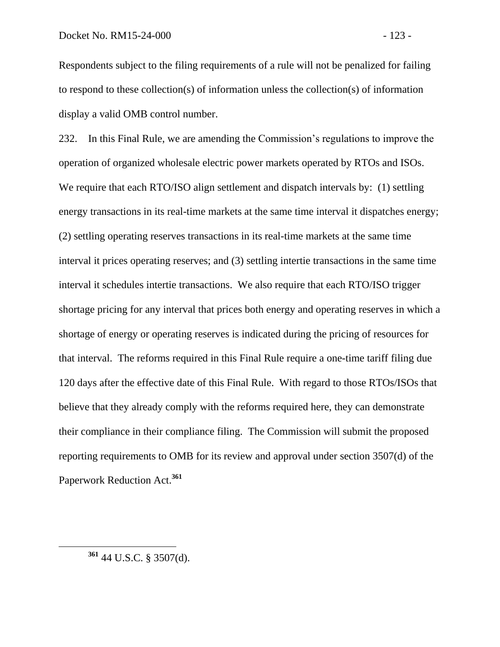Respondents subject to the filing requirements of a rule will not be penalized for failing to respond to these collection(s) of information unless the collection(s) of information display a valid OMB control number.

232. In this Final Rule, we are amending the Commission's regulations to improve the operation of organized wholesale electric power markets operated by RTOs and ISOs. We require that each RTO/ISO align settlement and dispatch intervals by: (1) settling energy transactions in its real-time markets at the same time interval it dispatches energy; (2) settling operating reserves transactions in its real-time markets at the same time interval it prices operating reserves; and (3) settling intertie transactions in the same time interval it schedules intertie transactions. We also require that each RTO/ISO trigger shortage pricing for any interval that prices both energy and operating reserves in which a shortage of energy or operating reserves is indicated during the pricing of resources for that interval. The reforms required in this Final Rule require a one-time tariff filing due 120 days after the effective date of this Final Rule. With regard to those RTOs/ISOs that believe that they already comply with the reforms required here, they can demonstrate their compliance in their compliance filing. The Commission will submit the proposed reporting requirements to OMB for its review and approval under section 3507(d) of the Paperwork Reduction Act.**<sup>361</sup>**

 $\overline{a}$ 

**<sup>361</sup>** 44 U.S.C. § 3507(d).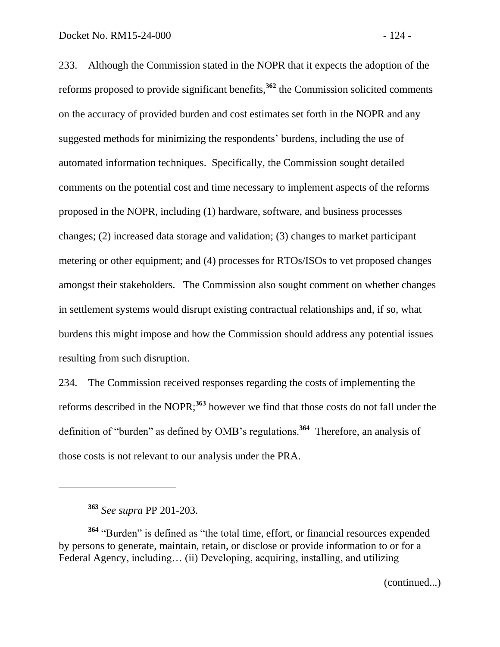233. Although the Commission stated in the NOPR that it expects the adoption of the reforms proposed to provide significant benefits,**<sup>362</sup>** the Commission solicited comments on the accuracy of provided burden and cost estimates set forth in the NOPR and any suggested methods for minimizing the respondents' burdens, including the use of automated information techniques. Specifically, the Commission sought detailed comments on the potential cost and time necessary to implement aspects of the reforms proposed in the NOPR, including (1) hardware, software, and business processes changes; (2) increased data storage and validation; (3) changes to market participant metering or other equipment; and (4) processes for RTOs/ISOs to vet proposed changes amongst their stakeholders. The Commission also sought comment on whether changes in settlement systems would disrupt existing contractual relationships and, if so, what burdens this might impose and how the Commission should address any potential issues resulting from such disruption.

234. The Commission received responses regarding the costs of implementing the reforms described in the NOPR; **<sup>363</sup>** however we find that those costs do not fall under the definition of "burden" as defined by OMB's regulations.**<sup>364</sup>** Therefore, an analysis of those costs is not relevant to our analysis under the PRA.

**<sup>363</sup>** *See supra* PP 201-203.

**<sup>364</sup>** "Burden" is defined as "the total time, effort, or financial resources expended by persons to generate, maintain, retain, or disclose or provide information to or for a Federal Agency, including… (ii) Developing, acquiring, installing, and utilizing

(continued...)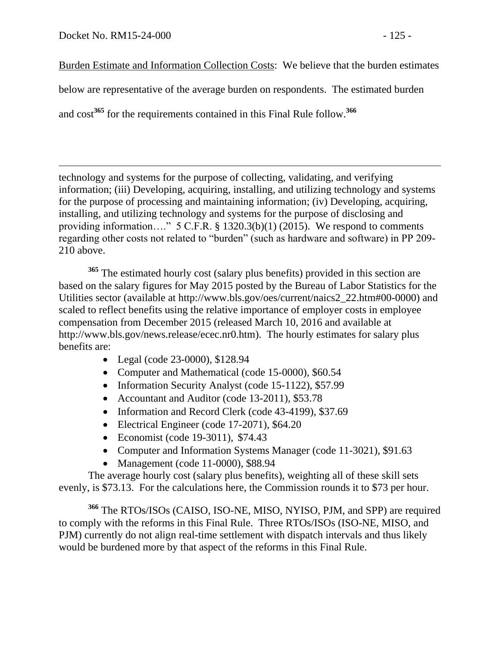$\overline{a}$ 

Burden Estimate and Information Collection Costs: We believe that the burden estimates

below are representative of the average burden on respondents. The estimated burden

and cost**<sup>365</sup>** for the requirements contained in this Final Rule follow.**<sup>366</sup>**

technology and systems for the purpose of collecting, validating, and verifying information; (iii) Developing, acquiring, installing, and utilizing technology and systems for the purpose of processing and maintaining information; (iv) Developing, acquiring, installing, and utilizing technology and systems for the purpose of disclosing and providing information…." 5 C.F.R. § 1320.3(b)(1) (2015). We respond to comments regarding other costs not related to "burden" (such as hardware and software) in PP 209- 210 above.

**<sup>365</sup>** The estimated hourly cost (salary plus benefits) provided in this section are based on the salary figures for May 2015 posted by the Bureau of Labor Statistics for the Utilities sector (available at http://www.bls.gov/oes/current/naics2\_22.htm#00-0000) and scaled to reflect benefits using the relative importance of employer costs in employee compensation from December 2015 (released March 10, 2016 and available at http://www.bls.gov/news.release/ecec.nr0.htm). The hourly estimates for salary plus benefits are:

- Legal (code 23-0000), \$128.94
- Computer and Mathematical (code 15-0000), \$60.54
- Information Security Analyst (code 15-1122), \$57.99
- Accountant and Auditor (code 13-2011), \$53.78
- Information and Record Clerk (code 43-4199), \$37.69
- Electrical Engineer (code 17-2071), \$64.20
- Economist (code 19-3011), \$74.43
- Computer and Information Systems Manager (code 11-3021), \$91.63
- Management (code 11-0000), \$88.94

The average hourly cost (salary plus benefits), weighting all of these skill sets evenly, is \$73.13. For the calculations here, the Commission rounds it to \$73 per hour.

**<sup>366</sup>** The RTOs/ISOs (CAISO, ISO-NE, MISO, NYISO, PJM, and SPP) are required to comply with the reforms in this Final Rule. Three RTOs/ISOs (ISO-NE, MISO, and PJM) currently do not align real-time settlement with dispatch intervals and thus likely would be burdened more by that aspect of the reforms in this Final Rule.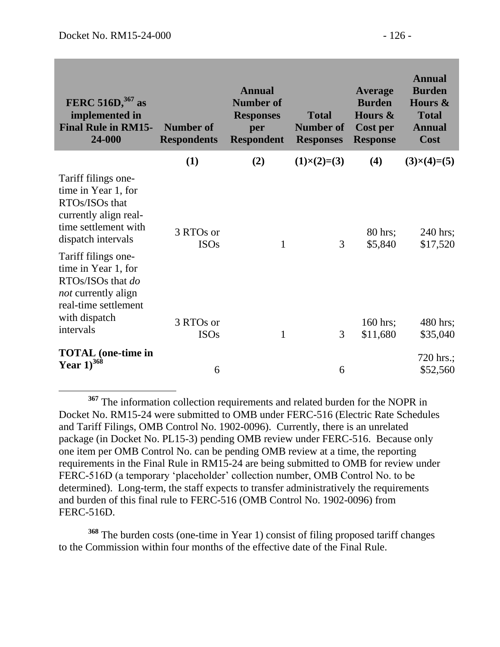| FERC 516D, <sup>367</sup> as<br>implemented in<br><b>Final Rule in RM15-</b><br>24-000                                                 | <b>Number of</b><br><b>Respondents</b> | <b>Annual</b><br><b>Number of</b><br><b>Responses</b><br>per<br><b>Respondent</b> | <b>Total</b><br><b>Number of</b><br><b>Responses</b> | Average<br><b>Burden</b><br>Hours &<br>Cost per<br><b>Response</b> | <b>Annual</b><br><b>Burden</b><br>Hours &<br><b>Total</b><br><b>Annual</b><br>Cost |
|----------------------------------------------------------------------------------------------------------------------------------------|----------------------------------------|-----------------------------------------------------------------------------------|------------------------------------------------------|--------------------------------------------------------------------|------------------------------------------------------------------------------------|
|                                                                                                                                        | (1)                                    | (2)                                                                               | $(1)\times(2)=(3)$                                   | (4)                                                                | $(3)\times(4)=(5)$                                                                 |
| Tariff filings one-<br>time in Year 1, for<br>RTOs/ISOs that<br>currently align real-<br>time settlement with<br>dispatch intervals    | 3 RTOs or<br><b>ISOs</b>               | 1                                                                                 | 3                                                    | 80 hrs;<br>\$5,840                                                 | 240 hrs;<br>\$17,520                                                               |
| Tariff filings one-<br>time in Year 1, for<br>RTOs/ISOs that do<br><i>not</i> currently align<br>real-time settlement<br>with dispatch | 3 RTOs or                              |                                                                                   |                                                      | 160 hrs;                                                           | 480 hrs;                                                                           |
| intervals                                                                                                                              | <b>ISOs</b>                            | 1                                                                                 | 3                                                    | \$11,680                                                           | \$35,040                                                                           |
| <b>TOTAL</b> (one-time in<br>Year $1^{368}$                                                                                            | 6                                      |                                                                                   | 6                                                    |                                                                    | 720 hrs.;<br>\$52,560                                                              |

 $\overline{a}$ **<sup>367</sup>** The information collection requirements and related burden for the NOPR in Docket No. RM15-24 were submitted to OMB under FERC-516 (Electric Rate Schedules and Tariff Filings, OMB Control No. 1902-0096). Currently, there is an unrelated package (in Docket No. PL15-3) pending OMB review under FERC-516. Because only one item per OMB Control No. can be pending OMB review at a time, the reporting requirements in the Final Rule in RM15-24 are being submitted to OMB for review under FERC-516D (a temporary 'placeholder' collection number, OMB Control No. to be determined). Long-term, the staff expects to transfer administratively the requirements and burden of this final rule to FERC-516 (OMB Control No. 1902-0096) from FERC-516D.

**<sup>368</sup>** The burden costs (one-time in Year 1) consist of filing proposed tariff changes to the Commission within four months of the effective date of the Final Rule.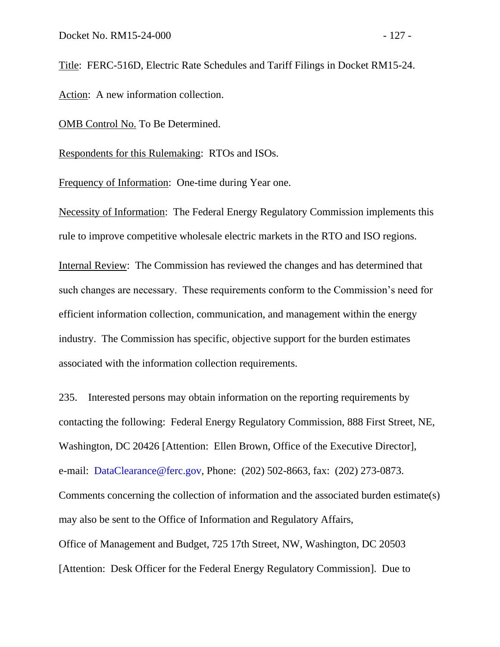OMB Control No. To Be Determined.

Respondents for this Rulemaking: RTOs and ISOs.

Frequency of Information: One-time during Year one.

Necessity of Information: The Federal Energy Regulatory Commission implements this rule to improve competitive wholesale electric markets in the RTO and ISO regions.

Internal Review: The Commission has reviewed the changes and has determined that such changes are necessary. These requirements conform to the Commission's need for efficient information collection, communication, and management within the energy industry. The Commission has specific, objective support for the burden estimates associated with the information collection requirements.

235. Interested persons may obtain information on the reporting requirements by contacting the following: Federal Energy Regulatory Commission, 888 First Street, NE, Washington, DC 20426 [Attention: Ellen Brown, Office of the Executive Director], e-mail: [DataClearance@ferc.gov,](mailto:DataClearance@ferc.gov) Phone: (202) 502-8663, fax: (202) 273-0873. Comments concerning the collection of information and the associated burden estimate(s) may also be sent to the Office of Information and Regulatory Affairs, Office of Management and Budget, 725 17th Street, NW, Washington, DC 20503 [Attention: Desk Officer for the Federal Energy Regulatory Commission]. Due to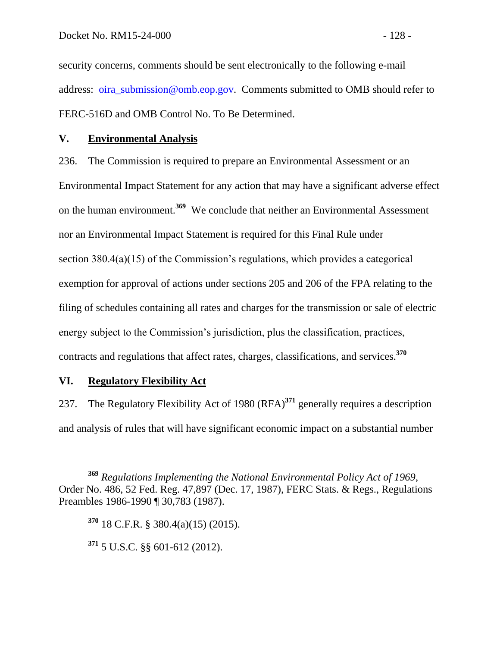security concerns, comments should be sent electronically to the following e-mail address: [oira\\_submission@omb.eop.gov.](mailto:oira_submission@omb.eop.gov) Comments submitted to OMB should refer to FERC-516D and OMB Control No. To Be Determined.

## **V. Environmental Analysis**

236. The Commission is required to prepare an Environmental Assessment or an Environmental Impact Statement for any action that may have a significant adverse effect on the human environment.**<sup>369</sup>** We conclude that neither an Environmental Assessment nor an Environmental Impact Statement is required for this Final Rule under section 380.4(a)(15) of the Commission's regulations, which provides a categorical exemption for approval of actions under sections 205 and 206 of the FPA relating to the filing of schedules containing all rates and charges for the transmission or sale of electric energy subject to the Commission's jurisdiction, plus the classification, practices, contracts and regulations that affect rates, charges, classifications, and services.**<sup>370</sup>**

## **VI. Regulatory Flexibility Act**

237. The Regulatory Flexibility Act of 1980 (RFA)**<sup>371</sup>** generally requires a description and analysis of rules that will have significant economic impact on a substantial number

**<sup>369</sup>** *Regulations Implementing the National Environmental Policy Act of 1969*, Order No. 486, 52 Fed. Reg. 47,897 (Dec. 17, 1987), FERC Stats. & Regs., Regulations Preambles 1986-1990 ¶ 30,783 (1987).

**<sup>370</sup>** 18 C.F.R. § 380.4(a)(15) (2015).

**<sup>371</sup>** 5 U.S.C. §§ 601-612 (2012).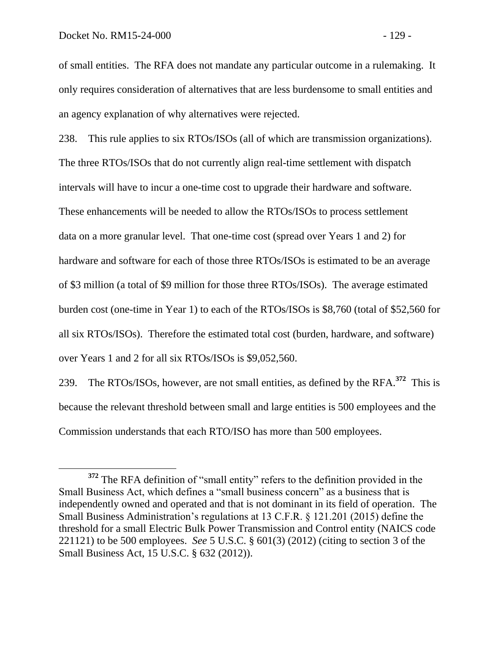of small entities. The RFA does not mandate any particular outcome in a rulemaking. It only requires consideration of alternatives that are less burdensome to small entities and an agency explanation of why alternatives were rejected.

238. This rule applies to six RTOs/ISOs (all of which are transmission organizations). The three RTOs/ISOs that do not currently align real-time settlement with dispatch intervals will have to incur a one-time cost to upgrade their hardware and software. These enhancements will be needed to allow the RTOs/ISOs to process settlement data on a more granular level. That one-time cost (spread over Years 1 and 2) for hardware and software for each of those three RTOs/ISOs is estimated to be an average of \$3 million (a total of \$9 million for those three RTOs/ISOs). The average estimated burden cost (one-time in Year 1) to each of the RTOs/ISOs is \$8,760 (total of \$52,560 for all six RTOs/ISOs). Therefore the estimated total cost (burden, hardware, and software) over Years 1 and 2 for all six RTOs/ISOs is \$9,052,560.

239. The RTOs/ISOs, however, are not small entities, as defined by the RFA.**<sup>372</sup>** This is because the relevant threshold between small and large entities is 500 employees and the Commission understands that each RTO/ISO has more than 500 employees.

**<sup>372</sup>** The RFA definition of "small entity" refers to the definition provided in the Small Business Act, which defines a "small business concern" as a business that is independently owned and operated and that is not dominant in its field of operation. The Small Business Administration's regulations at 13 C.F.R. § 121.201 (2015) define the threshold for a small Electric Bulk Power Transmission and Control entity (NAICS code 221121) to be 500 employees. *See* 5 U.S.C. § 601(3) (2012) (citing to section 3 of the Small Business Act, 15 U.S.C. § 632 (2012)).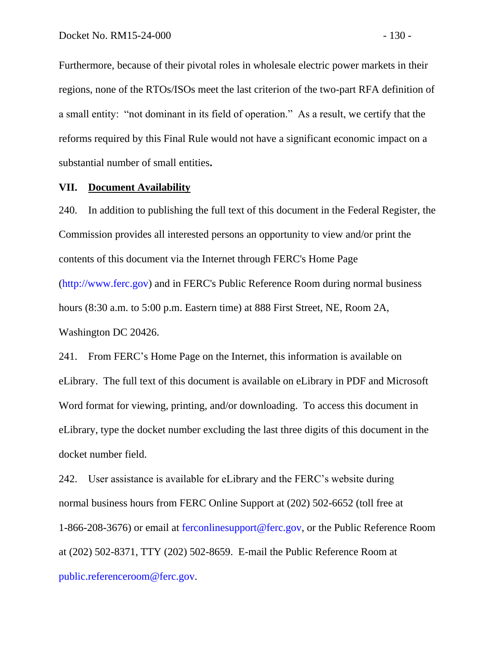Furthermore, because of their pivotal roles in wholesale electric power markets in their regions, none of the RTOs/ISOs meet the last criterion of the two-part RFA definition of a small entity: "not dominant in its field of operation." As a result, we certify that the reforms required by this Final Rule would not have a significant economic impact on a substantial number of small entities**.**

#### **VII. Document Availability**

240. In addition to publishing the full text of this document in the Federal Register, the Commission provides all interested persons an opportunity to view and/or print the contents of this document via the Internet through FERC's Home Page [\(http://www.ferc.gov\)](http://www.ferc.gov/) and in FERC's Public Reference Room during normal business hours (8:30 a.m. to 5:00 p.m. Eastern time) at 888 First Street, NE, Room 2A, Washington DC 20426.

241. From FERC's Home Page on the Internet, this information is available on eLibrary. The full text of this document is available on eLibrary in PDF and Microsoft Word format for viewing, printing, and/or downloading. To access this document in eLibrary, type the docket number excluding the last three digits of this document in the docket number field.

242. User assistance is available for eLibrary and the FERC's website during normal business hours from FERC Online Support at (202) 502-6652 (toll free at 1-866-208-3676) or email at [ferconlinesupport@ferc.gov,](mailto:ferconlinesupport@ferc.gov) or the Public Reference Room at (202) 502-8371, TTY (202) 502-8659. E-mail the Public Reference Room at [public.referenceroom@ferc.gov.](mailto:public.referenceroom@ferc.gov)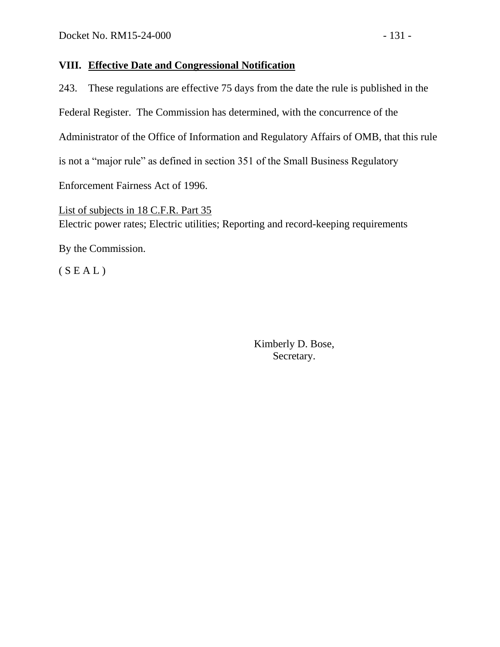## **VIII. Effective Date and Congressional Notification**

243. These regulations are effective 75 days from the date the rule is published in the Federal Register. The Commission has determined, with the concurrence of the Administrator of the Office of Information and Regulatory Affairs of OMB, that this rule is not a "major rule" as defined in section 351 of the Small Business Regulatory Enforcement Fairness Act of 1996.

List of subjects in 18 C.F.R. Part 35 Electric power rates; Electric utilities; Reporting and record-keeping requirements

By the Commission.

 $(S E A L)$ 

Kimberly D. Bose, Secretary.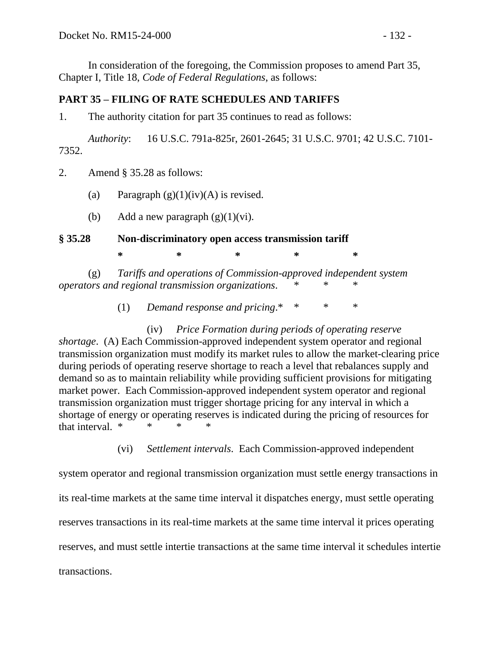In consideration of the foregoing, the Commission proposes to amend Part 35, Chapter I, Title 18, *Code of Federal Regulations*, as follows:

## **PART 35 – FILING OF RATE SCHEDULES AND TARIFFS**

1. The authority citation for part 35 continues to read as follows:

*Authority*: 16 U.S.C. 791a-825r, 2601-2645; 31 U.S.C. 9701; 42 U.S.C. 7101- 7352.

2. Amend § 35.28 as follows:

- (a) Paragraph  $(g)(1)(iv)(A)$  is revised.
- (b) Add a new paragraph  $(g)(1)(vi)$ .

## **§ 35.28 Non-discriminatory open access transmission tariff**

**\* \* \* \* \***

(g) *Tariffs and operations of Commission-approved independent system operators and regional transmission organizations.* 

(1) *Demand response and pricing*.\* \* \* \*

(iv) *Price Formation during periods of operating reserve shortage*. (A) Each Commission-approved independent system operator and regional transmission organization must modify its market rules to allow the market-clearing price during periods of operating reserve shortage to reach a level that rebalances supply and demand so as to maintain reliability while providing sufficient provisions for mitigating market power. Each Commission-approved independent system operator and regional transmission organization must trigger shortage pricing for any interval in which a shortage of energy or operating reserves is indicated during the pricing of resources for that interval.  $*$ 

(vi) *Settlement intervals*. Each Commission-approved independent

system operator and regional transmission organization must settle energy transactions in its real-time markets at the same time interval it dispatches energy, must settle operating reserves transactions in its real-time markets at the same time interval it prices operating reserves, and must settle intertie transactions at the same time interval it schedules intertie transactions.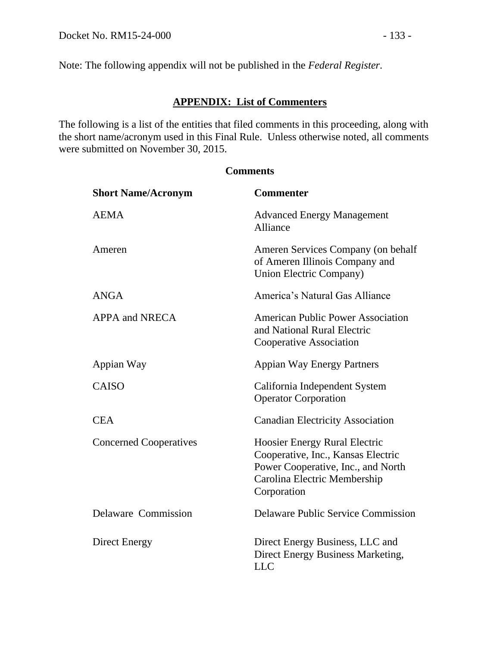Note: The following appendix will not be published in the *Federal Register*.

# **APPENDIX: List of Commenters**

The following is a list of the entities that filed comments in this proceeding, along with the short name/acronym used in this Final Rule. Unless otherwise noted, all comments were submitted on November 30, 2015.

| <b>Short Name/Acronym</b>     | <b>Commenter</b>                                                                                                                                                |
|-------------------------------|-----------------------------------------------------------------------------------------------------------------------------------------------------------------|
| <b>AEMA</b>                   | <b>Advanced Energy Management</b><br>Alliance                                                                                                                   |
| Ameren                        | Ameren Services Company (on behalf<br>of Ameren Illinois Company and<br>Union Electric Company)                                                                 |
| <b>ANGA</b>                   | America's Natural Gas Alliance                                                                                                                                  |
| <b>APPA and NRECA</b>         | <b>American Public Power Association</b><br>and National Rural Electric<br><b>Cooperative Association</b>                                                       |
| Appian Way                    | <b>Appian Way Energy Partners</b>                                                                                                                               |
| <b>CAISO</b>                  | California Independent System<br><b>Operator Corporation</b>                                                                                                    |
| <b>CEA</b>                    | <b>Canadian Electricity Association</b>                                                                                                                         |
| <b>Concerned Cooperatives</b> | <b>Hoosier Energy Rural Electric</b><br>Cooperative, Inc., Kansas Electric<br>Power Cooperative, Inc., and North<br>Carolina Electric Membership<br>Corporation |
| Delaware Commission           | <b>Delaware Public Service Commission</b>                                                                                                                       |
| Direct Energy                 | Direct Energy Business, LLC and<br>Direct Energy Business Marketing,<br><b>LLC</b>                                                                              |

#### **Comments**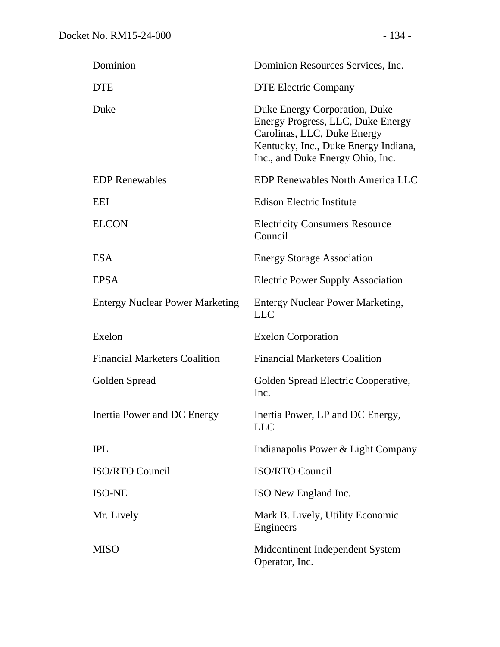| Dominion                               | Dominion Resources Services, Inc.                                                                                                                                             |
|----------------------------------------|-------------------------------------------------------------------------------------------------------------------------------------------------------------------------------|
| DTE                                    | <b>DTE Electric Company</b>                                                                                                                                                   |
| Duke                                   | Duke Energy Corporation, Duke<br>Energy Progress, LLC, Duke Energy<br>Carolinas, LLC, Duke Energy<br>Kentucky, Inc., Duke Energy Indiana,<br>Inc., and Duke Energy Ohio, Inc. |
| <b>EDP Renewables</b>                  | <b>EDP Renewables North America LLC</b>                                                                                                                                       |
| EEI                                    | <b>Edison Electric Institute</b>                                                                                                                                              |
| ELCON                                  | <b>Electricity Consumers Resource</b><br>Council                                                                                                                              |
| ESA                                    | <b>Energy Storage Association</b>                                                                                                                                             |
| <b>EPSA</b>                            | <b>Electric Power Supply Association</b>                                                                                                                                      |
| <b>Entergy Nuclear Power Marketing</b> | <b>Entergy Nuclear Power Marketing,</b><br><b>LLC</b>                                                                                                                         |
| Exelon                                 | <b>Exelon Corporation</b>                                                                                                                                                     |
| <b>Financial Marketers Coalition</b>   | <b>Financial Marketers Coalition</b>                                                                                                                                          |
| Golden Spread                          | Golden Spread Electric Cooperative,<br>Inc.                                                                                                                                   |
| <b>Inertia Power and DC Energy</b>     | Inertia Power, LP and DC Energy,<br><b>LLC</b>                                                                                                                                |
| <b>IPL</b>                             | Indianapolis Power & Light Company                                                                                                                                            |
| <b>ISO/RTO Council</b>                 | <b>ISO/RTO Council</b>                                                                                                                                                        |
| <b>ISO-NE</b>                          | ISO New England Inc.                                                                                                                                                          |
| Mr. Lively                             | Mark B. Lively, Utility Economic<br>Engineers                                                                                                                                 |
| MISO                                   | Midcontinent Independent System<br>Operator, Inc.                                                                                                                             |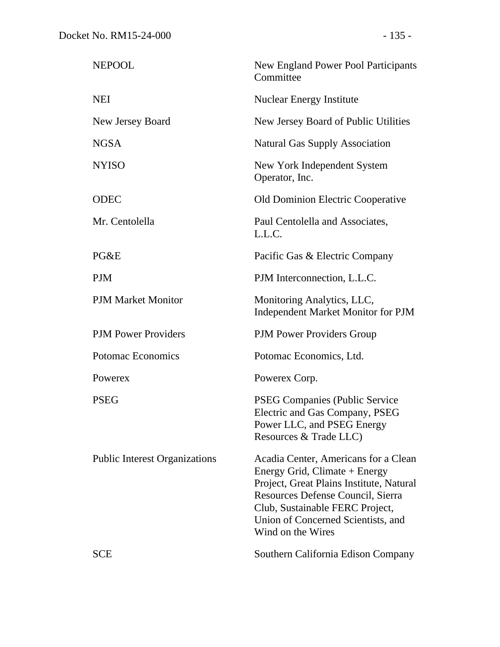| <b>NEPOOL</b>                        | <b>New England Power Pool Participants</b><br>Committee                                                                                                                                                                                              |
|--------------------------------------|------------------------------------------------------------------------------------------------------------------------------------------------------------------------------------------------------------------------------------------------------|
| <b>NEI</b>                           | <b>Nuclear Energy Institute</b>                                                                                                                                                                                                                      |
| New Jersey Board                     | New Jersey Board of Public Utilities                                                                                                                                                                                                                 |
| <b>NGSA</b>                          | <b>Natural Gas Supply Association</b>                                                                                                                                                                                                                |
| <b>NYISO</b>                         | New York Independent System<br>Operator, Inc.                                                                                                                                                                                                        |
| <b>ODEC</b>                          | Old Dominion Electric Cooperative                                                                                                                                                                                                                    |
| Mr. Centolella                       | Paul Centolella and Associates,<br>L.L.C.                                                                                                                                                                                                            |
| PG&E                                 | Pacific Gas & Electric Company                                                                                                                                                                                                                       |
| <b>PJM</b>                           | PJM Interconnection, L.L.C.                                                                                                                                                                                                                          |
| <b>PJM Market Monitor</b>            | Monitoring Analytics, LLC,<br><b>Independent Market Monitor for PJM</b>                                                                                                                                                                              |
| <b>PJM Power Providers</b>           | <b>PJM Power Providers Group</b>                                                                                                                                                                                                                     |
| Potomac Economics                    | Potomac Economics, Ltd.                                                                                                                                                                                                                              |
| Powerex                              | Powerex Corp.                                                                                                                                                                                                                                        |
| <b>PSEG</b>                          | <b>PSEG Companies (Public Service</b><br>Electric and Gas Company, PSEG<br>Power LLC, and PSEG Energy<br>Resources & Trade LLC)                                                                                                                      |
| <b>Public Interest Organizations</b> | Acadia Center, Americans for a Clean<br>Energy Grid, Climate + Energy<br>Project, Great Plains Institute, Natural<br>Resources Defense Council, Sierra<br>Club, Sustainable FERC Project,<br>Union of Concerned Scientists, and<br>Wind on the Wires |
| <b>SCE</b>                           | Southern California Edison Company                                                                                                                                                                                                                   |